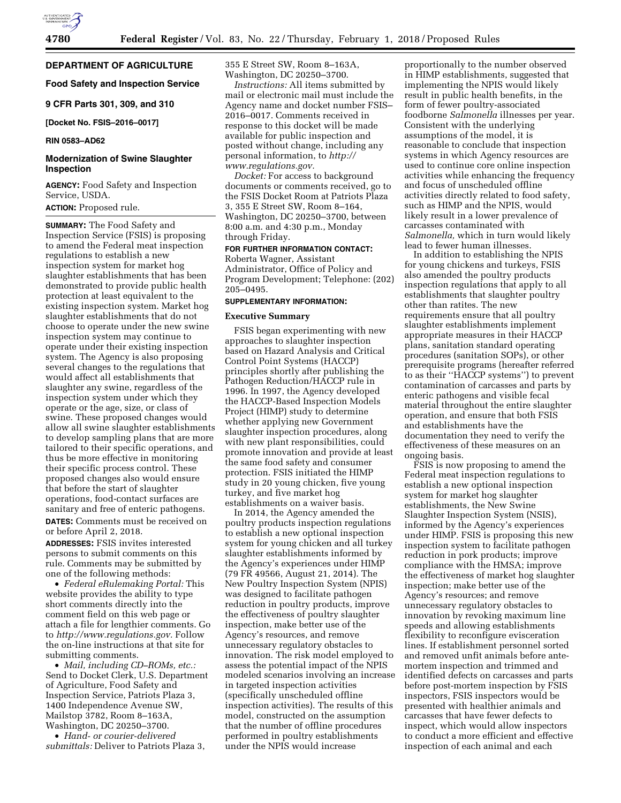**DEPARTMENT OF AGRICULTURE** 

### **Food Safety and Inspection Service**

**9 CFR Parts 301, 309, and 310** 

**[Docket No. FSIS–2016–0017]** 

#### **RIN 0583–AD62**

### **Modernization of Swine Slaughter Inspection**

**AGENCY:** Food Safety and Inspection Service, USDA.

### **ACTION:** Proposed rule.

**SUMMARY:** The Food Safety and Inspection Service (FSIS) is proposing to amend the Federal meat inspection regulations to establish a new inspection system for market hog slaughter establishments that has been demonstrated to provide public health protection at least equivalent to the existing inspection system. Market hog slaughter establishments that do not choose to operate under the new swine inspection system may continue to operate under their existing inspection system. The Agency is also proposing several changes to the regulations that would affect all establishments that slaughter any swine, regardless of the inspection system under which they operate or the age, size, or class of swine. These proposed changes would allow all swine slaughter establishments to develop sampling plans that are more tailored to their specific operations, and thus be more effective in monitoring their specific process control. These proposed changes also would ensure that before the start of slaughter operations, food-contact surfaces are sanitary and free of enteric pathogens. **DATES:** Comments must be received on or before April 2, 2018.

**ADDRESSES:** FSIS invites interested persons to submit comments on this rule. Comments may be submitted by one of the following methods:

• *Federal eRulemaking Portal:* This website provides the ability to type short comments directly into the comment field on this web page or attach a file for lengthier comments. Go to *[http://www.regulations.gov.](http://www.regulations.gov)* Follow the on-line instructions at that site for submitting comments.

• *Mail, including CD–ROMs, etc.:*  Send to Docket Clerk, U.S. Department of Agriculture, Food Safety and Inspection Service, Patriots Plaza 3, 1400 Independence Avenue SW, Mailstop 3782, Room 8–163A, Washington, DC 20250–3700.

• *Hand- or courier-delivered submittals:* Deliver to Patriots Plaza 3, 355 E Street SW, Room 8–163A, Washington, DC 20250–3700.

*Instructions:* All items submitted by mail or electronic mail must include the Agency name and docket number FSIS– 2016–0017. Comments received in response to this docket will be made available for public inspection and posted without change, including any personal information, to *[http://](http://www.regulations.gov) [www.regulations.gov.](http://www.regulations.gov)* 

*Docket:* For access to background documents or comments received, go to the FSIS Docket Room at Patriots Plaza 3, 355 E Street SW, Room 8–164, Washington, DC 20250–3700, between 8:00 a.m. and 4:30 p.m., Monday through Friday.

#### **FOR FURTHER INFORMATION CONTACT:**

Roberta Wagner, Assistant Administrator, Office of Policy and Program Development; Telephone: (202) 205–0495.

### **SUPPLEMENTARY INFORMATION:**

#### **Executive Summary**

FSIS began experimenting with new approaches to slaughter inspection based on Hazard Analysis and Critical Control Point Systems (HACCP) principles shortly after publishing the Pathogen Reduction/HACCP rule in 1996. In 1997, the Agency developed the HACCP-Based Inspection Models Project (HIMP) study to determine whether applying new Government slaughter inspection procedures, along with new plant responsibilities, could promote innovation and provide at least the same food safety and consumer protection. FSIS initiated the HIMP study in 20 young chicken, five young turkey, and five market hog establishments on a waiver basis.

In 2014, the Agency amended the poultry products inspection regulations to establish a new optional inspection system for young chicken and all turkey slaughter establishments informed by the Agency's experiences under HIMP (79 FR 49566, August 21, 2014). The New Poultry Inspection System (NPIS) was designed to facilitate pathogen reduction in poultry products, improve the effectiveness of poultry slaughter inspection, make better use of the Agency's resources, and remove unnecessary regulatory obstacles to innovation. The risk model employed to assess the potential impact of the NPIS modeled scenarios involving an increase in targeted inspection activities (specifically unscheduled offline inspection activities). The results of this model, constructed on the assumption that the number of offline procedures performed in poultry establishments under the NPIS would increase

proportionally to the number observed in HIMP establishments, suggested that implementing the NPIS would likely result in public health benefits, in the form of fewer poultry-associated foodborne *Salmonella* illnesses per year. Consistent with the underlying assumptions of the model, it is reasonable to conclude that inspection systems in which Agency resources are used to continue core online inspection activities while enhancing the frequency and focus of unscheduled offline activities directly related to food safety, such as HIMP and the NPIS, would likely result in a lower prevalence of carcasses contaminated with *Salmonella,* which in turn would likely lead to fewer human illnesses.

In addition to establishing the NPIS for young chickens and turkeys, FSIS also amended the poultry products inspection regulations that apply to all establishments that slaughter poultry other than ratites. The new requirements ensure that all poultry slaughter establishments implement appropriate measures in their HACCP plans, sanitation standard operating procedures (sanitation SOPs), or other prerequisite programs (hereafter referred to as their ''HACCP systems'') to prevent contamination of carcasses and parts by enteric pathogens and visible fecal material throughout the entire slaughter operation, and ensure that both FSIS and establishments have the documentation they need to verify the effectiveness of these measures on an ongoing basis.

FSIS is now proposing to amend the Federal meat inspection regulations to establish a new optional inspection system for market hog slaughter establishments, the New Swine Slaughter Inspection System (NSIS), informed by the Agency's experiences under HIMP. FSIS is proposing this new inspection system to facilitate pathogen reduction in pork products; improve compliance with the HMSA; improve the effectiveness of market hog slaughter inspection; make better use of the Agency's resources; and remove unnecessary regulatory obstacles to innovation by revoking maximum line speeds and allowing establishments flexibility to reconfigure evisceration lines. If establishment personnel sorted and removed unfit animals before antemortem inspection and trimmed and identified defects on carcasses and parts before post-mortem inspection by FSIS inspectors, FSIS inspectors would be presented with healthier animals and carcasses that have fewer defects to inspect, which would allow inspectors to conduct a more efficient and effective inspection of each animal and each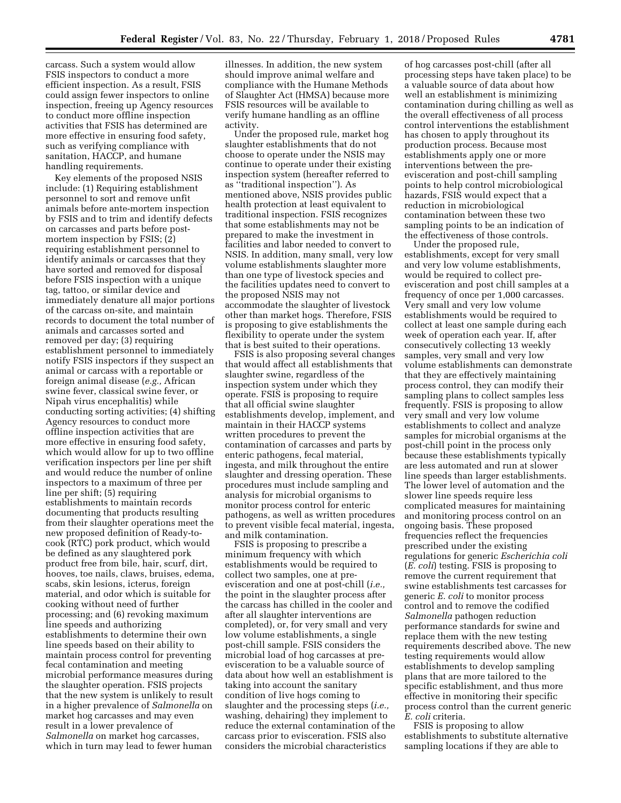carcass. Such a system would allow FSIS inspectors to conduct a more efficient inspection. As a result, FSIS could assign fewer inspectors to online inspection, freeing up Agency resources to conduct more offline inspection activities that FSIS has determined are more effective in ensuring food safety, such as verifying compliance with sanitation, HACCP, and humane handling requirements.

Key elements of the proposed NSIS include: (1) Requiring establishment personnel to sort and remove unfit animals before ante-mortem inspection by FSIS and to trim and identify defects on carcasses and parts before postmortem inspection by FSIS; (2) requiring establishment personnel to identify animals or carcasses that they have sorted and removed for disposal before FSIS inspection with a unique tag, tattoo, or similar device and immediately denature all major portions of the carcass on-site, and maintain records to document the total number of animals and carcasses sorted and removed per day; (3) requiring establishment personnel to immediately notify FSIS inspectors if they suspect an animal or carcass with a reportable or foreign animal disease (*e.g.,* African swine fever, classical swine fever, or Nipah virus encephalitis) while conducting sorting activities; (4) shifting Agency resources to conduct more offline inspection activities that are more effective in ensuring food safety, which would allow for up to two offline verification inspectors per line per shift and would reduce the number of online inspectors to a maximum of three per line per shift; (5) requiring establishments to maintain records documenting that products resulting from their slaughter operations meet the new proposed definition of Ready-tocook (RTC) pork product, which would be defined as any slaughtered pork product free from bile, hair, scurf, dirt, hooves, toe nails, claws, bruises, edema, scabs, skin lesions, icterus, foreign material, and odor which is suitable for cooking without need of further processing; and (6) revoking maximum line speeds and authorizing establishments to determine their own line speeds based on their ability to maintain process control for preventing fecal contamination and meeting microbial performance measures during the slaughter operation. FSIS projects that the new system is unlikely to result in a higher prevalence of *Salmonella* on market hog carcasses and may even result in a lower prevalence of *Salmonella* on market hog carcasses, which in turn may lead to fewer human

illnesses. In addition, the new system should improve animal welfare and compliance with the Humane Methods of Slaughter Act (HMSA) because more FSIS resources will be available to verify humane handling as an offline activity.

Under the proposed rule, market hog slaughter establishments that do not choose to operate under the NSIS may continue to operate under their existing inspection system (hereafter referred to as ''traditional inspection''). As mentioned above, NSIS provides public health protection at least equivalent to traditional inspection. FSIS recognizes that some establishments may not be prepared to make the investment in facilities and labor needed to convert to NSIS. In addition, many small, very low volume establishments slaughter more than one type of livestock species and the facilities updates need to convert to the proposed NSIS may not accommodate the slaughter of livestock other than market hogs. Therefore, FSIS is proposing to give establishments the flexibility to operate under the system that is best suited to their operations.

FSIS is also proposing several changes that would affect all establishments that slaughter swine, regardless of the inspection system under which they operate. FSIS is proposing to require that all official swine slaughter establishments develop, implement, and maintain in their HACCP systems written procedures to prevent the contamination of carcasses and parts by enteric pathogens, fecal material, ingesta, and milk throughout the entire slaughter and dressing operation. These procedures must include sampling and analysis for microbial organisms to monitor process control for enteric pathogens, as well as written procedures to prevent visible fecal material, ingesta, and milk contamination.

FSIS is proposing to prescribe a minimum frequency with which establishments would be required to collect two samples, one at preevisceration and one at post-chill (*i.e.,*  the point in the slaughter process after the carcass has chilled in the cooler and after all slaughter interventions are completed), or, for very small and very low volume establishments, a single post-chill sample. FSIS considers the microbial load of hog carcasses at preevisceration to be a valuable source of data about how well an establishment is taking into account the sanitary condition of live hogs coming to slaughter and the processing steps (*i.e.,*  washing, dehairing) they implement to reduce the external contamination of the carcass prior to evisceration. FSIS also considers the microbial characteristics

of hog carcasses post-chill (after all processing steps have taken place) to be a valuable source of data about how well an establishment is minimizing contamination during chilling as well as the overall effectiveness of all process control interventions the establishment has chosen to apply throughout its production process. Because most establishments apply one or more interventions between the preevisceration and post-chill sampling points to help control microbiological hazards, FSIS would expect that a reduction in microbiological contamination between these two sampling points to be an indication of the effectiveness of those controls.

Under the proposed rule, establishments, except for very small and very low volume establishments, would be required to collect preevisceration and post chill samples at a frequency of once per 1,000 carcasses. Very small and very low volume establishments would be required to collect at least one sample during each week of operation each year. If, after consecutively collecting 13 weekly samples, very small and very low volume establishments can demonstrate that they are effectively maintaining process control, they can modify their sampling plans to collect samples less frequently. FSIS is proposing to allow very small and very low volume establishments to collect and analyze samples for microbial organisms at the post-chill point in the process only because these establishments typically are less automated and run at slower line speeds than larger establishments. The lower level of automation and the slower line speeds require less complicated measures for maintaining and monitoring process control on an ongoing basis. These proposed frequencies reflect the frequencies prescribed under the existing regulations for generic *Escherichia coli*  (*E. coli*) testing. FSIS is proposing to remove the current requirement that swine establishments test carcasses for generic *E. coli* to monitor process control and to remove the codified *Salmonella* pathogen reduction performance standards for swine and replace them with the new testing requirements described above. The new testing requirements would allow establishments to develop sampling plans that are more tailored to the specific establishment, and thus more effective in monitoring their specific process control than the current generic *E. coli* criteria.

FSIS is proposing to allow establishments to substitute alternative sampling locations if they are able to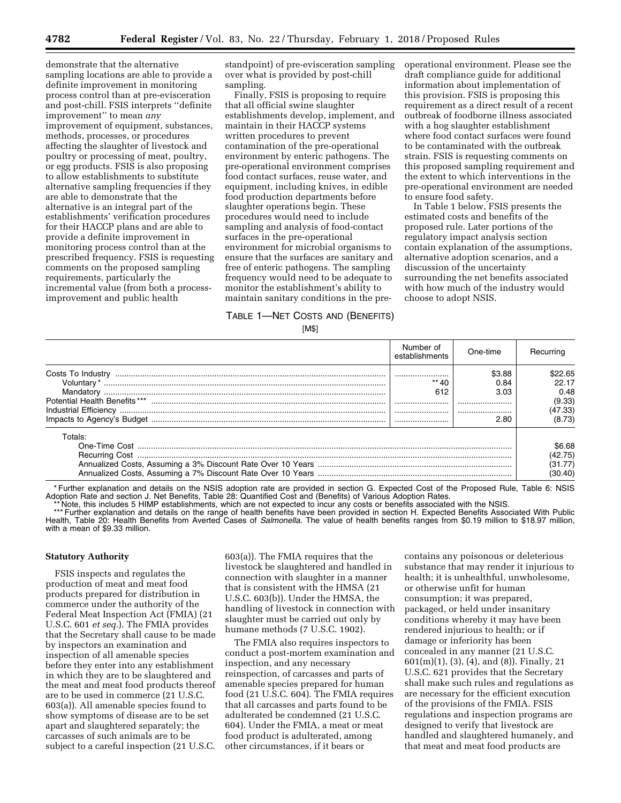demonstrate that the alternative sampling locations are able to provide a definite improvement in monitoring process control than at pre-evisceration and post-chill. FSIS interprets ''definite improvement'' to mean *any*  improvement of equipment, substances, methods, processes, or procedures affecting the slaughter of livestock and poultry or processing of meat, poultry, or egg products. FSIS is also proposing to allow establishments to substitute alternative sampling frequencies if they are able to demonstrate that the alternative is an integral part of the establishments' verification procedures for their HACCP plans and are able to provide a definite improvement in monitoring process control than at the prescribed frequency. FSIS is requesting comments on the proposed sampling requirements, particularly the incremental value (from both a processimprovement and public health

standpoint) of pre-evisceration sampling over what is provided by post-chill sampling.

Finally, FSIS is proposing to require that all official swine slaughter establishments develop, implement, and maintain in their HACCP systems written procedures to prevent contamination of the pre-operational environment by enteric pathogens. The pre-operational environment comprises food contact surfaces, reuse water, and equipment, including knives, in edible food production departments before slaughter operations begin. These procedures would need to include sampling and analysis of food-contact surfaces in the pre-operational environment for microbial organisms to ensure that the surfaces are sanitary and free of enteric pathogens. The sampling frequency would need to be adequate to monitor the establishment's ability to maintain sanitary conditions in the preoperational environment. Please see the draft compliance guide for additional information about implementation of this provision. FSIS is proposing this requirement as a direct result of a recent outbreak of foodborne illness associated with a hog slaughter establishment where food contact surfaces were found to be contaminated with the outbreak strain. FSIS is requesting comments on this proposed sampling requirement and the extent to which interventions in the pre-operational environment are needed to ensure food safety.

In Table 1 below, FSIS presents the estimated costs and benefits of the proposed rule. Later portions of the regulatory impact analysis section contain explanation of the assumptions, alternative adoption scenarios, and a discussion of the uncertainty surrounding the net benefits associated with how much of the industry would choose to adopt NSIS.

### TABLE 1—NET COSTS AND (BENEFITS) [M\$]

|                                            | Number of<br>establishments | One-time                               | Recurring                                               |
|--------------------------------------------|-----------------------------|----------------------------------------|---------------------------------------------------------|
| Mandatory<br>Potential Health Benefits *** | <br>612<br><br><br>         | \$3.88<br>0.84<br>3.03<br><br><br>2.80 | \$22.65<br>22.17<br>0.48<br>(9.33)<br>(47.33)<br>(8.73) |
| Totals:                                    |                             |                                        | \$6.68<br>(42.75)<br>(31.77)                            |

\* Further explanation and details on the NSIS adoption rate are provided in section G. Expected Cost of the Proposed Rule, Table 6: NSIS Adoption Rate and section J. Net Benefits, Table 28: Quantified Cost and (Benefits) of Various Adoption Rates.

\*\* Note, this includes 5 HIMP establishments, which are not expected to incur any costs or benefits associated with the NSIS.

\*\*\* Further explanation and details on the range of health benefits have been provided in section H. Expected Benefits Associated With Public Health, Table 20: Health Benefits from Averted Cases of *Salmonella.* The value of health benefits ranges from \$0.19 million to \$18.97 million, with a mean of \$9.33 million.

#### **Statutory Authority**

FSIS inspects and regulates the production of meat and meat food products prepared for distribution in commerce under the authority of the Federal Meat Inspection Act (FMIA) (21 U.S.C. 601 *et seq.*). The FMIA provides that the Secretary shall cause to be made by inspectors an examination and inspection of all amenable species before they enter into any establishment in which they are to be slaughtered and the meat and meat food products thereof are to be used in commerce (21 U.S.C. 603(a)). All amenable species found to show symptoms of disease are to be set apart and slaughtered separately; the carcasses of such animals are to be subject to a careful inspection (21 U.S.C.

603(a)). The FMIA requires that the livestock be slaughtered and handled in connection with slaughter in a manner that is consistent with the HMSA (21 U.S.C. 603(b)). Under the HMSA, the handling of livestock in connection with slaughter must be carried out only by humane methods (7 U.S.C. 1902).

The FMIA also requires inspectors to conduct a post-mortem examination and inspection, and any necessary reinspection, of carcasses and parts of amenable species prepared for human food (21 U.S.C. 604). The FMIA requires that all carcasses and parts found to be adulterated be condemned (21 U.S.C. 604). Under the FMIA, a meat or meat food product is adulterated, among other circumstances, if it bears or

contains any poisonous or deleterious substance that may render it injurious to health; it is unhealthful, unwholesome, or otherwise unfit for human consumption; it was prepared, packaged, or held under insanitary conditions whereby it may have been rendered injurious to health; or if damage or inferiority has been concealed in any manner (21 U.S.C. 601(m)(1), (3), (4), and (8)). Finally, 21 U.S.C. 621 provides that the Secretary shall make such rules and regulations as are necessary for the efficient execution of the provisions of the FMIA. FSIS regulations and inspection programs are designed to verify that livestock are handled and slaughtered humanely, and that meat and meat food products are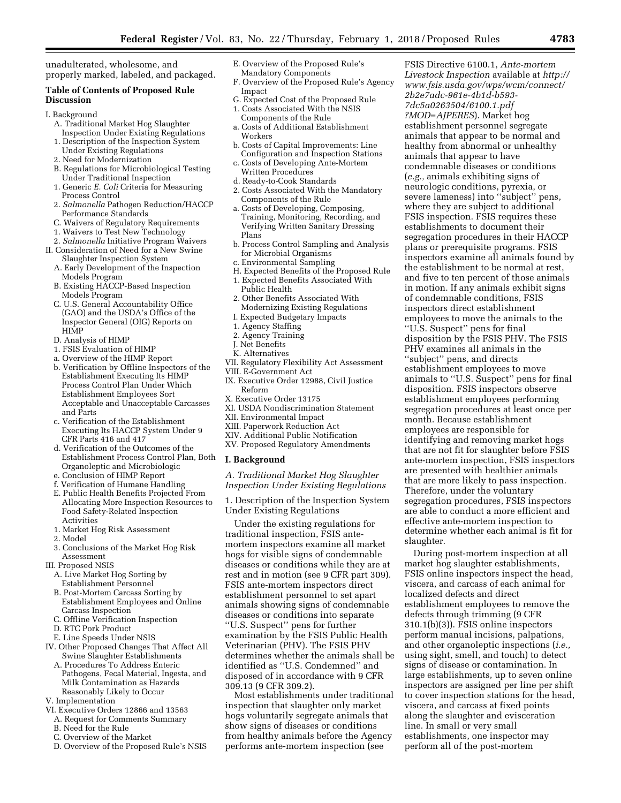unadulterated, wholesome, and properly marked, labeled, and packaged.

### **Table of Contents of Proposed Rule Discussion**

#### I. Background

- A. Traditional Market Hog Slaughter Inspection Under Existing Regulations
- 1. Description of the Inspection System Under Existing Regulations
- 2. Need for Modernization
- B. Regulations for Microbiological Testing Under Traditional Inspection
- 1. Generic *E. Coli* Criteria for Measuring Process Control
- 2. *Salmonella* Pathogen Reduction/HACCP Performance Standards
- C. Waivers of Regulatory Requirements
- 1. Waivers to Test New Technology
- 2. *Salmonella* Initiative Program Waivers II. Consideration of Need for a New Swine
	- Slaughter Inspection System A. Early Development of the Inspection Models Program
	- B. Existing HACCP-Based Inspection Models Program
	- C. U.S. General Accountability Office (GAO) and the USDA's Office of the Inspector General (OIG) Reports on HIMP
	- D. Analysis of HIMP
	- 1. FSIS Evaluation of HIMP
	- a. Overview of the HIMP Report
	- b. Verification by Offline Inspectors of the Establishment Executing Its HIMP Process Control Plan Under Which Establishment Employees Sort Acceptable and Unacceptable Carcasses and Parts
	- c. Verification of the Establishment Executing Its HACCP System Under 9 CFR Parts 416 and 417
	- d. Verification of the Outcomes of the Establishment Process Control Plan, Both Organoleptic and Microbiologic
	- e. Conclusion of HIMP Report
	- f. Verification of Humane Handling
	- E. Public Health Benefits Projected From Allocating More Inspection Resources to Food Safety-Related Inspection Activities
	- 1. Market Hog Risk Assessment
	- 2. Model
	- 3. Conclusions of the Market Hog Risk Assessment
- III. Proposed NSIS
	- A. Live Market Hog Sorting by Establishment Personnel
	- B. Post-Mortem Carcass Sorting by Establishment Employees and Online Carcass Inspection
- C. Offline Verification Inspection
- D. RTC Pork Product
- E. Line Speeds Under NSIS
- IV. Other Proposed Changes That Affect All Swine Slaughter Establishments
- A. Procedures To Address Enteric Pathogens, Fecal Material, Ingesta, and Milk Contamination as Hazards Reasonably Likely to Occur
- V. Implementation
- VI. Executive Orders 12866 and 13563
- A. Request for Comments Summary
- B. Need for the Rule
- C. Overview of the Market
- D. Overview of the Proposed Rule's NSIS
- E. Overview of the Proposed Rule's Mandatory Components
- F. Overview of the Proposed Rule's Agency Impact
- G. Expected Cost of the Proposed Rule
- 1. Costs Associated With the NSIS Components of the Rule
- a. Costs of Additional Establishment
- Workers b. Costs of Capital Improvements: Line
- Configuration and Inspection Stations c. Costs of Developing Ante-Mortem
- Written Procedures
- d. Ready-to-Cook Standards
- 2. Costs Associated With the Mandatory Components of the Rule
- a. Costs of Developing, Composing, Training, Monitoring, Recording, and Verifying Written Sanitary Dressing Plans
- b. Process Control Sampling and Analysis for Microbial Organisms
- c. Environmental Sampling
- H. Expected Benefits of the Proposed Rule 1. Expected Benefits Associated With Public Health
- 2. Other Benefits Associated With Modernizing Existing Regulations
- I. Expected Budgetary Impacts
- 1. Agency Staffing
- 2. Agency Training
- J. Net Benefits
- K. Alternatives
- VII. Regulatory Flexibility Act Assessment
- VIII. E-Government Act
- IX. Executive Order 12988, Civil Justice Reform
- X. Executive Order 13175
- XI. USDA Nondiscrimination Statement
- XII. Environmental Impact
- XIII. Paperwork Reduction Act
- XIV. Additional Public Notification
- XV. Proposed Regulatory Amendments

#### **I. Background**

*A. Traditional Market Hog Slaughter Inspection Under Existing Regulations* 

1. Description of the Inspection System Under Existing Regulations

Under the existing regulations for traditional inspection, FSIS antemortem inspectors examine all market hogs for visible signs of condemnable diseases or conditions while they are at rest and in motion (see 9 CFR part 309). FSIS ante-mortem inspectors direct establishment personnel to set apart animals showing signs of condemnable diseases or conditions into separate ''U.S. Suspect'' pens for further examination by the FSIS Public Health Veterinarian (PHV). The FSIS PHV determines whether the animals shall be identified as ''U.S. Condemned'' and disposed of in accordance with 9 CFR 309.13 (9 CFR 309.2).

Most establishments under traditional inspection that slaughter only market hogs voluntarily segregate animals that show signs of diseases or conditions from healthy animals before the Agency performs ante-mortem inspection (see

FSIS Directive 6100.1, *Ante-mortem Livestock Inspection* available at *[http://](http://www.fsis.usda.gov/wps/wcm/connect/2b2e7adc-961e-4b1d-b593-7dc5a0263504/6100.1.pdf?MOD=AJPERES)  [www.fsis.usda.gov/wps/wcm/connect/](http://www.fsis.usda.gov/wps/wcm/connect/2b2e7adc-961e-4b1d-b593-7dc5a0263504/6100.1.pdf?MOD=AJPERES) [2b2e7adc-961e-4b1d-b593-](http://www.fsis.usda.gov/wps/wcm/connect/2b2e7adc-961e-4b1d-b593-7dc5a0263504/6100.1.pdf?MOD=AJPERES)  [7dc5a0263504/6100.1.pdf](http://www.fsis.usda.gov/wps/wcm/connect/2b2e7adc-961e-4b1d-b593-7dc5a0263504/6100.1.pdf?MOD=AJPERES) [?MOD=AJPERES](http://www.fsis.usda.gov/wps/wcm/connect/2b2e7adc-961e-4b1d-b593-7dc5a0263504/6100.1.pdf?MOD=AJPERES)*). Market hog establishment personnel segregate animals that appear to be normal and healthy from abnormal or unhealthy animals that appear to have condemnable diseases or conditions (*e.g.,* animals exhibiting signs of neurologic conditions, pyrexia, or severe lameness) into ''subject'' pens, where they are subject to additional FSIS inspection. FSIS requires these establishments to document their segregation procedures in their HACCP plans or prerequisite programs. FSIS inspectors examine all animals found by the establishment to be normal at rest, and five to ten percent of those animals in motion. If any animals exhibit signs of condemnable conditions, FSIS inspectors direct establishment employees to move the animals to the ''U.S. Suspect'' pens for final disposition by the FSIS PHV. The FSIS PHV examines all animals in the ''subject'' pens, and directs establishment employees to move animals to ''U.S. Suspect'' pens for final disposition. FSIS inspectors observe establishment employees performing segregation procedures at least once per month. Because establishment employees are responsible for identifying and removing market hogs that are not fit for slaughter before FSIS ante-mortem inspection, FSIS inspectors are presented with healthier animals that are more likely to pass inspection. Therefore, under the voluntary segregation procedures, FSIS inspectors are able to conduct a more efficient and effective ante-mortem inspection to determine whether each animal is fit for slaughter.

During post-mortem inspection at all market hog slaughter establishments, FSIS online inspectors inspect the head, viscera, and carcass of each animal for localized defects and direct establishment employees to remove the defects through trimming (9 CFR 310.1(b)(3)). FSIS online inspectors perform manual incisions, palpations, and other organoleptic inspections (*i.e.,*  using sight, smell, and touch) to detect signs of disease or contamination. In large establishments, up to seven online inspectors are assigned per line per shift to cover inspection stations for the head, viscera, and carcass at fixed points along the slaughter and evisceration line. In small or very small establishments, one inspector may perform all of the post-mortem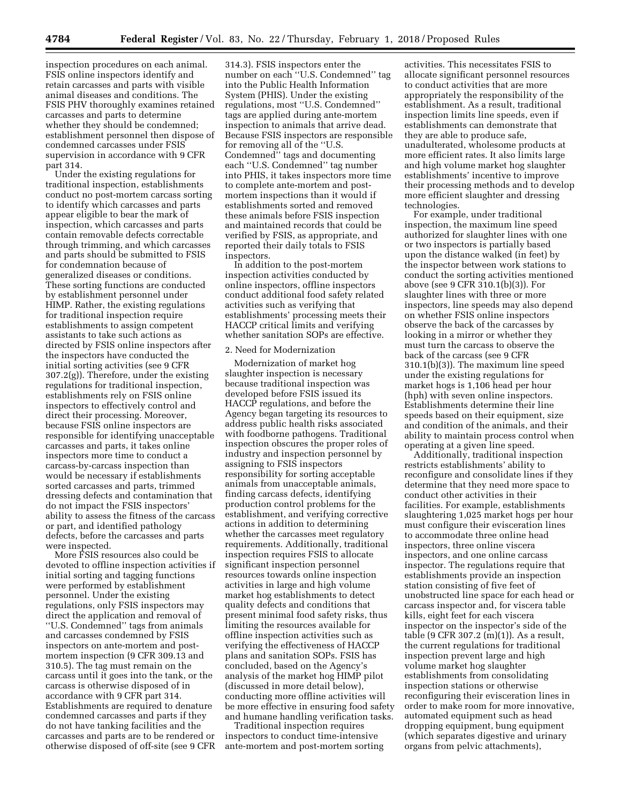inspection procedures on each animal. FSIS online inspectors identify and retain carcasses and parts with visible animal diseases and conditions. The FSIS PHV thoroughly examines retained carcasses and parts to determine whether they should be condemned; establishment personnel then dispose of condemned carcasses under FSIS supervision in accordance with 9 CFR part 314.

Under the existing regulations for traditional inspection, establishments conduct no post-mortem carcass sorting to identify which carcasses and parts appear eligible to bear the mark of inspection, which carcasses and parts contain removable defects correctable through trimming, and which carcasses and parts should be submitted to FSIS for condemnation because of generalized diseases or conditions. These sorting functions are conducted by establishment personnel under HIMP. Rather, the existing regulations for traditional inspection require establishments to assign competent assistants to take such actions as directed by FSIS online inspectors after the inspectors have conducted the initial sorting activities (see 9 CFR 307.2(g)). Therefore, under the existing regulations for traditional inspection, establishments rely on FSIS online inspectors to effectively control and direct their processing. Moreover, because FSIS online inspectors are responsible for identifying unacceptable carcasses and parts, it takes online inspectors more time to conduct a carcass-by-carcass inspection than would be necessary if establishments sorted carcasses and parts, trimmed dressing defects and contamination that do not impact the FSIS inspectors' ability to assess the fitness of the carcass or part, and identified pathology defects, before the carcasses and parts were inspected.

More FSIS resources also could be devoted to offline inspection activities if initial sorting and tagging functions were performed by establishment personnel. Under the existing regulations, only FSIS inspectors may direct the application and removal of ''U.S. Condemned'' tags from animals and carcasses condemned by FSIS inspectors on ante-mortem and postmortem inspection (9 CFR 309.13 and 310.5). The tag must remain on the carcass until it goes into the tank, or the carcass is otherwise disposed of in accordance with 9 CFR part 314. Establishments are required to denature condemned carcasses and parts if they do not have tanking facilities and the carcasses and parts are to be rendered or otherwise disposed of off-site (see 9 CFR

314.3). FSIS inspectors enter the number on each ''U.S. Condemned'' tag into the Public Health Information System (PHIS). Under the existing regulations, most ''U.S. Condemned'' tags are applied during ante-mortem inspection to animals that arrive dead. Because FSIS inspectors are responsible for removing all of the ''U.S. Condemned'' tags and documenting each ''U.S. Condemned'' tag number into PHIS, it takes inspectors more time to complete ante-mortem and postmortem inspections than it would if establishments sorted and removed these animals before FSIS inspection and maintained records that could be verified by FSIS, as appropriate, and reported their daily totals to FSIS inspectors.

In addition to the post-mortem inspection activities conducted by online inspectors, offline inspectors conduct additional food safety related activities such as verifying that establishments' processing meets their HACCP critical limits and verifying whether sanitation SOPs are effective.

#### 2. Need for Modernization

Modernization of market hog slaughter inspection is necessary because traditional inspection was developed before FSIS issued its HACCP regulations, and before the Agency began targeting its resources to address public health risks associated with foodborne pathogens. Traditional inspection obscures the proper roles of industry and inspection personnel by assigning to FSIS inspectors responsibility for sorting acceptable animals from unacceptable animals, finding carcass defects, identifying production control problems for the establishment, and verifying corrective actions in addition to determining whether the carcasses meet regulatory requirements. Additionally, traditional inspection requires FSIS to allocate significant inspection personnel resources towards online inspection activities in large and high volume market hog establishments to detect quality defects and conditions that present minimal food safety risks, thus limiting the resources available for offline inspection activities such as verifying the effectiveness of HACCP plans and sanitation SOPs. FSIS has concluded, based on the Agency's analysis of the market hog HIMP pilot (discussed in more detail below), conducting more offline activities will be more effective in ensuring food safety and humane handling verification tasks.

Traditional inspection requires inspectors to conduct time-intensive ante-mortem and post-mortem sorting

activities. This necessitates FSIS to allocate significant personnel resources to conduct activities that are more appropriately the responsibility of the establishment. As a result, traditional inspection limits line speeds, even if establishments can demonstrate that they are able to produce safe, unadulterated, wholesome products at more efficient rates. It also limits large and high volume market hog slaughter establishments' incentive to improve their processing methods and to develop more efficient slaughter and dressing technologies.

For example, under traditional inspection, the maximum line speed authorized for slaughter lines with one or two inspectors is partially based upon the distance walked (in feet) by the inspector between work stations to conduct the sorting activities mentioned above (see 9 CFR 310.1(b)(3)). For slaughter lines with three or more inspectors, line speeds may also depend on whether FSIS online inspectors observe the back of the carcasses by looking in a mirror or whether they must turn the carcass to observe the back of the carcass (see 9 CFR 310.1(b)(3)). The maximum line speed under the existing regulations for market hogs is 1,106 head per hour (hph) with seven online inspectors. Establishments determine their line speeds based on their equipment, size and condition of the animals, and their ability to maintain process control when operating at a given line speed.

Additionally, traditional inspection restricts establishments' ability to reconfigure and consolidate lines if they determine that they need more space to conduct other activities in their facilities. For example, establishments slaughtering 1,025 market hogs per hour must configure their evisceration lines to accommodate three online head inspectors, three online viscera inspectors, and one online carcass inspector. The regulations require that establishments provide an inspection station consisting of five feet of unobstructed line space for each head or carcass inspector and, for viscera table kills, eight feet for each viscera inspector on the inspector's side of the table (9 CFR 307.2 (m)(1)). As a result, the current regulations for traditional inspection prevent large and high volume market hog slaughter establishments from consolidating inspection stations or otherwise reconfiguring their evisceration lines in order to make room for more innovative, automated equipment such as head dropping equipment, bung equipment (which separates digestive and urinary organs from pelvic attachments),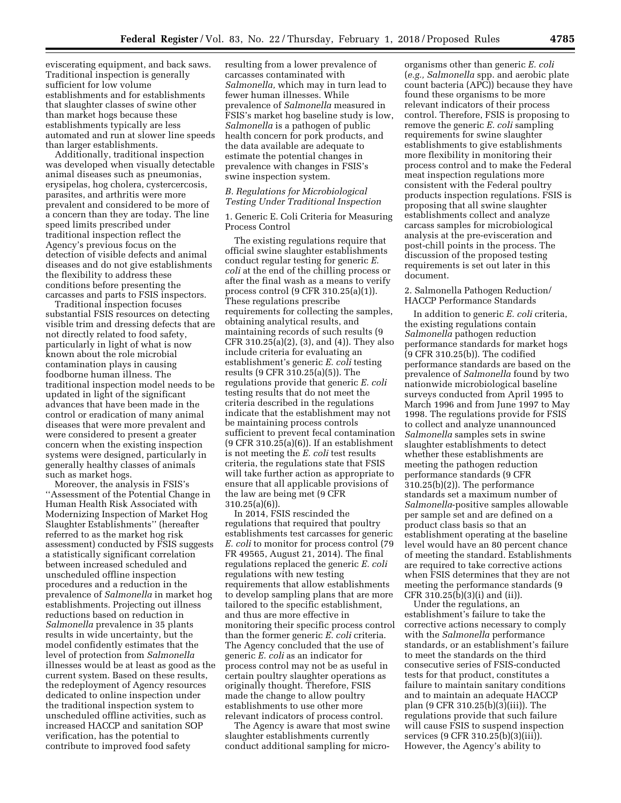eviscerating equipment, and back saws. Traditional inspection is generally sufficient for low volume establishments and for establishments that slaughter classes of swine other than market hogs because these establishments typically are less automated and run at slower line speeds than larger establishments.

Additionally, traditional inspection was developed when visually detectable animal diseases such as pneumonias, erysipelas, hog cholera, cystercercosis, parasites, and arthritis were more prevalent and considered to be more of a concern than they are today. The line speed limits prescribed under traditional inspection reflect the Agency's previous focus on the detection of visible defects and animal diseases and do not give establishments the flexibility to address these conditions before presenting the carcasses and parts to FSIS inspectors.

Traditional inspection focuses substantial FSIS resources on detecting visible trim and dressing defects that are not directly related to food safety, particularly in light of what is now known about the role microbial contamination plays in causing foodborne human illness. The traditional inspection model needs to be updated in light of the significant advances that have been made in the control or eradication of many animal diseases that were more prevalent and were considered to present a greater concern when the existing inspection systems were designed, particularly in generally healthy classes of animals such as market hogs.

Moreover, the analysis in FSIS's ''Assessment of the Potential Change in Human Health Risk Associated with Modernizing Inspection of Market Hog Slaughter Establishments'' (hereafter referred to as the market hog risk assessment) conducted by FSIS suggests a statistically significant correlation between increased scheduled and unscheduled offline inspection procedures and a reduction in the prevalence of *Salmonella* in market hog establishments. Projecting out illness reductions based on reduction in *Salmonella* prevalence in 35 plants results in wide uncertainty, but the model confidently estimates that the level of protection from *Salmonella*  illnesses would be at least as good as the current system. Based on these results, the redeployment of Agency resources dedicated to online inspection under the traditional inspection system to unscheduled offline activities, such as increased HACCP and sanitation SOP verification, has the potential to contribute to improved food safety

resulting from a lower prevalence of carcasses contaminated with *Salmonella,* which may in turn lead to fewer human illnesses. While prevalence of *Salmonella* measured in FSIS's market hog baseline study is low, *Salmonella* is a pathogen of public health concern for pork products, and the data available are adequate to estimate the potential changes in prevalence with changes in FSIS's swine inspection system.

#### *B. Regulations for Microbiological Testing Under Traditional Inspection*

1. Generic E. Coli Criteria for Measuring Process Control

The existing regulations require that official swine slaughter establishments conduct regular testing for generic *E. coli* at the end of the chilling process or after the final wash as a means to verify process control (9 CFR 310.25(a)(1)). These regulations prescribe requirements for collecting the samples, obtaining analytical results, and maintaining records of such results (9 CFR 310.25(a)(2), (3), and (4)). They also include criteria for evaluating an establishment's generic *E. coli* testing results (9 CFR 310.25(a)(5)). The regulations provide that generic *E. coli*  testing results that do not meet the criteria described in the regulations indicate that the establishment may not be maintaining process controls sufficient to prevent fecal contamination (9 CFR 310.25(a)(6)). If an establishment is not meeting the *E. coli* test results criteria, the regulations state that FSIS will take further action as appropriate to ensure that all applicable provisions of the law are being met (9 CFR 310.25(a)(6)).

In 2014, FSIS rescinded the regulations that required that poultry establishments test carcasses for generic *E. coli* to monitor for process control (79 FR 49565, August 21, 2014). The final regulations replaced the generic *E. coli*  regulations with new testing requirements that allow establishments to develop sampling plans that are more tailored to the specific establishment, and thus are more effective in monitoring their specific process control than the former generic *E. coli* criteria. The Agency concluded that the use of generic *E. coli* as an indicator for process control may not be as useful in certain poultry slaughter operations as originally thought. Therefore, FSIS made the change to allow poultry establishments to use other more relevant indicators of process control.

The Agency is aware that most swine slaughter establishments currently conduct additional sampling for micro-

organisms other than generic *E. coli*  (*e.g., Salmonella* spp. and aerobic plate count bacteria (APC)) because they have found these organisms to be more relevant indicators of their process control. Therefore, FSIS is proposing to remove the generic *E. coli* sampling requirements for swine slaughter establishments to give establishments more flexibility in monitoring their process control and to make the Federal meat inspection regulations more consistent with the Federal poultry products inspection regulations. FSIS is proposing that all swine slaughter establishments collect and analyze carcass samples for microbiological analysis at the pre-evisceration and post-chill points in the process. The discussion of the proposed testing requirements is set out later in this document.

#### 2. Salmonella Pathogen Reduction/ HACCP Performance Standards

In addition to generic *E. coli* criteria, the existing regulations contain *Salmonella* pathogen reduction performance standards for market hogs (9 CFR 310.25(b)). The codified performance standards are based on the prevalence of *Salmonella* found by two nationwide microbiological baseline surveys conducted from April 1995 to March 1996 and from June 1997 to May 1998. The regulations provide for FSIS to collect and analyze unannounced *Salmonella* samples sets in swine slaughter establishments to detect whether these establishments are meeting the pathogen reduction performance standards (9 CFR 310.25(b)(2)). The performance standards set a maximum number of *Salmonella*-positive samples allowable per sample set and are defined on a product class basis so that an establishment operating at the baseline level would have an 80 percent chance of meeting the standard. Establishments are required to take corrective actions when FSIS determines that they are not meeting the performance standards (9 CFR 310.25(b)(3)(i) and (ii)).

Under the regulations, an establishment's failure to take the corrective actions necessary to comply with the *Salmonella* performance standards, or an establishment's failure to meet the standards on the third consecutive series of FSIS-conducted tests for that product, constitutes a failure to maintain sanitary conditions and to maintain an adequate HACCP plan (9 CFR 310.25(b)(3)(iii)). The regulations provide that such failure will cause FSIS to suspend inspection services (9 CFR 310.25(b)(3)(iii)). However, the Agency's ability to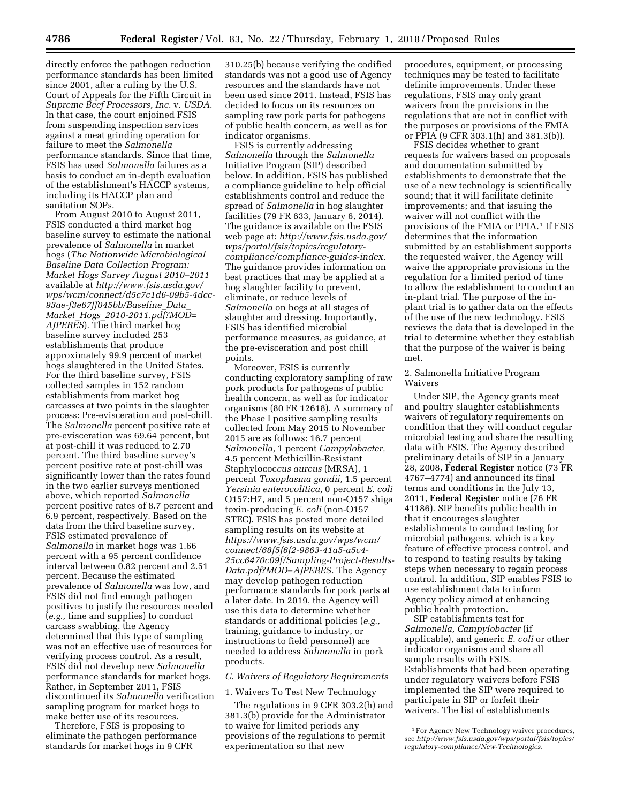directly enforce the pathogen reduction performance standards has been limited since 2001, after a ruling by the U.S. Court of Appeals for the Fifth Circuit in *Supreme Beef Processors, Inc.* v. *USDA.*  In that case, the court enjoined FSIS from suspending inspection services against a meat grinding operation for failure to meet the *Salmonella*  performance standards. Since that time, FSIS has used *Salmonella* failures as a basis to conduct an in-depth evaluation of the establishment's HACCP systems, including its HACCP plan and sanitation SOPs.

From August 2010 to August 2011, FSIS conducted a third market hog baseline survey to estimate the national prevalence of *Salmonella* in market hogs (*The Nationwide Microbiological Baseline Data Collection Program: Market Hogs Survey August 2010–2011*  available at *[http://www.fsis.usda.gov/](http://www.fsis.usda.gov/wps/wcm/connect/d5c7c1d6-09b5-4dcc-93ae-f3e67ff045bb/Baseline_Data_Market_Hogs_2010-2011.pdf?MOD=AJPERES) [wps/wcm/connect/d5c7c1d6-09b5-4dcc-](http://www.fsis.usda.gov/wps/wcm/connect/d5c7c1d6-09b5-4dcc-93ae-f3e67ff045bb/Baseline_Data_Market_Hogs_2010-2011.pdf?MOD=AJPERES)[93ae-f3e67ff045bb/Baseline](http://www.fsis.usda.gov/wps/wcm/connect/d5c7c1d6-09b5-4dcc-93ae-f3e67ff045bb/Baseline_Data_Market_Hogs_2010-2011.pdf?MOD=AJPERES)*\_*Data*\_ *Market*\_*Hogs*\_*[2010-2011.pdf?MOD=](http://www.fsis.usda.gov/wps/wcm/connect/d5c7c1d6-09b5-4dcc-93ae-f3e67ff045bb/Baseline_Data_Market_Hogs_2010-2011.pdf?MOD=AJPERES) [AJPERES](http://www.fsis.usda.gov/wps/wcm/connect/d5c7c1d6-09b5-4dcc-93ae-f3e67ff045bb/Baseline_Data_Market_Hogs_2010-2011.pdf?MOD=AJPERES)*). The third market hog baseline survey included 253 establishments that produce approximately 99.9 percent of market hogs slaughtered in the United States. For the third baseline survey, FSIS collected samples in 152 random establishments from market hog carcasses at two points in the slaughter process: Pre-evisceration and post-chill. The *Salmonella* percent positive rate at pre-evisceration was 69.64 percent, but at post-chill it was reduced to 2.70 percent. The third baseline survey's percent positive rate at post-chill was significantly lower than the rates found in the two earlier surveys mentioned above, which reported *Salmonella*  percent positive rates of 8.7 percent and 6.9 percent, respectively. Based on the data from the third baseline survey, FSIS estimated prevalence of *Salmonella* in market hogs was 1.66 percent with a 95 percent confidence interval between 0.82 percent and 2.51 percent. Because the estimated prevalence of *Salmonella* was low, and FSIS did not find enough pathogen positives to justify the resources needed (*e.g.,* time and supplies) to conduct carcass swabbing, the Agency determined that this type of sampling was not an effective use of resources for verifying process control. As a result, FSIS did not develop new *Salmonella*  performance standards for market hogs. Rather, in September 2011, FSIS discontinued its *Salmonella* verification sampling program for market hogs to make better use of its resources.

Therefore, FSIS is proposing to eliminate the pathogen performance standards for market hogs in 9 CFR

310.25(b) because verifying the codified standards was not a good use of Agency resources and the standards have not been used since 2011. Instead, FSIS has decided to focus on its resources on sampling raw pork parts for pathogens of public health concern, as well as for indicator organisms.

FSIS is currently addressing *Salmonella* through the *Salmonella*  Initiative Program (SIP) described below. In addition, FSIS has published a compliance guideline to help official establishments control and reduce the spread of *Salmonella* in hog slaughter facilities (79 FR 633, January 6, 2014). The guidance is available on the FSIS web page at: *[http://www.fsis.usda.gov/](http://www.fsis.usda.gov/wps/portal/fsis/topics/regulatory-compliance/compliance-guides-index) [wps/portal/fsis/topics/regulatory](http://www.fsis.usda.gov/wps/portal/fsis/topics/regulatory-compliance/compliance-guides-index)[compliance/compliance-guides-index.](http://www.fsis.usda.gov/wps/portal/fsis/topics/regulatory-compliance/compliance-guides-index)*  The guidance provides information on best practices that may be applied at a hog slaughter facility to prevent, eliminate, or reduce levels of *Salmonella* on hogs at all stages of slaughter and dressing. Importantly, FSIS has identified microbial performance measures, as guidance, at the pre-evisceration and post chill points.

Moreover, FSIS is currently conducting exploratory sampling of raw pork products for pathogens of public health concern, as well as for indicator organisms (80 FR 12618). A summary of the Phase I positive sampling results collected from May 2015 to November 2015 are as follows: 16.7 percent *Salmonella,* 1 percent *Campylobacter,*  4.5 percent Methicillin-Resistant Staphylococ*cus aureus* (MRSA), 1 percent *Toxoplasma gondii,* 1.5 percent *Yersinia enterocolitica,* 0 percent *E. coli*  O157:H7, and 5 percent non-O157 shiga toxin-producing *E. coli* (non-O157 STEC). FSIS has posted more detailed sampling results on its website at *[https://www.fsis.usda.gov/wps/wcm/](https://www.fsis.usda.gov/wps/wcm/connect/68f5f6f2-9863-41a5-a5c4-25cc6470c09f/Sampling-Project-Results-Data.pdf?MOD=AJPERES)  [connect/68f5f6f2-9863-41a5-a5c4-](https://www.fsis.usda.gov/wps/wcm/connect/68f5f6f2-9863-41a5-a5c4-25cc6470c09f/Sampling-Project-Results-Data.pdf?MOD=AJPERES)  [25cc6470c09f/Sampling-Project-Results-](https://www.fsis.usda.gov/wps/wcm/connect/68f5f6f2-9863-41a5-a5c4-25cc6470c09f/Sampling-Project-Results-Data.pdf?MOD=AJPERES)[Data.pdf?MOD=AJPERES.](https://www.fsis.usda.gov/wps/wcm/connect/68f5f6f2-9863-41a5-a5c4-25cc6470c09f/Sampling-Project-Results-Data.pdf?MOD=AJPERES)* The Agency may develop pathogen reduction performance standards for pork parts at a later date. In 2019, the Agency will use this data to determine whether standards or additional policies (*e.g.,*  training, guidance to industry, or instructions to field personnel) are needed to address *Salmonella* in pork products.

#### *C. Waivers of Regulatory Requirements*

1. Waivers To Test New Technology

The regulations in 9 CFR 303.2(h) and 381.3(b) provide for the Administrator to waive for limited periods any provisions of the regulations to permit experimentation so that new

procedures, equipment, or processing techniques may be tested to facilitate definite improvements. Under these regulations, FSIS may only grant waivers from the provisions in the regulations that are not in conflict with the purposes or provisions of the FMIA or PPIA (9 CFR 303.1(h) and 381.3(b)).

FSIS decides whether to grant requests for waivers based on proposals and documentation submitted by establishments to demonstrate that the use of a new technology is scientifically sound; that it will facilitate definite improvements; and that issuing the waiver will not conflict with the provisions of the FMIA or PPIA.1 If FSIS determines that the information submitted by an establishment supports the requested waiver, the Agency will waive the appropriate provisions in the regulation for a limited period of time to allow the establishment to conduct an in-plant trial. The purpose of the inplant trial is to gather data on the effects of the use of the new technology. FSIS reviews the data that is developed in the trial to determine whether they establish that the purpose of the waiver is being met.

#### 2. Salmonella Initiative Program Waivers

Under SIP, the Agency grants meat and poultry slaughter establishments waivers of regulatory requirements on condition that they will conduct regular microbial testing and share the resulting data with FSIS. The Agency described preliminary details of SIP in a January 28, 2008, **Federal Register** notice (73 FR 4767–4774) and announced its final terms and conditions in the July 13, 2011, **Federal Register** notice (76 FR 41186). SIP benefits public health in that it encourages slaughter establishments to conduct testing for microbial pathogens, which is a key feature of effective process control, and to respond to testing results by taking steps when necessary to regain process control. In addition, SIP enables FSIS to use establishment data to inform Agency policy aimed at enhancing public health protection.

SIP establishments test for *Salmonella, Campylobacter* (if applicable), and generic *E. coli* or other indicator organisms and share all sample results with FSIS. Establishments that had been operating under regulatory waivers before FSIS implemented the SIP were required to participate in SIP or forfeit their waivers. The list of establishments

<sup>1</sup>For Agency New Technology waiver procedures, see *[http://www.fsis.usda.gov/wps/portal/fsis/topics/](http://www.fsis.usda.gov/wps/portal/fsis/topics/regulatory-compliance/New-Technologies) [regulatory-compliance/New-Technologies.](http://www.fsis.usda.gov/wps/portal/fsis/topics/regulatory-compliance/New-Technologies)*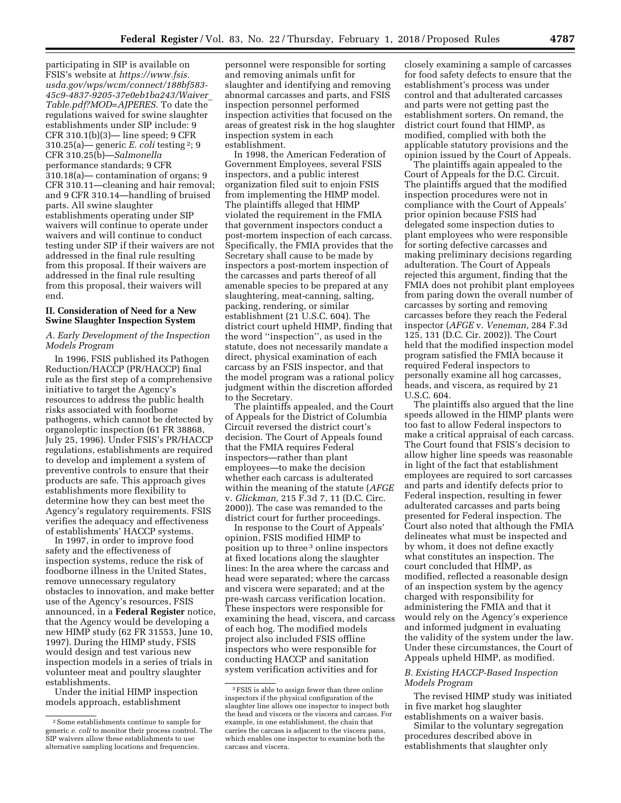participating in SIP is available on FSIS's website at *[https://www.fsis.](https://www.fsis.usda.gov/wps/wcm/connect/188bf583-45c9-4837-9205-37e0eb1ba243/Waiver_Table.pdf?MOD=AJPERES) [usda.gov/wps/wcm/connect/188bf583-](https://www.fsis.usda.gov/wps/wcm/connect/188bf583-45c9-4837-9205-37e0eb1ba243/Waiver_Table.pdf?MOD=AJPERES)  [45c9-4837-9205-37e0eb1ba243/Waiver](https://www.fsis.usda.gov/wps/wcm/connect/188bf583-45c9-4837-9205-37e0eb1ba243/Waiver_Table.pdf?MOD=AJPERES)*\_ *[Table.pdf?MOD=AJPERES.](https://www.fsis.usda.gov/wps/wcm/connect/188bf583-45c9-4837-9205-37e0eb1ba243/Waiver_Table.pdf?MOD=AJPERES)* To date the regulations waived for swine slaughter establishments under SIP include: 9 CFR 310.1(b)(3)— line speed; 9 CFR 310.25(a)— generic *E. coli* testing 2; 9 CFR 310.25(b)—*Salmonella*  performance standards; 9 CFR 310.18(a)— contamination of organs; 9 CFR 310.11—cleaning and hair removal; and 9 CFR 310.14—handling of bruised parts. All swine slaughter establishments operating under SIP waivers will continue to operate under waivers and will continue to conduct testing under SIP if their waivers are not addressed in the final rule resulting from this proposal. If their waivers are addressed in the final rule resulting from this proposal, their waivers will end.

### **II. Consideration of Need for a New Swine Slaughter Inspection System**

### *A. Early Development of the Inspection Models Program*

In 1996, FSIS published its Pathogen Reduction/HACCP (PR/HACCP) final rule as the first step of a comprehensive initiative to target the Agency's resources to address the public health risks associated with foodborne pathogens, which cannot be detected by organoleptic inspection (61 FR 38868, July 25, 1996). Under FSIS's PR/HACCP regulations, establishments are required to develop and implement a system of preventive controls to ensure that their products are safe. This approach gives establishments more flexibility to determine how they can best meet the Agency's regulatory requirements. FSIS verifies the adequacy and effectiveness of establishments' HACCP systems.

In 1997, in order to improve food safety and the effectiveness of inspection systems, reduce the risk of foodborne illness in the United States, remove unnecessary regulatory obstacles to innovation, and make better use of the Agency's resources, FSIS announced, in a **Federal Register** notice, that the Agency would be developing a new HIMP study (62 FR 31553, June 10, 1997). During the HIMP study, FSIS would design and test various new inspection models in a series of trials in volunteer meat and poultry slaughter establishments.

Under the initial HIMP inspection models approach, establishment

personnel were responsible for sorting and removing animals unfit for slaughter and identifying and removing abnormal carcasses and parts, and FSIS inspection personnel performed inspection activities that focused on the areas of greatest risk in the hog slaughter inspection system in each establishment.

In 1998, the American Federation of Government Employees, several FSIS inspectors, and a public interest organization filed suit to enjoin FSIS from implementing the HIMP model. The plaintiffs alleged that HIMP violated the requirement in the FMIA that government inspectors conduct a post-mortem inspection of each carcass. Specifically, the FMIA provides that the Secretary shall cause to be made by inspectors a post-mortem inspection of the carcasses and parts thereof of all amenable species to be prepared at any slaughtering, meat-canning, salting, packing, rendering, or similar establishment (21 U.S.C. 604). The district court upheld HIMP, finding that the word ''inspection'', as used in the statute, does not necessarily mandate a direct, physical examination of each carcass by an FSIS inspector, and that the model program was a rational policy judgment within the discretion afforded to the Secretary.

The plaintiffs appealed, and the Court of Appeals for the District of Columbia Circuit reversed the district court's decision. The Court of Appeals found that the FMIA requires Federal inspectors—rather than plant employees—to make the decision whether each carcass is adulterated within the meaning of the statute (*AFGE*  v. *Glickman,* 215 F.3d 7, 11 (D.C. Circ. 2000)). The case was remanded to the district court for further proceedings.

In response to the Court of Appeals' opinion, FSIS modified HIMP to position up to three 3 online inspectors at fixed locations along the slaughter lines: In the area where the carcass and head were separated; where the carcass and viscera were separated; and at the pre-wash carcass verification location. These inspectors were responsible for examining the head, viscera, and carcass of each hog. The modified models project also included FSIS offline inspectors who were responsible for conducting HACCP and sanitation system verification activities and for

closely examining a sample of carcasses for food safety defects to ensure that the establishment's process was under control and that adulterated carcasses and parts were not getting past the establishment sorters. On remand, the district court found that HIMP, as modified, complied with both the applicable statutory provisions and the opinion issued by the Court of Appeals.

The plaintiffs again appealed to the Court of Appeals for the D.C. Circuit. The plaintiffs argued that the modified inspection procedures were not in compliance with the Court of Appeals' prior opinion because FSIS had delegated some inspection duties to plant employees who were responsible for sorting defective carcasses and making preliminary decisions regarding adulteration. The Court of Appeals rejected this argument, finding that the FMIA does not prohibit plant employees from paring down the overall number of carcasses by sorting and removing carcasses before they reach the Federal inspector (*AFGE* v. *Veneman,* 284 F.3d 125, 131 (D.C. Cir. 2002)). The Court held that the modified inspection model program satisfied the FMIA because it required Federal inspectors to personally examine all hog carcasses, heads, and viscera, as required by 21 U.S.C. 604.

The plaintiffs also argued that the line speeds allowed in the HIMP plants were too fast to allow Federal inspectors to make a critical appraisal of each carcass. The Court found that FSIS's decision to allow higher line speeds was reasonable in light of the fact that establishment employees are required to sort carcasses and parts and identify defects prior to Federal inspection, resulting in fewer adulterated carcasses and parts being presented for Federal inspection. The Court also noted that although the FMIA delineates what must be inspected and by whom, it does not define exactly what constitutes an inspection. The court concluded that HIMP, as modified, reflected a reasonable design of an inspection system by the agency charged with responsibility for administering the FMIA and that it would rely on the Agency's experience and informed judgment in evaluating the validity of the system under the law. Under these circumstances, the Court of Appeals upheld HIMP, as modified.

### *B. Existing HACCP-Based Inspection Models Program*

The revised HIMP study was initiated in five market hog slaughter establishments on a waiver basis.

Similar to the voluntary segregation procedures described above in establishments that slaughter only

<sup>2</sup>Some establishments continue to sample for generic *e. coli* to monitor their process control. The SIP waivers allow these establishments to use alternative sampling locations and frequencies.

<sup>3</sup>FSIS is able to assign fewer than three online inspectors if the physical configuration of the slaughter line allows one inspector to inspect both the head and viscera or the viscera and carcass. For example, in one establishment, the chain that carries the carcass is adjacent to the viscera pans, which enables one inspector to examine both the carcass and viscera.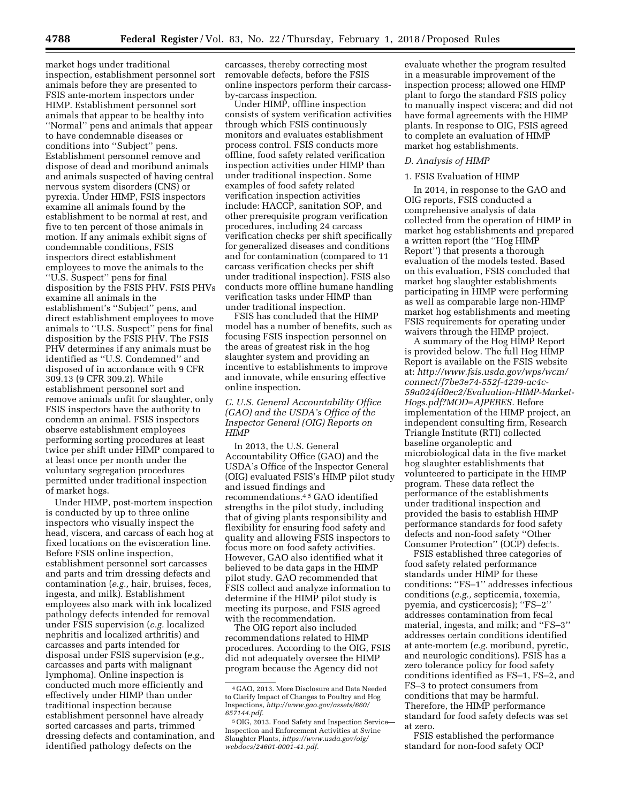market hogs under traditional inspection, establishment personnel sort animals before they are presented to FSIS ante-mortem inspectors under HIMP. Establishment personnel sort animals that appear to be healthy into ''Normal'' pens and animals that appear to have condemnable diseases or conditions into ''Subject'' pens. Establishment personnel remove and dispose of dead and moribund animals and animals suspected of having central nervous system disorders (CNS) or pyrexia. Under HIMP, FSIS inspectors examine all animals found by the establishment to be normal at rest, and five to ten percent of those animals in motion. If any animals exhibit signs of condemnable conditions, FSIS inspectors direct establishment employees to move the animals to the ''U.S. Suspect'' pens for final disposition by the FSIS PHV. FSIS PHVs examine all animals in the establishment's ''Subject'' pens, and direct establishment employees to move animals to ''U.S. Suspect'' pens for final disposition by the FSIS PHV. The FSIS PHV determines if any animals must be identified as ''U.S. Condemned'' and disposed of in accordance with 9 CFR 309.13 (9 CFR 309.2). While establishment personnel sort and remove animals unfit for slaughter, only FSIS inspectors have the authority to condemn an animal. FSIS inspectors observe establishment employees performing sorting procedures at least twice per shift under HIMP compared to at least once per month under the voluntary segregation procedures permitted under traditional inspection of market hogs.

Under HIMP, post-mortem inspection is conducted by up to three online inspectors who visually inspect the head, viscera, and carcass of each hog at fixed locations on the evisceration line. Before FSIS online inspection, establishment personnel sort carcasses and parts and trim dressing defects and contamination (*e.g.,* hair, bruises, feces, ingesta, and milk). Establishment employees also mark with ink localized pathology defects intended for removal under FSIS supervision (*e.g.* localized nephritis and localized arthritis) and carcasses and parts intended for disposal under FSIS supervision (*e.g.,*  carcasses and parts with malignant lymphoma). Online inspection is conducted much more efficiently and effectively under HIMP than under traditional inspection because establishment personnel have already sorted carcasses and parts, trimmed dressing defects and contamination, and identified pathology defects on the

carcasses, thereby correcting most removable defects, before the FSIS online inspectors perform their carcassby-carcass inspection.

Under HIMP, offline inspection consists of system verification activities through which FSIS continuously monitors and evaluates establishment process control. FSIS conducts more offline, food safety related verification inspection activities under HIMP than under traditional inspection. Some examples of food safety related verification inspection activities include: HACCP, sanitation SOP, and other prerequisite program verification procedures, including 24 carcass verification checks per shift specifically for generalized diseases and conditions and for contamination (compared to 11 carcass verification checks per shift under traditional inspection). FSIS also conducts more offline humane handling verification tasks under HIMP than under traditional inspection.

FSIS has concluded that the HIMP model has a number of benefits, such as focusing FSIS inspection personnel on the areas of greatest risk in the hog slaughter system and providing an incentive to establishments to improve and innovate, while ensuring effective online inspection.

*C. U.S. General Accountability Office (GAO) and the USDA's Office of the Inspector General (OIG) Reports on HIMP* 

In 2013, the U.S. General Accountability Office (GAO) and the USDA's Office of the Inspector General (OIG) evaluated FSIS's HIMP pilot study and issued findings and recommendations.4 5 GAO identified strengths in the pilot study, including that of giving plants responsibility and flexibility for ensuring food safety and quality and allowing FSIS inspectors to focus more on food safety activities. However, GAO also identified what it believed to be data gaps in the HIMP pilot study. GAO recommended that FSIS collect and analyze information to determine if the HIMP pilot study is meeting its purpose, and FSIS agreed with the recommendation.

The OIG report also included recommendations related to HIMP procedures. According to the OIG, FSIS did not adequately oversee the HIMP program because the Agency did not

evaluate whether the program resulted in a measurable improvement of the inspection process; allowed one HIMP plant to forgo the standard FSIS policy to manually inspect viscera; and did not have formal agreements with the HIMP plants. In response to OIG, FSIS agreed to complete an evaluation of HIMP market hog establishments.

#### *D. Analysis of HIMP*

#### 1. FSIS Evaluation of HIMP

In 2014, in response to the GAO and OIG reports, FSIS conducted a comprehensive analysis of data collected from the operation of HIMP in market hog establishments and prepared a written report (the ''Hog HIMP Report'') that presents a thorough evaluation of the models tested. Based on this evaluation, FSIS concluded that market hog slaughter establishments participating in HIMP were performing as well as comparable large non-HIMP market hog establishments and meeting FSIS requirements for operating under waivers through the HIMP project.

A summary of the Hog HIMP Report is provided below. The full Hog HIMP Report is available on the FSIS website at: *[http://www.fsis.usda.gov/wps/wcm/](http://www.fsis.usda.gov/wps/wcm/connect/f7be3e74-552f-4239-ac4c-59a024fd0ec2/Evaluation-HIMP-Market-Hogs.pdf?MOD=AJPERES) [connect/f7be3e74-552f-4239-ac4c-](http://www.fsis.usda.gov/wps/wcm/connect/f7be3e74-552f-4239-ac4c-59a024fd0ec2/Evaluation-HIMP-Market-Hogs.pdf?MOD=AJPERES)[59a024fd0ec2/Evaluation-HIMP-Market-](http://www.fsis.usda.gov/wps/wcm/connect/f7be3e74-552f-4239-ac4c-59a024fd0ec2/Evaluation-HIMP-Market-Hogs.pdf?MOD=AJPERES)[Hogs.pdf?MOD=AJPERES.](http://www.fsis.usda.gov/wps/wcm/connect/f7be3e74-552f-4239-ac4c-59a024fd0ec2/Evaluation-HIMP-Market-Hogs.pdf?MOD=AJPERES)* Before implementation of the HIMP project, an independent consulting firm, Research Triangle Institute (RTI) collected baseline organoleptic and microbiological data in the five market hog slaughter establishments that volunteered to participate in the HIMP program. These data reflect the performance of the establishments under traditional inspection and provided the basis to establish HIMP performance standards for food safety defects and non-food safety ''Other Consumer Protection'' (OCP) defects.

FSIS established three categories of food safety related performance standards under HIMP for these conditions: ''FS–1'' addresses infectious conditions (*e.g.,* septicemia, toxemia, pyemia, and cysticercosis); ''FS–2'' addresses contamination from fecal material, ingesta, and milk; and ''FS–3'' addresses certain conditions identified at ante-mortem (*e.g.* moribund, pyretic, and neurologic conditions). FSIS has a zero tolerance policy for food safety conditions identified as FS–1, FS–2, and FS–3 to protect consumers from conditions that may be harmful. Therefore, the HIMP performance standard for food safety defects was set at zero.

FSIS established the performance standard for non-food safety OCP

<sup>4</sup> GAO, 2013. More Disclosure and Data Needed to Clarify Impact of Changes to Poultry and Hog Inspections, *[http://www.gao.gov/assets/660/](http://www.gao.gov/assets/660/657144.pdf) [657144.pdf.](http://www.gao.gov/assets/660/657144.pdf)* 

<sup>5</sup>OIG, 2013. Food Safety and Inspection Service— Inspection and Enforcement Activities at Swine Slaughter Plants, *[https://www.usda.gov/oig/](https://www.usda.gov/oig/webdocs/24601-0001-41.pdf)  [webdocs/24601-0001-41.pdf.](https://www.usda.gov/oig/webdocs/24601-0001-41.pdf)*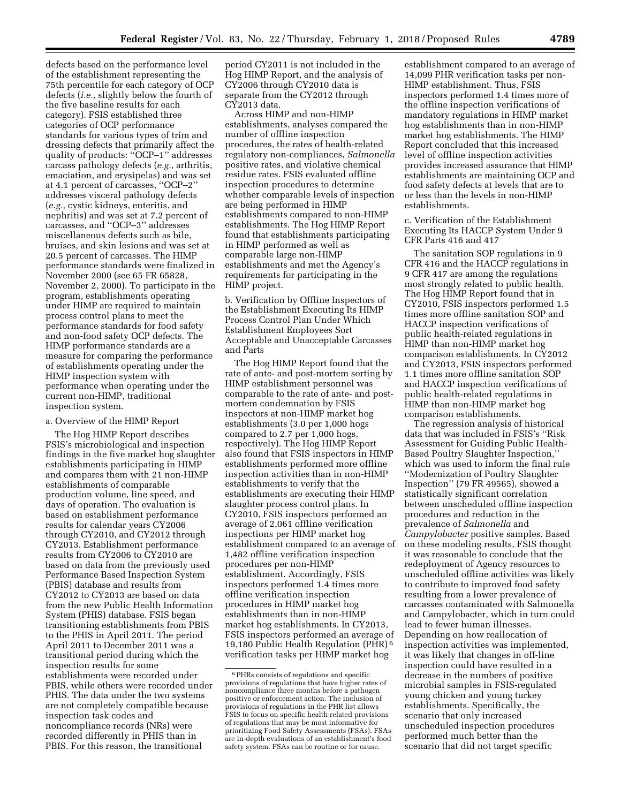defects based on the performance level of the establishment representing the 75th percentile for each category of OCP defects (*i.e.,* slightly below the fourth of the five baseline results for each category). FSIS established three categories of OCP performance standards for various types of trim and dressing defects that primarily affect the quality of products: ''OCP–1'' addresses carcass pathology defects (*e.g.,* arthritis, emaciation, and erysipelas) and was set at 4.1 percent of carcasses, ''OCP–2'' addresses visceral pathology defects (*e.g.,* cystic kidneys, enteritis, and nephritis) and was set at 7.2 percent of carcasses, and ''OCP–3'' addresses miscellaneous defects such as bile, bruises, and skin lesions and was set at 20.5 percent of carcasses. The HIMP performance standards were finalized in November 2000 (see 65 FR 65828, November 2, 2000). To participate in the program, establishments operating under HIMP are required to maintain process control plans to meet the performance standards for food safety and non-food safety OCP defects. The HIMP performance standards are a measure for comparing the performance of establishments operating under the HIMP inspection system with performance when operating under the current non-HIMP, traditional inspection system.

#### a. Overview of the HIMP Report

The Hog HIMP Report describes FSIS's microbiological and inspection findings in the five market hog slaughter establishments participating in HIMP and compares them with 21 non-HIMP establishments of comparable production volume, line speed, and days of operation. The evaluation is based on establishment performance results for calendar years CY2006 through CY2010, and CY2012 through CY2013. Establishment performance results from CY2006 to CY2010 are based on data from the previously used Performance Based Inspection System (PBIS) database and results from CY2012 to CY2013 are based on data from the new Public Health Information System (PHIS) database. FSIS began transitioning establishments from PBIS to the PHIS in April 2011. The period April 2011 to December 2011 was a transitional period during which the inspection results for some establishments were recorded under PBIS, while others were recorded under PHIS. The data under the two systems are not completely compatible because inspection task codes and noncompliance records (NRs) were recorded differently in PHIS than in PBIS. For this reason, the transitional

period CY2011 is not included in the Hog HIMP Report, and the analysis of CY2006 through CY2010 data is separate from the CY2012 through CY2013 data.

Across HIMP and non-HIMP establishments, analyses compared the number of offline inspection procedures, the rates of health-related regulatory non-compliances, *Salmonella*  positive rates, and violative chemical residue rates. FSIS evaluated offline inspection procedures to determine whether comparable levels of inspection are being performed in HIMP establishments compared to non-HIMP establishments. The Hog HIMP Report found that establishments participating in HIMP performed as well as comparable large non-HIMP establishments and met the Agency's requirements for participating in the HIMP project.

b. Verification by Offline Inspectors of the Establishment Executing Its HIMP Process Control Plan Under Which Establishment Employees Sort Acceptable and Unacceptable Carcasses and Parts

The Hog HIMP Report found that the rate of ante- and post-mortem sorting by HIMP establishment personnel was comparable to the rate of ante- and postmortem condemnation by FSIS inspectors at non-HIMP market hog establishments (3.0 per 1,000 hogs compared to 2.7 per 1,000 hogs, respectively). The Hog HIMP Report also found that FSIS inspectors in HIMP establishments performed more offline inspection activities than in non-HIMP establishments to verify that the establishments are executing their HIMP slaughter process control plans. In CY2010, FSIS inspectors performed an average of 2,061 offline verification inspections per HIMP market hog establishment compared to an average of 1,482 offline verification inspection procedures per non-HIMP establishment. Accordingly, FSIS inspectors performed 1.4 times more offline verification inspection procedures in HIMP market hog establishments than in non-HIMP market hog establishments. In CY2013, FSIS inspectors performed an average of 19,180 Public Health Regulation (PHR) 6 verification tasks per HIMP market hog

establishment compared to an average of 14,099 PHR verification tasks per non-HIMP establishment. Thus, FSIS inspectors performed 1.4 times more of the offline inspection verifications of mandatory regulations in HIMP market hog establishments than in non-HIMP market hog establishments. The HIMP Report concluded that this increased level of offline inspection activities provides increased assurance that HIMP establishments are maintaining OCP and food safety defects at levels that are to or less than the levels in non-HIMP establishments.

c. Verification of the Establishment Executing Its HACCP System Under 9 CFR Parts 416 and 417

The sanitation SOP regulations in 9 CFR 416 and the HACCP regulations in 9 CFR 417 are among the regulations most strongly related to public health. The Hog HIMP Report found that in CY2010, FSIS inspectors performed 1.5 times more offline sanitation SOP and HACCP inspection verifications of public health-related regulations in HIMP than non-HIMP market hog comparison establishments. In CY2012 and CY2013, FSIS inspectors performed 1.1 times more offline sanitation SOP and HACCP inspection verifications of public health-related regulations in HIMP than non-HIMP market hog comparison establishments.

The regression analysis of historical data that was included in FSIS's ''Risk Assessment for Guiding Public Health-Based Poultry Slaughter Inspection,'' which was used to inform the final rule ''Modernization of Poultry Slaughter Inspection'' (79 FR 49565), showed a statistically significant correlation between unscheduled offline inspection procedures and reduction in the prevalence of *Salmonella* and *Campylobacter* positive samples. Based on these modeling results, FSIS thought it was reasonable to conclude that the redeployment of Agency resources to unscheduled offline activities was likely to contribute to improved food safety resulting from a lower prevalence of carcasses contaminated with Salmonella and Campylobacter, which in turn could lead to fewer human illnesses. Depending on how reallocation of inspection activities was implemented, it was likely that changes in off-line inspection could have resulted in a decrease in the numbers of positive microbial samples in FSIS-regulated young chicken and young turkey establishments. Specifically, the scenario that only increased unscheduled inspection procedures performed much better than the scenario that did not target specific

<sup>6</sup>PHRs consists of regulations and specific provisions of regulations that have higher rates of noncompliance three months before a pathogen positive or enforcement action. The inclusion of provisions of regulations in the PHR list allows FSIS to focus on specific health related provisions of regulations that may be most informative for prioritizing Food Safety Assessments (FSAs). FSAs are in-depth evaluations of an establishment's food safety system. FSAs can be routine or for cause.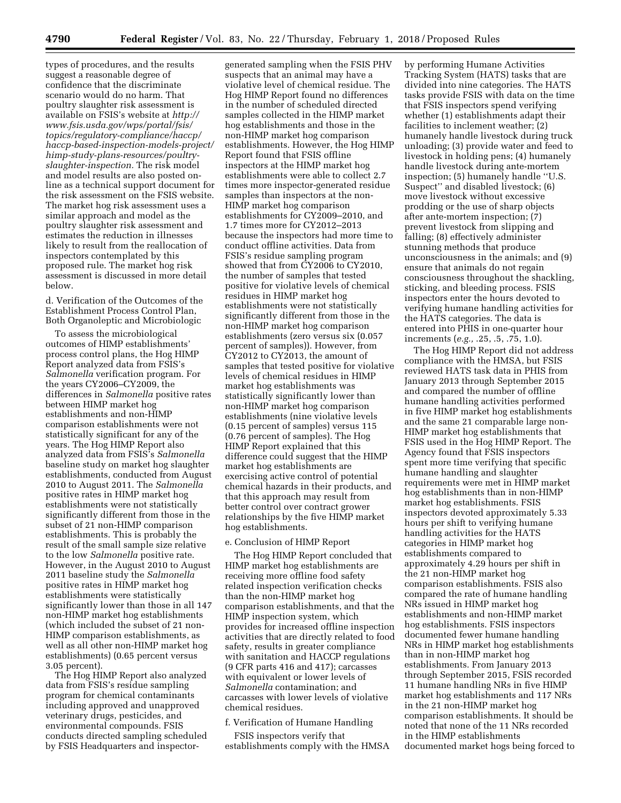types of procedures, and the results suggest a reasonable degree of confidence that the discriminate scenario would do no harm. That poultry slaughter risk assessment is available on FSIS's website at *[http://](http://www.fsis.usda.gov/wps/portal/fsis/topics/regulatory-compliance/haccp/haccp-based-inspection-models-project/himp-study-plans-resources/poultry-slaughter-inspection) [www.fsis.usda.gov/wps/portal/fsis/](http://www.fsis.usda.gov/wps/portal/fsis/topics/regulatory-compliance/haccp/haccp-based-inspection-models-project/himp-study-plans-resources/poultry-slaughter-inspection)  [topics/regulatory-compliance/haccp/](http://www.fsis.usda.gov/wps/portal/fsis/topics/regulatory-compliance/haccp/haccp-based-inspection-models-project/himp-study-plans-resources/poultry-slaughter-inspection)  [haccp-based-inspection-models-project/](http://www.fsis.usda.gov/wps/portal/fsis/topics/regulatory-compliance/haccp/haccp-based-inspection-models-project/himp-study-plans-resources/poultry-slaughter-inspection)  [himp-study-plans-resources/poultry](http://www.fsis.usda.gov/wps/portal/fsis/topics/regulatory-compliance/haccp/haccp-based-inspection-models-project/himp-study-plans-resources/poultry-slaughter-inspection)[slaughter-inspection.](http://www.fsis.usda.gov/wps/portal/fsis/topics/regulatory-compliance/haccp/haccp-based-inspection-models-project/himp-study-plans-resources/poultry-slaughter-inspection)* The risk model and model results are also posted online as a technical support document for the risk assessment on the FSIS website. The market hog risk assessment uses a similar approach and model as the poultry slaughter risk assessment and estimates the reduction in illnesses likely to result from the reallocation of inspectors contemplated by this proposed rule. The market hog risk assessment is discussed in more detail below.

d. Verification of the Outcomes of the Establishment Process Control Plan, Both Organoleptic and Microbiologic

To assess the microbiological outcomes of HIMP establishments' process control plans, the Hog HIMP Report analyzed data from FSIS's *Salmonella* verification program. For the years CY2006–CY2009, the differences in *Salmonella* positive rates between HIMP market hog establishments and non-HIMP comparison establishments were not statistically significant for any of the years. The Hog HIMP Report also analyzed data from FSIS's *Salmonella*  baseline study on market hog slaughter establishments, conducted from August 2010 to August 2011. The *Salmonella*  positive rates in HIMP market hog establishments were not statistically significantly different from those in the subset of 21 non-HIMP comparison establishments. This is probably the result of the small sample size relative to the low *Salmonella* positive rate. However, in the August 2010 to August 2011 baseline study the *Salmonella*  positive rates in HIMP market hog establishments were statistically significantly lower than those in all 147 non-HIMP market hog establishments (which included the subset of 21 non-HIMP comparison establishments, as well as all other non-HIMP market hog establishments) (0.65 percent versus 3.05 percent).

The Hog HIMP Report also analyzed data from FSIS's residue sampling program for chemical contaminants including approved and unapproved veterinary drugs, pesticides, and environmental compounds. FSIS conducts directed sampling scheduled by FSIS Headquarters and inspector-

generated sampling when the FSIS PHV suspects that an animal may have a violative level of chemical residue. The Hog HIMP Report found no differences in the number of scheduled directed samples collected in the HIMP market hog establishments and those in the non-HIMP market hog comparison establishments. However, the Hog HIMP Report found that FSIS offline inspectors at the HIMP market hog establishments were able to collect 2.7 times more inspector-generated residue samples than inspectors at the non-HIMP market hog comparison establishments for CY2009–2010, and 1.7 times more for CY2012–2013 because the inspectors had more time to conduct offline activities. Data from FSIS's residue sampling program showed that from CY2006 to CY2010, the number of samples that tested positive for violative levels of chemical residues in HIMP market hog establishments were not statistically significantly different from those in the non-HIMP market hog comparison establishments (zero versus six (0.057 percent of samples)). However, from CY2012 to CY2013, the amount of samples that tested positive for violative levels of chemical residues in HIMP market hog establishments was statistically significantly lower than non-HIMP market hog comparison establishments (nine violative levels (0.15 percent of samples) versus 115 (0.76 percent of samples). The Hog HIMP Report explained that this difference could suggest that the HIMP market hog establishments are exercising active control of potential chemical hazards in their products, and that this approach may result from better control over contract grower relationships by the five HIMP market hog establishments.

#### e. Conclusion of HIMP Report

The Hog HIMP Report concluded that HIMP market hog establishments are receiving more offline food safety related inspection verification checks than the non-HIMP market hog comparison establishments, and that the HIMP inspection system, which provides for increased offline inspection activities that are directly related to food safety, results in greater compliance with sanitation and HACCP regulations (9 CFR parts 416 and 417); carcasses with equivalent or lower levels of *Salmonella* contamination; and carcasses with lower levels of violative chemical residues.

### f. Verification of Humane Handling

FSIS inspectors verify that establishments comply with the HMSA by performing Humane Activities Tracking System (HATS) tasks that are divided into nine categories. The HATS tasks provide FSIS with data on the time that FSIS inspectors spend verifying whether (1) establishments adapt their facilities to inclement weather; (2) humanely handle livestock during truck unloading; (3) provide water and feed to livestock in holding pens; (4) humanely handle livestock during ante-mortem inspection; (5) humanely handle ''U.S. Suspect'' and disabled livestock; (6) move livestock without excessive prodding or the use of sharp objects after ante-mortem inspection; (7) prevent livestock from slipping and falling; (8) effectively administer stunning methods that produce unconsciousness in the animals; and (9) ensure that animals do not regain consciousness throughout the shackling, sticking, and bleeding process. FSIS inspectors enter the hours devoted to verifying humane handling activities for the HATS categories. The data is entered into PHIS in one-quarter hour increments (*e.g.,* .25, .5, .75, 1.0).

The Hog HIMP Report did not address compliance with the HMSA, but FSIS reviewed HATS task data in PHIS from January 2013 through September 2015 and compared the number of offline humane handling activities performed in five HIMP market hog establishments and the same 21 comparable large non-HIMP market hog establishments that FSIS used in the Hog HIMP Report. The Agency found that FSIS inspectors spent more time verifying that specific humane handling and slaughter requirements were met in HIMP market hog establishments than in non-HIMP market hog establishments. FSIS inspectors devoted approximately 5.33 hours per shift to verifying humane handling activities for the HATS categories in HIMP market hog establishments compared to approximately 4.29 hours per shift in the 21 non-HIMP market hog comparison establishments. FSIS also compared the rate of humane handling NRs issued in HIMP market hog establishments and non-HIMP market hog establishments. FSIS inspectors documented fewer humane handling NRs in HIMP market hog establishments than in non-HIMP market hog establishments. From January 2013 through September 2015, FSIS recorded 11 humane handling NRs in five HIMP market hog establishments and 117 NRs in the 21 non-HIMP market hog comparison establishments. It should be noted that none of the 11 NRs recorded in the HIMP establishments documented market hogs being forced to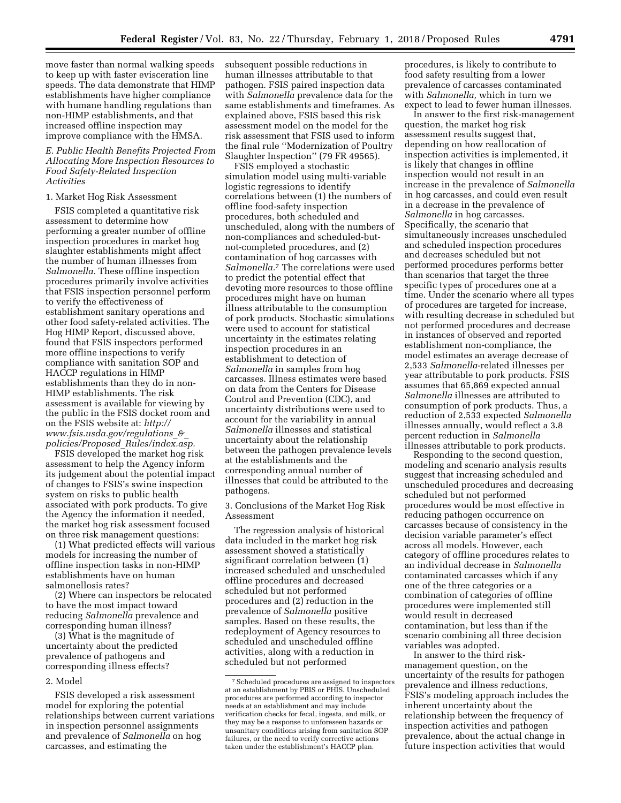move faster than normal walking speeds to keep up with faster evisceration line speeds. The data demonstrate that HIMP establishments have higher compliance with humane handling regulations than non-HIMP establishments, and that increased offline inspection may improve compliance with the HMSA.

### *E. Public Health Benefits Projected From Allocating More Inspection Resources to Food Safety-Related Inspection Activities*

#### 1. Market Hog Risk Assessment

FSIS completed a quantitative risk assessment to determine how performing a greater number of offline inspection procedures in market hog slaughter establishments might affect the number of human illnesses from *Salmonella.* These offline inspection procedures primarily involve activities that FSIS inspection personnel perform to verify the effectiveness of establishment sanitary operations and other food safety-related activities. The Hog HIMP Report, discussed above, found that FSIS inspectors performed more offline inspections to verify compliance with sanitation SOP and HACCP regulations in HIMP establishments than they do in non-HIMP establishments. The risk assessment is available for viewing by the public in the FSIS docket room and on the FSIS website at: *[http://](http://www.fsis.usda.gov/regulations_&_policies/Proposed_Rules/index.asp) [www.fsis.usda.gov/regulations](http://www.fsis.usda.gov/regulations_&_policies/Proposed_Rules/index.asp)*\_*&*\_ *[policies/Proposed](http://www.fsis.usda.gov/regulations_&_policies/Proposed_Rules/index.asp)*\_*Rules/index.asp.* 

FSIS developed the market hog risk assessment to help the Agency inform its judgement about the potential impact of changes to FSIS's swine inspection system on risks to public health associated with pork products. To give the Agency the information it needed, the market hog risk assessment focused on three risk management questions:

(1) What predicted effects will various models for increasing the number of offline inspection tasks in non-HIMP establishments have on human salmonellosis rates?

(2) Where can inspectors be relocated to have the most impact toward reducing *Salmonella* prevalence and corresponding human illness?

(3) What is the magnitude of uncertainty about the predicted prevalence of pathogens and corresponding illness effects?

#### 2. Model

FSIS developed a risk assessment model for exploring the potential relationships between current variations in inspection personnel assignments and prevalence of *Salmonella* on hog carcasses, and estimating the

subsequent possible reductions in human illnesses attributable to that pathogen. FSIS paired inspection data with *Salmonella* prevalence data for the same establishments and timeframes. As explained above, FSIS based this risk assessment model on the model for the risk assessment that FSIS used to inform the final rule ''Modernization of Poultry Slaughter Inspection'' (79 FR 49565).

FSIS employed a stochastic simulation model using multi-variable logistic regressions to identify correlations between (1) the numbers of offline food-safety inspection procedures, both scheduled and unscheduled, along with the numbers of non-compliances and scheduled-butnot-completed procedures, and (2) contamination of hog carcasses with *Salmonella.*7 The correlations were used to predict the potential effect that devoting more resources to those offline procedures might have on human illness attributable to the consumption of pork products. Stochastic simulations were used to account for statistical uncertainty in the estimates relating inspection procedures in an establishment to detection of *Salmonella* in samples from hog carcasses. Illness estimates were based on data from the Centers for Disease Control and Prevention (CDC), and uncertainty distributions were used to account for the variability in annual *Salmonella* illnesses and statistical uncertainty about the relationship between the pathogen prevalence levels at the establishments and the corresponding annual number of illnesses that could be attributed to the pathogens.

3. Conclusions of the Market Hog Risk Assessment

The regression analysis of historical data included in the market hog risk assessment showed a statistically significant correlation between (1) increased scheduled and unscheduled offline procedures and decreased scheduled but not performed procedures and (2) reduction in the prevalence of *Salmonella* positive samples. Based on these results, the redeployment of Agency resources to scheduled and unscheduled offline activities, along with a reduction in scheduled but not performed

procedures, is likely to contribute to food safety resulting from a lower prevalence of carcasses contaminated with *Salmonella,* which in turn we expect to lead to fewer human illnesses.

In answer to the first risk-management question, the market hog risk assessment results suggest that, depending on how reallocation of inspection activities is implemented, it is likely that changes in offline inspection would not result in an increase in the prevalence of *Salmonella*  in hog carcasses, and could even result in a decrease in the prevalence of *Salmonella* in hog carcasses. Specifically, the scenario that simultaneously increases unscheduled and scheduled inspection procedures and decreases scheduled but not performed procedures performs better than scenarios that target the three specific types of procedures one at a time. Under the scenario where all types of procedures are targeted for increase, with resulting decrease in scheduled but not performed procedures and decrease in instances of observed and reported establishment non-compliance, the model estimates an average decrease of 2,533 *Salmonella*-related illnesses per year attributable to pork products. FSIS assumes that 65,869 expected annual *Salmonella* illnesses are attributed to consumption of pork products. Thus, a reduction of 2,533 expected *Salmonella*  illnesses annually, would reflect a 3.8 percent reduction in *Salmonella*  illnesses attributable to pork products.

Responding to the second question, modeling and scenario analysis results suggest that increasing scheduled and unscheduled procedures and decreasing scheduled but not performed procedures would be most effective in reducing pathogen occurrence on carcasses because of consistency in the decision variable parameter's effect across all models. However, each category of offline procedures relates to an individual decrease in *Salmonella*  contaminated carcasses which if any one of the three categories or a combination of categories of offline procedures were implemented still would result in decreased contamination, but less than if the scenario combining all three decision variables was adopted.

In answer to the third riskmanagement question, on the uncertainty of the results for pathogen prevalence and illness reductions, FSIS's modeling approach includes the inherent uncertainty about the relationship between the frequency of inspection activities and pathogen prevalence, about the actual change in future inspection activities that would

<sup>7</sup>Scheduled procedures are assigned to inspectors at an establishment by PBIS or PHIS. Unscheduled procedures are performed according to inspector needs at an establishment and may include verification checks for fecal, ingesta, and milk, or they may be a response to unforeseen hazards or unsanitary conditions arising from sanitation SOP failures, or the need to verify corrective actions taken under the establishment's HACCP plan.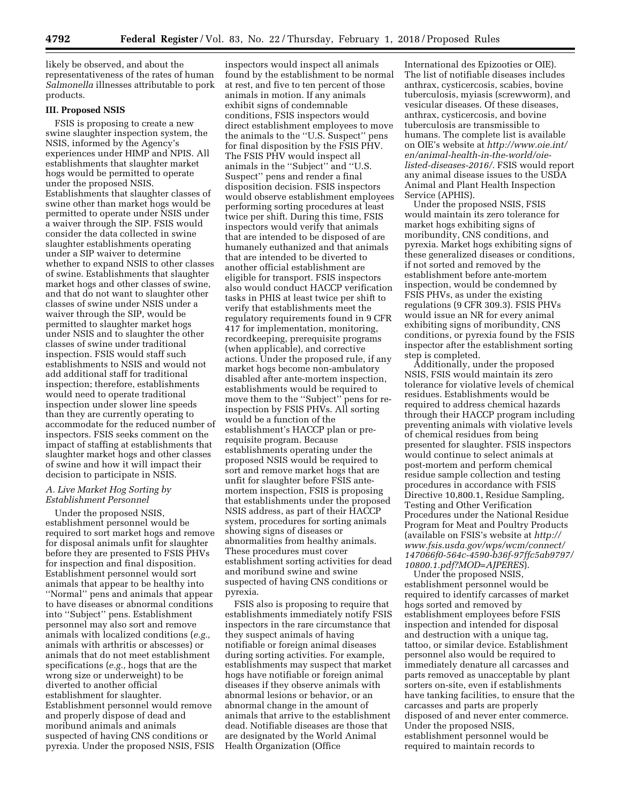likely be observed, and about the representativeness of the rates of human *Salmonella* illnesses attributable to pork products.

### **III. Proposed NSIS**

FSIS is proposing to create a new swine slaughter inspection system, the NSIS, informed by the Agency's experiences under HIMP and NPIS. All establishments that slaughter market hogs would be permitted to operate under the proposed NSIS. Establishments that slaughter classes of swine other than market hogs would be permitted to operate under NSIS under a waiver through the SIP. FSIS would consider the data collected in swine slaughter establishments operating under a SIP waiver to determine whether to expand NSIS to other classes of swine. Establishments that slaughter market hogs and other classes of swine, and that do not want to slaughter other classes of swine under NSIS under a waiver through the SIP, would be permitted to slaughter market hogs under NSIS and to slaughter the other classes of swine under traditional inspection. FSIS would staff such establishments to NSIS and would not add additional staff for traditional inspection; therefore, establishments would need to operate traditional inspection under slower line speeds than they are currently operating to accommodate for the reduced number of inspectors. FSIS seeks comment on the impact of staffing at establishments that slaughter market hogs and other classes of swine and how it will impact their decision to participate in NSIS.

### *A. Live Market Hog Sorting by Establishment Personnel*

Under the proposed NSIS, establishment personnel would be required to sort market hogs and remove for disposal animals unfit for slaughter before they are presented to FSIS PHVs for inspection and final disposition. Establishment personnel would sort animals that appear to be healthy into ''Normal'' pens and animals that appear to have diseases or abnormal conditions into ''Subject'' pens. Establishment personnel may also sort and remove animals with localized conditions (*e.g.,*  animals with arthritis or abscesses) or animals that do not meet establishment specifications (*e.g.,* hogs that are the wrong size or underweight) to be diverted to another official establishment for slaughter. Establishment personnel would remove and properly dispose of dead and moribund animals and animals suspected of having CNS conditions or pyrexia. Under the proposed NSIS, FSIS

inspectors would inspect all animals found by the establishment to be normal at rest, and five to ten percent of those animals in motion. If any animals exhibit signs of condemnable conditions, FSIS inspectors would direct establishment employees to move the animals to the ''U.S. Suspect'' pens for final disposition by the FSIS PHV. The FSIS PHV would inspect all animals in the ''Subject'' and ''U.S. Suspect'' pens and render a final disposition decision. FSIS inspectors would observe establishment employees performing sorting procedures at least twice per shift. During this time, FSIS inspectors would verify that animals that are intended to be disposed of are humanely euthanized and that animals that are intended to be diverted to another official establishment are eligible for transport. FSIS inspectors also would conduct HACCP verification tasks in PHIS at least twice per shift to verify that establishments meet the regulatory requirements found in 9 CFR 417 for implementation, monitoring, recordkeeping, prerequisite programs (when applicable), and corrective actions. Under the proposed rule, if any market hogs become non-ambulatory disabled after ante-mortem inspection, establishments would be required to move them to the ''Subject'' pens for reinspection by FSIS PHVs. All sorting would be a function of the establishment's HACCP plan or prerequisite program. Because establishments operating under the proposed NSIS would be required to sort and remove market hogs that are unfit for slaughter before FSIS antemortem inspection, FSIS is proposing that establishments under the proposed NSIS address, as part of their HACCP system, procedures for sorting animals showing signs of diseases or abnormalities from healthy animals. These procedures must cover establishment sorting activities for dead and moribund swine and swine suspected of having CNS conditions or pyrexia.

FSIS also is proposing to require that establishments immediately notify FSIS inspectors in the rare circumstance that they suspect animals of having notifiable or foreign animal diseases during sorting activities. For example, establishments may suspect that market hogs have notifiable or foreign animal diseases if they observe animals with abnormal lesions or behavior, or an abnormal change in the amount of animals that arrive to the establishment dead. Notifiable diseases are those that are designated by the World Animal Health Organization (Office

International des Epizooties or OIE). The list of notifiable diseases includes anthrax, cysticercosis, scabies, bovine tuberculosis, myiasis (screwworm), and vesicular diseases. Of these diseases, anthrax, cysticercosis, and bovine tuberculosis are transmissible to humans. The complete list is available on OIE's website at *[http://www.oie.int/](http://www.oie.int/en/animal-health-in-the-world/oie-listed-diseases-2016/)  [en/animal-health-in-the-world/oie](http://www.oie.int/en/animal-health-in-the-world/oie-listed-diseases-2016/)[listed-diseases-2016/.](http://www.oie.int/en/animal-health-in-the-world/oie-listed-diseases-2016/)* FSIS would report any animal disease issues to the USDA Animal and Plant Health Inspection Service (APHIS).

Under the proposed NSIS, FSIS would maintain its zero tolerance for market hogs exhibiting signs of moribundity, CNS conditions, and pyrexia. Market hogs exhibiting signs of these generalized diseases or conditions, if not sorted and removed by the establishment before ante-mortem inspection, would be condemned by FSIS PHVs, as under the existing regulations (9 CFR 309.3). FSIS PHVs would issue an NR for every animal exhibiting signs of moribundity, CNS conditions, or pyrexia found by the FSIS inspector after the establishment sorting step is completed.

Additionally, under the proposed NSIS, FSIS would maintain its zero tolerance for violative levels of chemical residues. Establishments would be required to address chemical hazards through their HACCP program including preventing animals with violative levels of chemical residues from being presented for slaughter. FSIS inspectors would continue to select animals at post-mortem and perform chemical residue sample collection and testing procedures in accordance with FSIS Directive 10,800.1, Residue Sampling, Testing and Other Verification Procedures under the National Residue Program for Meat and Poultry Products (available on FSIS's website at *[http://](http://www.fsis.usda.gov/wps/wcm/connect/147066f0-564c-4590-b36f-97ffc5ab9797/10800.1.pdf?MOD=AJPERES) [www.fsis.usda.gov/wps/wcm/connect/](http://www.fsis.usda.gov/wps/wcm/connect/147066f0-564c-4590-b36f-97ffc5ab9797/10800.1.pdf?MOD=AJPERES) [147066f0-564c-4590-b36f-97ffc5ab9797/](http://www.fsis.usda.gov/wps/wcm/connect/147066f0-564c-4590-b36f-97ffc5ab9797/10800.1.pdf?MOD=AJPERES)  [10800.1.pdf?MOD=AJPERES](http://www.fsis.usda.gov/wps/wcm/connect/147066f0-564c-4590-b36f-97ffc5ab9797/10800.1.pdf?MOD=AJPERES)*).

Under the proposed NSIS, establishment personnel would be required to identify carcasses of market hogs sorted and removed by establishment employees before FSIS inspection and intended for disposal and destruction with a unique tag, tattoo, or similar device. Establishment personnel also would be required to immediately denature all carcasses and parts removed as unacceptable by plant sorters on-site, even if establishments have tanking facilities, to ensure that the carcasses and parts are properly disposed of and never enter commerce. Under the proposed NSIS, establishment personnel would be required to maintain records to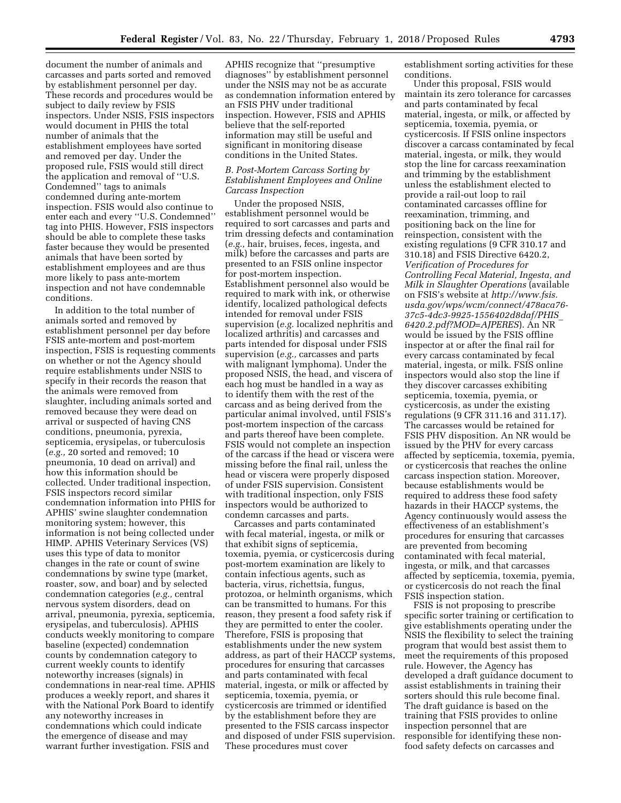document the number of animals and carcasses and parts sorted and removed by establishment personnel per day. These records and procedures would be subject to daily review by FSIS inspectors. Under NSIS, FSIS inspectors would document in PHIS the total number of animals that the establishment employees have sorted and removed per day. Under the proposed rule, FSIS would still direct the application and removal of ''U.S. Condemned'' tags to animals condemned during ante-mortem inspection. FSIS would also continue to enter each and every ''U.S. Condemned'' tag into PHIS. However, FSIS inspectors should be able to complete these tasks faster because they would be presented animals that have been sorted by establishment employees and are thus more likely to pass ante-mortem inspection and not have condemnable conditions.

In addition to the total number of animals sorted and removed by establishment personnel per day before FSIS ante-mortem and post-mortem inspection, FSIS is requesting comments on whether or not the Agency should require establishments under NSIS to specify in their records the reason that the animals were removed from slaughter, including animals sorted and removed because they were dead on arrival or suspected of having CNS conditions, pneumonia, pyrexia, septicemia, erysipelas, or tuberculosis (*e.g.,* 20 sorted and removed; 10 pneumonia, 10 dead on arrival) and how this information should be collected. Under traditional inspection, FSIS inspectors record similar condemnation information into PHIS for APHIS' swine slaughter condemnation monitoring system; however, this information is not being collected under HIMP. APHIS Veterinary Services (VS) uses this type of data to monitor changes in the rate or count of swine condemnations by swine type (market, roaster, sow, and boar) and by selected condemnation categories (*e.g.,* central nervous system disorders, dead on arrival, pneumonia, pyrexia, septicemia, erysipelas, and tuberculosis). APHIS conducts weekly monitoring to compare baseline (expected) condemnation counts by condemnation category to current weekly counts to identify noteworthy increases (signals) in condemnations in near-real time. APHIS produces a weekly report, and shares it with the National Pork Board to identify any noteworthy increases in condemnations which could indicate the emergence of disease and may warrant further investigation. FSIS and

APHIS recognize that ''presumptive diagnoses'' by establishment personnel under the NSIS may not be as accurate as condemnation information entered by an FSIS PHV under traditional inspection. However, FSIS and APHIS believe that the self-reported information may still be useful and significant in monitoring disease conditions in the United States.

#### *B. Post-Mortem Carcass Sorting by Establishment Employees and Online Carcass Inspection*

Under the proposed NSIS, establishment personnel would be required to sort carcasses and parts and trim dressing defects and contamination (*e.g.,* hair, bruises, feces, ingesta, and milk) before the carcasses and parts are presented to an FSIS online inspector for post-mortem inspection. Establishment personnel also would be required to mark with ink, or otherwise identify, localized pathological defects intended for removal under FSIS supervision (*e.g.* localized nephritis and localized arthritis) and carcasses and parts intended for disposal under FSIS supervision (*e.g.,* carcasses and parts with malignant lymphoma). Under the proposed NSIS, the head, and viscera of each hog must be handled in a way as to identify them with the rest of the carcass and as being derived from the particular animal involved, until FSIS's post-mortem inspection of the carcass and parts thereof have been complete. FSIS would not complete an inspection of the carcass if the head or viscera were missing before the final rail, unless the head or viscera were properly disposed of under FSIS supervision. Consistent with traditional inspection, only FSIS inspectors would be authorized to condemn carcasses and parts.

Carcasses and parts contaminated with fecal material, ingesta, or milk or that exhibit signs of septicemia, toxemia, pyemia, or cysticercosis during post-mortem examination are likely to contain infectious agents, such as bacteria, virus, richettsia, fungus, protozoa, or helminth organisms, which can be transmitted to humans. For this reason, they present a food safety risk if they are permitted to enter the cooler. Therefore, FSIS is proposing that establishments under the new system address, as part of their HACCP systems, procedures for ensuring that carcasses and parts contaminated with fecal material, ingesta, or milk or affected by septicemia, toxemia, pyemia, or cysticercosis are trimmed or identified by the establishment before they are presented to the FSIS carcass inspector and disposed of under FSIS supervision. These procedures must cover

establishment sorting activities for these conditions.

Under this proposal, FSIS would maintain its zero tolerance for carcasses and parts contaminated by fecal material, ingesta, or milk, or affected by septicemia, toxemia, pyemia, or cysticercosis. If FSIS online inspectors discover a carcass contaminated by fecal material, ingesta, or milk, they would stop the line for carcass reexamination and trimming by the establishment unless the establishment elected to provide a rail-out loop to rail contaminated carcasses offline for reexamination, trimming, and positioning back on the line for reinspection, consistent with the existing regulations (9 CFR 310.17 and 310.18) and FSIS Directive 6420.2, *Verification of Procedures for Controlling Fecal Material, Ingesta, and Milk in Slaughter Operations* (available on FSIS's website at *[http://www.fsis.](http://www.fsis.usda.gov/wps/wcm/connect/478aca76-37c5-4dc3-9925-1556402d8daf/PHIS_6420.2.pdf?MOD=AJPERES) [usda.gov/wps/wcm/connect/478aca76-](http://www.fsis.usda.gov/wps/wcm/connect/478aca76-37c5-4dc3-9925-1556402d8daf/PHIS_6420.2.pdf?MOD=AJPERES) [37c5-4dc3-9925-1556402d8daf/PHIS](http://www.fsis.usda.gov/wps/wcm/connect/478aca76-37c5-4dc3-9925-1556402d8daf/PHIS_6420.2.pdf?MOD=AJPERES)*\_ *[6420.2.pdf?MOD=AJPERES](http://www.fsis.usda.gov/wps/wcm/connect/478aca76-37c5-4dc3-9925-1556402d8daf/PHIS_6420.2.pdf?MOD=AJPERES)*). An NR would be issued by the FSIS offline inspector at or after the final rail for every carcass contaminated by fecal material, ingesta, or milk. FSIS online inspectors would also stop the line if they discover carcasses exhibiting septicemia, toxemia, pyemia, or cysticercosis, as under the existing regulations (9 CFR 311.16 and 311.17). The carcasses would be retained for FSIS PHV disposition. An NR would be issued by the PHV for every carcass affected by septicemia, toxemia, pyemia, or cysticercosis that reaches the online carcass inspection station. Moreover, because establishments would be required to address these food safety hazards in their HACCP systems, the Agency continuously would assess the effectiveness of an establishment's procedures for ensuring that carcasses are prevented from becoming contaminated with fecal material, ingesta, or milk, and that carcasses affected by septicemia, toxemia, pyemia, or cysticercosis do not reach the final FSIS inspection station.

FSIS is not proposing to prescribe specific sorter training or certification to give establishments operating under the NSIS the flexibility to select the training program that would best assist them to meet the requirements of this proposed rule. However, the Agency has developed a draft guidance document to assist establishments in training their sorters should this rule become final. The draft guidance is based on the training that FSIS provides to online inspection personnel that are responsible for identifying these nonfood safety defects on carcasses and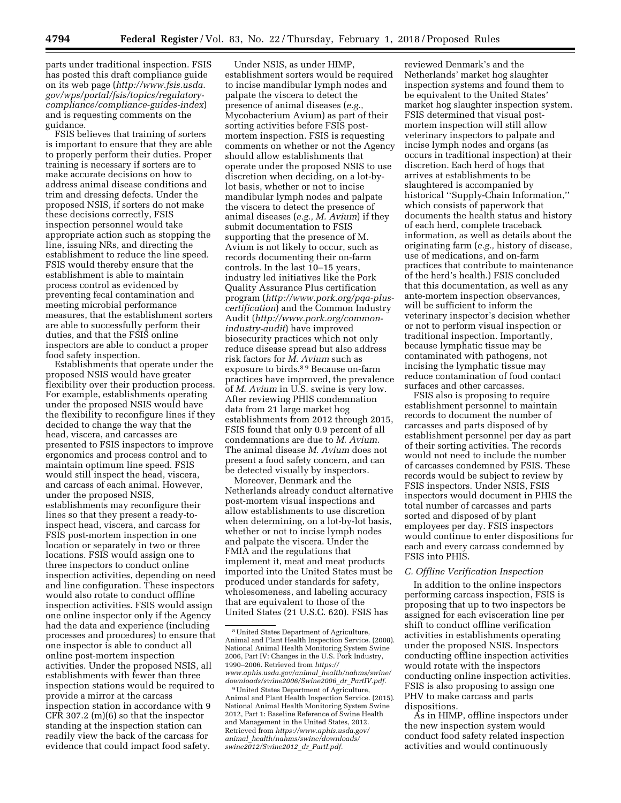parts under traditional inspection. FSIS has posted this draft compliance guide on its web page (*[http://www.fsis.usda.](http://www.fsis.usda.gov/wps/portal/fsis/topics/regulatory-compliance/compliance-guides-index) [gov/wps/portal/fsis/topics/regulatory](http://www.fsis.usda.gov/wps/portal/fsis/topics/regulatory-compliance/compliance-guides-index)[compliance/compliance-guides-index](http://www.fsis.usda.gov/wps/portal/fsis/topics/regulatory-compliance/compliance-guides-index)*) and is requesting comments on the guidance.

FSIS believes that training of sorters is important to ensure that they are able to properly perform their duties. Proper training is necessary if sorters are to make accurate decisions on how to address animal disease conditions and trim and dressing defects. Under the proposed NSIS, if sorters do not make these decisions correctly, FSIS inspection personnel would take appropriate action such as stopping the line, issuing NRs, and directing the establishment to reduce the line speed. FSIS would thereby ensure that the establishment is able to maintain process control as evidenced by preventing fecal contamination and meeting microbial performance measures, that the establishment sorters are able to successfully perform their duties, and that the FSIS online inspectors are able to conduct a proper food safety inspection.

Establishments that operate under the proposed NSIS would have greater flexibility over their production process. For example, establishments operating under the proposed NSIS would have the flexibility to reconfigure lines if they decided to change the way that the head, viscera, and carcasses are presented to FSIS inspectors to improve ergonomics and process control and to maintain optimum line speed. FSIS would still inspect the head, viscera, and carcass of each animal. However, under the proposed NSIS, establishments may reconfigure their lines so that they present a ready-toinspect head, viscera, and carcass for FSIS post-mortem inspection in one location or separately in two or three locations. FSIS would assign one to three inspectors to conduct online inspection activities, depending on need and line configuration. These inspectors would also rotate to conduct offline inspection activities. FSIS would assign one online inspector only if the Agency had the data and experience (including processes and procedures) to ensure that one inspector is able to conduct all online post-mortem inspection activities. Under the proposed NSIS, all establishments with fewer than three inspection stations would be required to provide a mirror at the carcass inspection station in accordance with 9 CFR 307.2 (m)(6) so that the inspector standing at the inspection station can readily view the back of the carcass for evidence that could impact food safety.

Under NSIS, as under HIMP, establishment sorters would be required to incise mandibular lymph nodes and palpate the viscera to detect the presence of animal diseases (*e.g.,*  Mycobacterium Avium) as part of their sorting activities before FSIS postmortem inspection. FSIS is requesting comments on whether or not the Agency should allow establishments that operate under the proposed NSIS to use discretion when deciding, on a lot-bylot basis, whether or not to incise mandibular lymph nodes and palpate the viscera to detect the presence of animal diseases (*e.g., M. Avium*) if they submit documentation to FSIS supporting that the presence of M. Avium is not likely to occur, such as records documenting their on-farm controls. In the last 10–15 years, industry led initiatives like the Pork Quality Assurance Plus certification program (*[http://www.pork.org/pqa-plus](http://www.pork.org/pqa-plus-certification)[certification](http://www.pork.org/pqa-plus-certification)*) and the Common Industry Audit (*[http://www.pork.org/common](http://www.pork.org/common-industry-audit)[industry-audit](http://www.pork.org/common-industry-audit)*) have improved biosecurity practices which not only reduce disease spread but also address risk factors for *M. Avium* such as exposure to birds.8 9 Because on-farm practices have improved, the prevalence of *M. Avium* in U.S. swine is very low. After reviewing PHIS condemnation data from 21 large market hog establishments from 2012 through 2015, FSIS found that only 0.9 percent of all condemnations are due to *M. Avium.*  The animal disease *M. Avium* does not present a food safety concern, and can be detected visually by inspectors.

Moreover, Denmark and the Netherlands already conduct alternative post-mortem visual inspections and allow establishments to use discretion when determining, on a lot-by-lot basis, whether or not to incise lymph nodes and palpate the viscera. Under the FMIA and the regulations that implement it, meat and meat products imported into the United States must be produced under standards for safety, wholesomeness, and labeling accuracy that are equivalent to those of the United States (21 U.S.C. 620). FSIS has

reviewed Denmark's and the Netherlands' market hog slaughter inspection systems and found them to be equivalent to the United States' market hog slaughter inspection system. FSIS determined that visual postmortem inspection will still allow veterinary inspectors to palpate and incise lymph nodes and organs (as occurs in traditional inspection) at their discretion. Each herd of hogs that arrives at establishments to be slaughtered is accompanied by historical ''Supply-Chain Information,'' which consists of paperwork that documents the health status and history of each herd, complete traceback information, as well as details about the originating farm (*e.g.,* history of disease, use of medications, and on-farm practices that contribute to maintenance of the herd's health.) FSIS concluded that this documentation, as well as any ante-mortem inspection observances, will be sufficient to inform the veterinary inspector's decision whether or not to perform visual inspection or traditional inspection. Importantly, because lymphatic tissue may be contaminated with pathogens, not incising the lymphatic tissue may reduce contamination of food contact surfaces and other carcasses.

FSIS also is proposing to require establishment personnel to maintain records to document the number of carcasses and parts disposed of by establishment personnel per day as part of their sorting activities. The records would not need to include the number of carcasses condemned by FSIS. These records would be subject to review by FSIS inspectors. Under NSIS, FSIS inspectors would document in PHIS the total number of carcasses and parts sorted and disposed of by plant employees per day. FSIS inspectors would continue to enter dispositions for each and every carcass condemned by FSIS into PHIS.

#### *C. Offline Verification Inspection*

In addition to the online inspectors performing carcass inspection, FSIS is proposing that up to two inspectors be assigned for each evisceration line per shift to conduct offline verification activities in establishments operating under the proposed NSIS. Inspectors conducting offline inspection activities would rotate with the inspectors conducting online inspection activities. FSIS is also proposing to assign one PHV to make carcass and parts dispositions.

As in HIMP, offline inspectors under the new inspection system would conduct food safety related inspection activities and would continuously

<sup>8</sup>United States Department of Agriculture, Animal and Plant Health Inspection Service. (2008). National Animal Health Monitoring System Swine 2006, Part IV: Changes in the U.S. Pork Industry, 1990–2006. Retrieved from *[https://](https://www.aphis.usda.gov/animal_health/nahms/swine/downloads/swine2006/Swine2006_dr_PartIV.pdf) [www.aphis.usda.gov/animal](https://www.aphis.usda.gov/animal_health/nahms/swine/downloads/swine2006/Swine2006_dr_PartIV.pdf)*\_*health/nahms/swine/ [downloads/swine2006/Swine2006](https://www.aphis.usda.gov/animal_health/nahms/swine/downloads/swine2006/Swine2006_dr_PartIV.pdf)*\_*dr*\_*PartIV.pdf.* 

<sup>9</sup>United States Department of Agriculture, Animal and Plant Health Inspection Service. (2015). National Animal Health Monitoring System Swine 2012, Part 1: Baseline Reference of Swine Health and Management in the United States, 2012. Retrieved from *[https://www.aphis.usda.gov/](https://www.aphis.usda.gov/animal_health/nahms/swine/downloads/swine2012/Swine2012_dr_PartI.pdf) animal*\_*[health/nahms/swine/downloads/](https://www.aphis.usda.gov/animal_health/nahms/swine/downloads/swine2012/Swine2012_dr_PartI.pdf)  [swine2012/Swine2012](https://www.aphis.usda.gov/animal_health/nahms/swine/downloads/swine2012/Swine2012_dr_PartI.pdf)*\_*dr*\_*PartI.pdf.*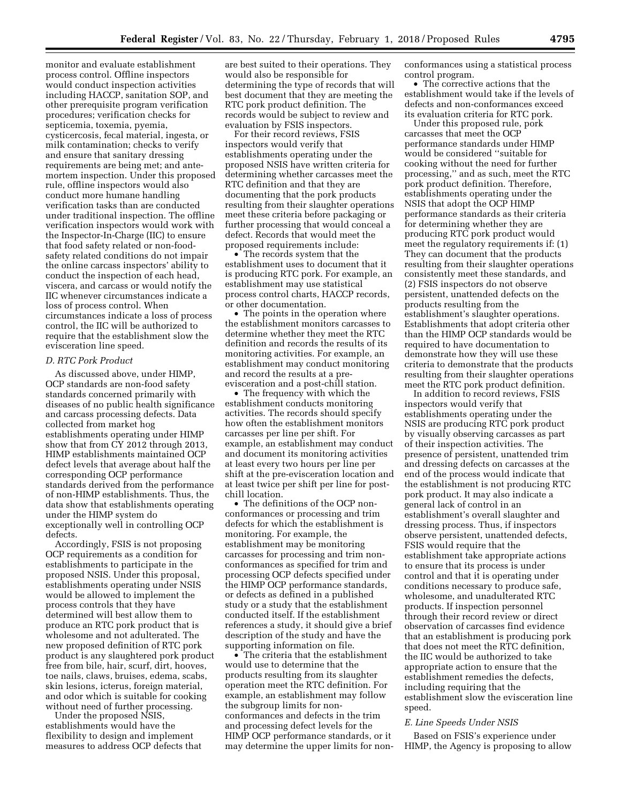monitor and evaluate establishment process control. Offline inspectors would conduct inspection activities including HACCP, sanitation SOP, and other prerequisite program verification procedures; verification checks for septicemia, toxemia, pyemia, cysticercosis, fecal material, ingesta, or milk contamination; checks to verify and ensure that sanitary dressing requirements are being met; and antemortem inspection. Under this proposed rule, offline inspectors would also conduct more humane handling verification tasks than are conducted under traditional inspection. The offline verification inspectors would work with the Inspector-In-Charge (IIC) to ensure that food safety related or non-foodsafety related conditions do not impair the online carcass inspectors' ability to conduct the inspection of each head, viscera, and carcass or would notify the IIC whenever circumstances indicate a loss of process control. When circumstances indicate a loss of process control, the IIC will be authorized to require that the establishment slow the evisceration line speed.

#### *D. RTC Pork Product*

As discussed above, under HIMP, OCP standards are non-food safety standards concerned primarily with diseases of no public health significance and carcass processing defects. Data collected from market hog establishments operating under HIMP show that from CY 2012 through 2013, HIMP establishments maintained OCP defect levels that average about half the corresponding OCP performance standards derived from the performance of non-HIMP establishments. Thus, the data show that establishments operating under the HIMP system do exceptionally well in controlling OCP defects.

Accordingly, FSIS is not proposing OCP requirements as a condition for establishments to participate in the proposed NSIS. Under this proposal, establishments operating under NSIS would be allowed to implement the process controls that they have determined will best allow them to produce an RTC pork product that is wholesome and not adulterated. The new proposed definition of RTC pork product is any slaughtered pork product free from bile, hair, scurf, dirt, hooves, toe nails, claws, bruises, edema, scabs, skin lesions, icterus, foreign material, and odor which is suitable for cooking without need of further processing.

Under the proposed NSIS, establishments would have the flexibility to design and implement measures to address OCP defects that are best suited to their operations. They would also be responsible for determining the type of records that will best document that they are meeting the RTC pork product definition. The records would be subject to review and evaluation by FSIS inspectors.

For their record reviews, FSIS inspectors would verify that establishments operating under the proposed NSIS have written criteria for determining whether carcasses meet the RTC definition and that they are documenting that the pork products resulting from their slaughter operations meet these criteria before packaging or further processing that would conceal a defect. Records that would meet the proposed requirements include:

• The records system that the establishment uses to document that it is producing RTC pork. For example, an establishment may use statistical process control charts, HACCP records, or other documentation.

• The points in the operation where the establishment monitors carcasses to determine whether they meet the RTC definition and records the results of its monitoring activities. For example, an establishment may conduct monitoring and record the results at a preevisceration and a post-chill station.

• The frequency with which the establishment conducts monitoring activities. The records should specify how often the establishment monitors carcasses per line per shift. For example, an establishment may conduct and document its monitoring activities at least every two hours per line per shift at the pre-evisceration location and at least twice per shift per line for postchill location.

• The definitions of the OCP nonconformances or processing and trim defects for which the establishment is monitoring. For example, the establishment may be monitoring carcasses for processing and trim nonconformances as specified for trim and processing OCP defects specified under the HIMP OCP performance standards, or defects as defined in a published study or a study that the establishment conducted itself. If the establishment references a study, it should give a brief description of the study and have the supporting information on file.

• The criteria that the establishment would use to determine that the products resulting from its slaughter operation meet the RTC definition. For example, an establishment may follow the subgroup limits for nonconformances and defects in the trim and processing defect levels for the HIMP OCP performance standards, or it may determine the upper limits for nonconformances using a statistical process control program.

• The corrective actions that the establishment would take if the levels of defects and non-conformances exceed its evaluation criteria for RTC pork.

Under this proposed rule, pork carcasses that meet the OCP performance standards under HIMP would be considered ''suitable for cooking without the need for further processing,'' and as such, meet the RTC pork product definition. Therefore, establishments operating under the NSIS that adopt the OCP HIMP performance standards as their criteria for determining whether they are producing RTC pork product would meet the regulatory requirements if: (1) They can document that the products resulting from their slaughter operations consistently meet these standards, and (2) FSIS inspectors do not observe persistent, unattended defects on the products resulting from the establishment's slaughter operations. Establishments that adopt criteria other than the HIMP OCP standards would be required to have documentation to demonstrate how they will use these criteria to demonstrate that the products resulting from their slaughter operations meet the RTC pork product definition.

In addition to record reviews, FSIS inspectors would verify that establishments operating under the NSIS are producing RTC pork product by visually observing carcasses as part of their inspection activities. The presence of persistent, unattended trim and dressing defects on carcasses at the end of the process would indicate that the establishment is not producing RTC pork product. It may also indicate a general lack of control in an establishment's overall slaughter and dressing process. Thus, if inspectors observe persistent, unattended defects, FSIS would require that the establishment take appropriate actions to ensure that its process is under control and that it is operating under conditions necessary to produce safe, wholesome, and unadulterated RTC products. If inspection personnel through their record review or direct observation of carcasses find evidence that an establishment is producing pork that does not meet the RTC definition, the IIC would be authorized to take appropriate action to ensure that the establishment remedies the defects, including requiring that the establishment slow the evisceration line speed.

#### *E. Line Speeds Under NSIS*

Based on FSIS's experience under HIMP, the Agency is proposing to allow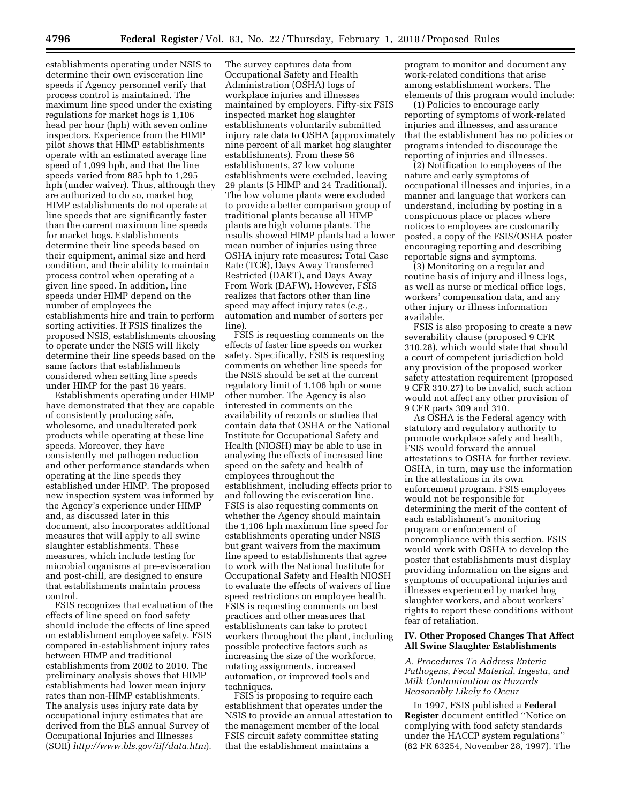establishments operating under NSIS to determine their own evisceration line speeds if Agency personnel verify that process control is maintained. The maximum line speed under the existing regulations for market hogs is 1,106 head per hour (hph) with seven online inspectors. Experience from the HIMP pilot shows that HIMP establishments operate with an estimated average line speed of 1,099 hph, and that the line speeds varied from 885 hph to 1,295 hph (under waiver). Thus, although they are authorized to do so, market hog HIMP establishments do not operate at line speeds that are significantly faster than the current maximum line speeds for market hogs. Establishments determine their line speeds based on their equipment, animal size and herd condition, and their ability to maintain process control when operating at a given line speed. In addition, line speeds under HIMP depend on the number of employees the establishments hire and train to perform sorting activities. If FSIS finalizes the proposed NSIS, establishments choosing to operate under the NSIS will likely determine their line speeds based on the same factors that establishments considered when setting line speeds under HIMP for the past 16 years.

Establishments operating under HIMP have demonstrated that they are capable of consistently producing safe, wholesome, and unadulterated pork products while operating at these line speeds. Moreover, they have consistently met pathogen reduction and other performance standards when operating at the line speeds they established under HIMP. The proposed new inspection system was informed by the Agency's experience under HIMP and, as discussed later in this document, also incorporates additional measures that will apply to all swine slaughter establishments. These measures, which include testing for microbial organisms at pre-evisceration and post-chill, are designed to ensure that establishments maintain process control.

FSIS recognizes that evaluation of the effects of line speed on food safety should include the effects of line speed on establishment employee safety. FSIS compared in-establishment injury rates between HIMP and traditional establishments from 2002 to 2010. The preliminary analysis shows that HIMP establishments had lower mean injury rates than non-HIMP establishments. The analysis uses injury rate data by occupational injury estimates that are derived from the BLS annual Survey of Occupational Injuries and Illnesses (SOII) *<http://www.bls.gov/iif/data.htm>*).

The survey captures data from Occupational Safety and Health Administration (OSHA) logs of workplace injuries and illnesses maintained by employers. Fifty-six FSIS inspected market hog slaughter establishments voluntarily submitted injury rate data to OSHA (approximately nine percent of all market hog slaughter establishments). From these 56 establishments, 27 low volume establishments were excluded, leaving 29 plants (5 HIMP and 24 Traditional). The low volume plants were excluded to provide a better comparison group of traditional plants because all HIMP plants are high volume plants. The results showed HIMP plants had a lower mean number of injuries using three OSHA injury rate measures: Total Case Rate (TCR), Days Away Transferred Restricted (DART), and Days Away From Work (DAFW). However, FSIS realizes that factors other than line speed may affect injury rates (*e.g.,*  automation and number of sorters per line).

FSIS is requesting comments on the effects of faster line speeds on worker safety. Specifically, FSIS is requesting comments on whether line speeds for the NSIS should be set at the current regulatory limit of 1,106 hph or some other number. The Agency is also interested in comments on the availability of records or studies that contain data that OSHA or the National Institute for Occupational Safety and Health (NIOSH) may be able to use in analyzing the effects of increased line speed on the safety and health of employees throughout the establishment, including effects prior to and following the evisceration line. FSIS is also requesting comments on whether the Agency should maintain the 1,106 hph maximum line speed for establishments operating under NSIS but grant waivers from the maximum line speed to establishments that agree to work with the National Institute for Occupational Safety and Health NIOSH to evaluate the effects of waivers of line speed restrictions on employee health. FSIS is requesting comments on best practices and other measures that establishments can take to protect workers throughout the plant, including possible protective factors such as increasing the size of the workforce, rotating assignments, increased automation, or improved tools and techniques.

FSIS is proposing to require each establishment that operates under the NSIS to provide an annual attestation to the management member of the local FSIS circuit safety committee stating that the establishment maintains a

program to monitor and document any work-related conditions that arise among establishment workers. The elements of this program would include:

(1) Policies to encourage early reporting of symptoms of work-related injuries and illnesses, and assurance that the establishment has no policies or programs intended to discourage the reporting of injuries and illnesses.

(2) Notification to employees of the nature and early symptoms of occupational illnesses and injuries, in a manner and language that workers can understand, including by posting in a conspicuous place or places where notices to employees are customarily posted, a copy of the FSIS/OSHA poster encouraging reporting and describing reportable signs and symptoms.

(3) Monitoring on a regular and routine basis of injury and illness logs, as well as nurse or medical office logs, workers' compensation data, and any other injury or illness information available.

FSIS is also proposing to create a new severability clause (proposed 9 CFR 310.28), which would state that should a court of competent jurisdiction hold any provision of the proposed worker safety attestation requirement (proposed 9 CFR 310.27) to be invalid, such action would not affect any other provision of 9 CFR parts 309 and 310.

As OSHA is the Federal agency with statutory and regulatory authority to promote workplace safety and health, FSIS would forward the annual attestations to OSHA for further review. OSHA, in turn, may use the information in the attestations in its own enforcement program. FSIS employees would not be responsible for determining the merit of the content of each establishment's monitoring program or enforcement of noncompliance with this section. FSIS would work with OSHA to develop the poster that establishments must display providing information on the signs and symptoms of occupational injuries and illnesses experienced by market hog slaughter workers, and about workers' rights to report these conditions without fear of retaliation.

### **IV. Other Proposed Changes That Affect All Swine Slaughter Establishments**

### *A. Procedures To Address Enteric Pathogens, Fecal Material, Ingesta, and Milk Contamination as Hazards Reasonably Likely to Occur*

In 1997, FSIS published a **Federal Register** document entitled ''Notice on complying with food safety standards under the HACCP system regulations'' (62 FR 63254, November 28, 1997). The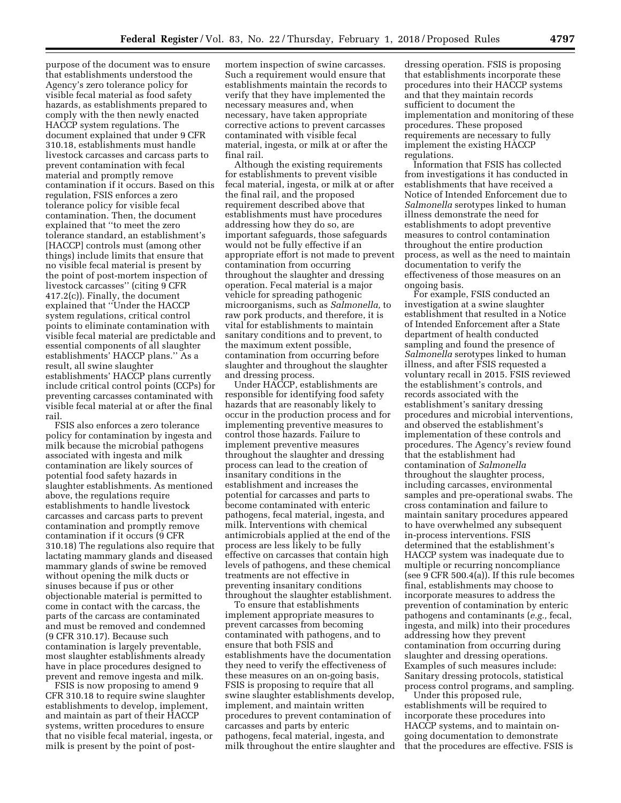purpose of the document was to ensure that establishments understood the Agency's zero tolerance policy for visible fecal material as food safety hazards, as establishments prepared to comply with the then newly enacted HACCP system regulations. The document explained that under 9 CFR 310.18, establishments must handle livestock carcasses and carcass parts to prevent contamination with fecal material and promptly remove contamination if it occurs. Based on this regulation, FSIS enforces a zero tolerance policy for visible fecal contamination. Then, the document explained that ''to meet the zero tolerance standard, an establishment's [HACCP] controls must (among other things) include limits that ensure that no visible fecal material is present by the point of post-mortem inspection of livestock carcasses'' (citing 9 CFR 417.2(c)). Finally, the document explained that ''Under the HACCP system regulations, critical control points to eliminate contamination with visible fecal material are predictable and essential components of all slaughter establishments' HACCP plans.'' As a result, all swine slaughter establishments' HACCP plans currently include critical control points (CCPs) for preventing carcasses contaminated with visible fecal material at or after the final rail.

FSIS also enforces a zero tolerance policy for contamination by ingesta and milk because the microbial pathogens associated with ingesta and milk contamination are likely sources of potential food safety hazards in slaughter establishments. As mentioned above, the regulations require establishments to handle livestock carcasses and carcass parts to prevent contamination and promptly remove contamination if it occurs (9 CFR 310.18) The regulations also require that lactating mammary glands and diseased mammary glands of swine be removed without opening the milk ducts or sinuses because if pus or other objectionable material is permitted to come in contact with the carcass, the parts of the carcass are contaminated and must be removed and condemned (9 CFR 310.17). Because such contamination is largely preventable, most slaughter establishments already have in place procedures designed to prevent and remove ingesta and milk.

FSIS is now proposing to amend 9 CFR 310.18 to require swine slaughter establishments to develop, implement, and maintain as part of their HACCP systems, written procedures to ensure that no visible fecal material, ingesta, or milk is present by the point of postmortem inspection of swine carcasses. Such a requirement would ensure that establishments maintain the records to verify that they have implemented the necessary measures and, when necessary, have taken appropriate corrective actions to prevent carcasses contaminated with visible fecal material, ingesta, or milk at or after the final rail.

Although the existing requirements for establishments to prevent visible fecal material, ingesta, or milk at or after the final rail, and the proposed requirement described above that establishments must have procedures addressing how they do so, are important safeguards, those safeguards would not be fully effective if an appropriate effort is not made to prevent contamination from occurring throughout the slaughter and dressing operation. Fecal material is a major vehicle for spreading pathogenic microorganisms, such as *Salmonella,* to raw pork products, and therefore, it is vital for establishments to maintain sanitary conditions and to prevent, to the maximum extent possible, contamination from occurring before slaughter and throughout the slaughter and dressing process.

Under HACCP, establishments are responsible for identifying food safety hazards that are reasonably likely to occur in the production process and for implementing preventive measures to control those hazards. Failure to implement preventive measures throughout the slaughter and dressing process can lead to the creation of insanitary conditions in the establishment and increases the potential for carcasses and parts to become contaminated with enteric pathogens, fecal material, ingesta, and milk. Interventions with chemical antimicrobials applied at the end of the process are less likely to be fully effective on carcasses that contain high levels of pathogens, and these chemical treatments are not effective in preventing insanitary conditions throughout the slaughter establishment.

To ensure that establishments implement appropriate measures to prevent carcasses from becoming contaminated with pathogens, and to ensure that both FSIS and establishments have the documentation they need to verify the effectiveness of these measures on an on-going basis, FSIS is proposing to require that all swine slaughter establishments develop, implement, and maintain written procedures to prevent contamination of carcasses and parts by enteric pathogens, fecal material, ingesta, and milk throughout the entire slaughter and

dressing operation. FSIS is proposing that establishments incorporate these procedures into their HACCP systems and that they maintain records sufficient to document the implementation and monitoring of these procedures. These proposed requirements are necessary to fully implement the existing HACCP regulations.

Information that FSIS has collected from investigations it has conducted in establishments that have received a Notice of Intended Enforcement due to *Salmonella* serotypes linked to human illness demonstrate the need for establishments to adopt preventive measures to control contamination throughout the entire production process, as well as the need to maintain documentation to verify the effectiveness of those measures on an ongoing basis.

For example, FSIS conducted an investigation at a swine slaughter establishment that resulted in a Notice of Intended Enforcement after a State department of health conducted sampling and found the presence of *Salmonella* serotypes linked to human illness, and after FSIS requested a voluntary recall in 2015. FSIS reviewed the establishment's controls, and records associated with the establishment's sanitary dressing procedures and microbial interventions, and observed the establishment's implementation of these controls and procedures. The Agency's review found that the establishment had contamination of *Salmonella*  throughout the slaughter process, including carcasses, environmental samples and pre-operational swabs. The cross contamination and failure to maintain sanitary procedures appeared to have overwhelmed any subsequent in-process interventions. FSIS determined that the establishment's HACCP system was inadequate due to multiple or recurring noncompliance (see 9 CFR 500.4(a)). If this rule becomes final, establishments may choose to incorporate measures to address the prevention of contamination by enteric pathogens and contaminants (*e.g.,* fecal, ingesta, and milk) into their procedures addressing how they prevent contamination from occurring during slaughter and dressing operations. Examples of such measures include: Sanitary dressing protocols, statistical process control programs, and sampling.

Under this proposed rule, establishments will be required to incorporate these procedures into HACCP systems, and to maintain ongoing documentation to demonstrate that the procedures are effective. FSIS is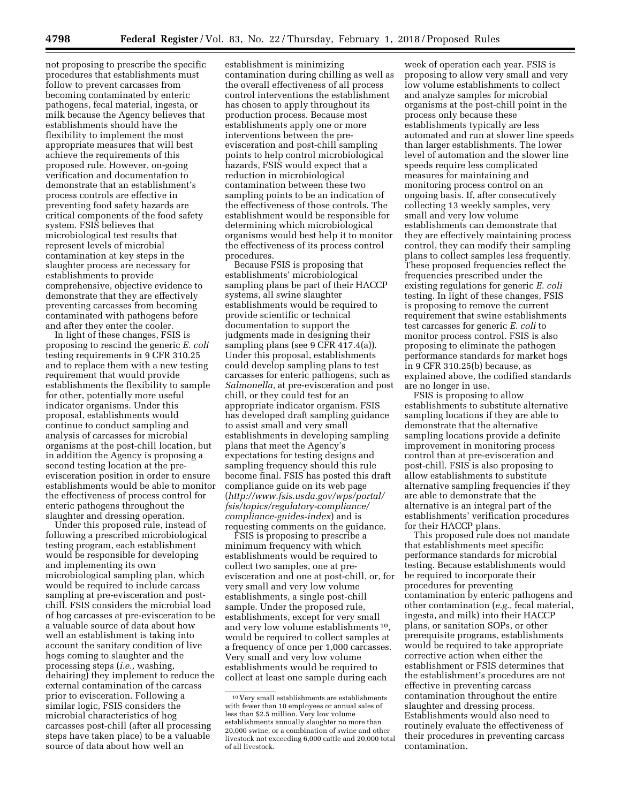not proposing to prescribe the specific procedures that establishments must follow to prevent carcasses from becoming contaminated by enteric pathogens, fecal material, ingesta, or milk because the Agency believes that establishments should have the flexibility to implement the most appropriate measures that will best achieve the requirements of this proposed rule. However, on-going verification and documentation to demonstrate that an establishment's process controls are effective in preventing food safety hazards are critical components of the food safety system. FSIS believes that microbiological test results that represent levels of microbial contamination at key steps in the slaughter process are necessary for establishments to provide comprehensive, objective evidence to demonstrate that they are effectively preventing carcasses from becoming contaminated with pathogens before and after they enter the cooler.

In light of these changes, FSIS is proposing to rescind the generic *E. coli*  testing requirements in 9 CFR 310.25 and to replace them with a new testing requirement that would provide establishments the flexibility to sample for other, potentially more useful indicator organisms. Under this proposal, establishments would continue to conduct sampling and analysis of carcasses for microbial organisms at the post-chill location, but in addition the Agency is proposing a second testing location at the preevisceration position in order to ensure establishments would be able to monitor the effectiveness of process control for enteric pathogens throughout the slaughter and dressing operation.

Under this proposed rule, instead of following a prescribed microbiological testing program, each establishment would be responsible for developing and implementing its own microbiological sampling plan, which would be required to include carcass sampling at pre-evisceration and postchill. FSIS considers the microbial load of hog carcasses at pre-evisceration to be a valuable source of data about how well an establishment is taking into account the sanitary condition of live hogs coming to slaughter and the processing steps (*i.e.,* washing, dehairing) they implement to reduce the external contamination of the carcass prior to evisceration. Following a similar logic, FSIS considers the microbial characteristics of hog carcasses post-chill (after all processing steps have taken place) to be a valuable source of data about how well an

establishment is minimizing contamination during chilling as well as the overall effectiveness of all process control interventions the establishment has chosen to apply throughout its production process. Because most establishments apply one or more interventions between the preevisceration and post-chill sampling points to help control microbiological hazards, FSIS would expect that a reduction in microbiological contamination between these two sampling points to be an indication of the effectiveness of those controls. The establishment would be responsible for determining which microbiological organisms would best help it to monitor the effectiveness of its process control procedures.

Because FSIS is proposing that establishments' microbiological sampling plans be part of their HACCP systems, all swine slaughter establishments would be required to provide scientific or technical documentation to support the judgments made in designing their sampling plans (see 9 CFR 417.4(a)). Under this proposal, establishments could develop sampling plans to test carcasses for enteric pathogens, such as *Salmonella,* at pre-evisceration and post chill, or they could test for an appropriate indicator organism. FSIS has developed draft sampling guidance to assist small and very small establishments in developing sampling plans that meet the Agency's expectations for testing designs and sampling frequency should this rule become final. FSIS has posted this draft compliance guide on its web page (*[http://www.fsis.usda.gov/wps/portal/](http://www.fsis.usda.gov/wps/portal/fsis/topics/regulatory-compliance/compliance-guides-index) [fsis/topics/regulatory-compliance/](http://www.fsis.usda.gov/wps/portal/fsis/topics/regulatory-compliance/compliance-guides-index) [compliance-guides-index](http://www.fsis.usda.gov/wps/portal/fsis/topics/regulatory-compliance/compliance-guides-index)*) and is requesting comments on the guidance.

FSIS is proposing to prescribe a minimum frequency with which establishments would be required to collect two samples, one at preevisceration and one at post-chill, or, for very small and very low volume establishments, a single post-chill sample. Under the proposed rule, establishments, except for very small and very low volume establishments 10, would be required to collect samples at a frequency of once per 1,000 carcasses. Very small and very low volume establishments would be required to collect at least one sample during each

week of operation each year. FSIS is proposing to allow very small and very low volume establishments to collect and analyze samples for microbial organisms at the post-chill point in the process only because these establishments typically are less automated and run at slower line speeds than larger establishments. The lower level of automation and the slower line speeds require less complicated measures for maintaining and monitoring process control on an ongoing basis. If, after consecutively collecting 13 weekly samples, very small and very low volume establishments can demonstrate that they are effectively maintaining process control, they can modify their sampling plans to collect samples less frequently. These proposed frequencies reflect the frequencies prescribed under the existing regulations for generic *E. coli*  testing. In light of these changes, FSIS is proposing to remove the current requirement that swine establishments test carcasses for generic *E. coli* to monitor process control. FSIS is also proposing to eliminate the pathogen performance standards for market hogs in 9 CFR 310.25(b) because, as explained above, the codified standards are no longer in use.

FSIS is proposing to allow establishments to substitute alternative sampling locations if they are able to demonstrate that the alternative sampling locations provide a definite improvement in monitoring process control than at pre-evisceration and post-chill. FSIS is also proposing to allow establishments to substitute alternative sampling frequencies if they are able to demonstrate that the alternative is an integral part of the establishments' verification procedures for their HACCP plans.

This proposed rule does not mandate that establishments meet specific performance standards for microbial testing. Because establishments would be required to incorporate their procedures for preventing contamination by enteric pathogens and other contamination (*e.g.,* fecal material, ingesta, and milk) into their HACCP plans, or sanitation SOPs, or other prerequisite programs, establishments would be required to take appropriate corrective action when either the establishment or FSIS determines that the establishment's procedures are not effective in preventing carcass contamination throughout the entire slaughter and dressing process. Establishments would also need to routinely evaluate the effectiveness of their procedures in preventing carcass contamination.

<sup>10</sup> Very small establishments are establishments with fewer than 10 employees or annual sales of less than \$2.5 million. Very low volume establishments annually slaughter no more than 20,000 swine, or a combination of swine and other livestock not exceeding 6,000 cattle and 20,000 total of all livestock.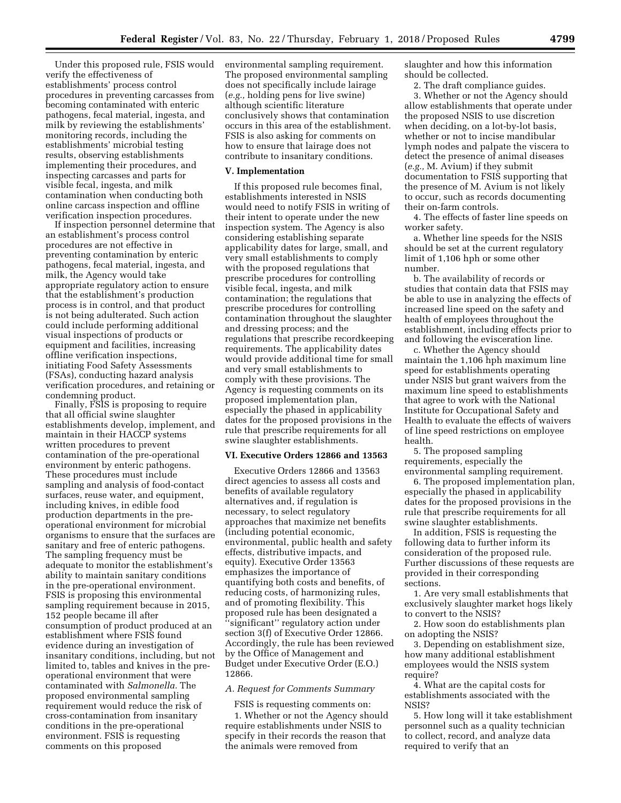Under this proposed rule, FSIS would verify the effectiveness of establishments' process control procedures in preventing carcasses from becoming contaminated with enteric pathogens, fecal material, ingesta, and milk by reviewing the establishments' monitoring records, including the establishments' microbial testing results, observing establishments implementing their procedures, and inspecting carcasses and parts for visible fecal, ingesta, and milk contamination when conducting both online carcass inspection and offline verification inspection procedures.

If inspection personnel determine that an establishment's process control procedures are not effective in preventing contamination by enteric pathogens, fecal material, ingesta, and milk, the Agency would take appropriate regulatory action to ensure that the establishment's production process is in control, and that product is not being adulterated. Such action could include performing additional visual inspections of products or equipment and facilities, increasing offline verification inspections, initiating Food Safety Assessments (FSAs), conducting hazard analysis verification procedures, and retaining or condemning product.

Finally, FSIS is proposing to require that all official swine slaughter establishments develop, implement, and maintain in their HACCP systems written procedures to prevent contamination of the pre-operational environment by enteric pathogens. These procedures must include sampling and analysis of food-contact surfaces, reuse water, and equipment, including knives, in edible food production departments in the preoperational environment for microbial organisms to ensure that the surfaces are sanitary and free of enteric pathogens. The sampling frequency must be adequate to monitor the establishment's ability to maintain sanitary conditions in the pre-operational environment. FSIS is proposing this environmental sampling requirement because in 2015, 152 people became ill after consumption of product produced at an establishment where FSIS found evidence during an investigation of insanitary conditions, including, but not limited to, tables and knives in the preoperational environment that were contaminated with *Salmonella.* The proposed environmental sampling requirement would reduce the risk of cross-contamination from insanitary conditions in the pre-operational environment. FSIS is requesting comments on this proposed

environmental sampling requirement. The proposed environmental sampling does not specifically include lairage (*e.g.,* holding pens for live swine) although scientific literature conclusively shows that contamination occurs in this area of the establishment. FSIS is also asking for comments on how to ensure that lairage does not contribute to insanitary conditions.

#### **V. Implementation**

If this proposed rule becomes final, establishments interested in NSIS would need to notify FSIS in writing of their intent to operate under the new inspection system. The Agency is also considering establishing separate applicability dates for large, small, and very small establishments to comply with the proposed regulations that prescribe procedures for controlling visible fecal, ingesta, and milk contamination; the regulations that prescribe procedures for controlling contamination throughout the slaughter and dressing process; and the regulations that prescribe recordkeeping requirements. The applicability dates would provide additional time for small and very small establishments to comply with these provisions. The Agency is requesting comments on its proposed implementation plan, especially the phased in applicability dates for the proposed provisions in the rule that prescribe requirements for all swine slaughter establishments.

#### **VI. Executive Orders 12866 and 13563**

Executive Orders 12866 and 13563 direct agencies to assess all costs and benefits of available regulatory alternatives and, if regulation is necessary, to select regulatory approaches that maximize net benefits (including potential economic, environmental, public health and safety effects, distributive impacts, and equity). Executive Order 13563 emphasizes the importance of quantifying both costs and benefits, of reducing costs, of harmonizing rules, and of promoting flexibility. This proposed rule has been designated a ''significant'' regulatory action under section 3(f) of Executive Order 12866. Accordingly, the rule has been reviewed by the Office of Management and Budget under Executive Order (E.O.) 12866.

### *A. Request for Comments Summary*

FSIS is requesting comments on:

1. Whether or not the Agency should require establishments under NSIS to specify in their records the reason that the animals were removed from

slaughter and how this information should be collected.

2. The draft compliance guides.

3. Whether or not the Agency should allow establishments that operate under the proposed NSIS to use discretion when deciding, on a lot-by-lot basis, whether or not to incise mandibular lymph nodes and palpate the viscera to detect the presence of animal diseases (*e.g.,* M. Avium) if they submit documentation to FSIS supporting that the presence of M. Avium is not likely to occur, such as records documenting their on-farm controls.

4. The effects of faster line speeds on worker safety.

a. Whether line speeds for the NSIS should be set at the current regulatory limit of 1,106 hph or some other number.

b. The availability of records or studies that contain data that FSIS may be able to use in analyzing the effects of increased line speed on the safety and health of employees throughout the establishment, including effects prior to and following the evisceration line.

c. Whether the Agency should maintain the 1,106 hph maximum line speed for establishments operating under NSIS but grant waivers from the maximum line speed to establishments that agree to work with the National Institute for Occupational Safety and Health to evaluate the effects of waivers of line speed restrictions on employee health.

5. The proposed sampling requirements, especially the environmental sampling requirement.

6. The proposed implementation plan, especially the phased in applicability dates for the proposed provisions in the rule that prescribe requirements for all swine slaughter establishments.

In addition, FSIS is requesting the following data to further inform its consideration of the proposed rule. Further discussions of these requests are provided in their corresponding sections.

1. Are very small establishments that exclusively slaughter market hogs likely to convert to the NSIS?

2. How soon do establishments plan on adopting the NSIS?

3. Depending on establishment size, how many additional establishment employees would the NSIS system require?

4. What are the capital costs for establishments associated with the NSIS?

5. How long will it take establishment personnel such as a quality technician to collect, record, and analyze data required to verify that an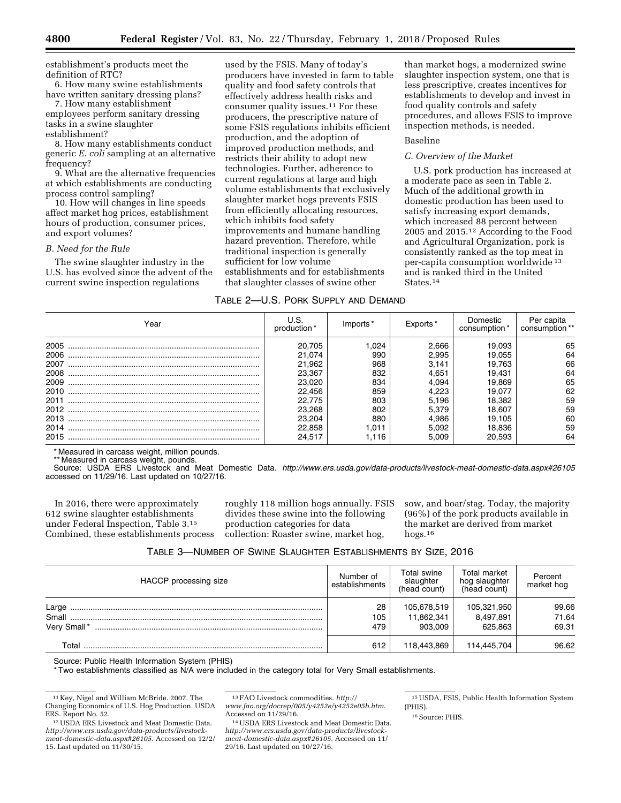establishment's products meet the definition of RTC?

6. How many swine establishments have written sanitary dressing plans?

7. How many establishment employees perform sanitary dressing tasks in a swine slaughter establishment?

8. How many establishments conduct generic *E. coli* sampling at an alternative frequency?

9. What are the alternative frequencies at which establishments are conducting process control sampling?

10. How will changes in line speeds affect market hog prices, establishment hours of production, consumer prices, and export volumes?

#### *B. Need for the Rule*

The swine slaughter industry in the U.S. has evolved since the advent of the current swine inspection regulations

used by the FSIS. Many of today's producers have invested in farm to table quality and food safety controls that effectively address health risks and consumer quality issues.<sup>11</sup> For these producers, the prescriptive nature of some FSIS regulations inhibits efficient production, and the adoption of improved production methods, and restricts their ability to adopt new technologies. Further, adherence to current regulations at large and high volume establishments that exclusively slaughter market hogs prevents FSIS from efficiently allocating resources, which inhibits food safety improvements and humane handling hazard prevention. Therefore, while traditional inspection is generally sufficient for low volume establishments and for establishments that slaughter classes of swine other

than market hogs, a modernized swine slaughter inspection system, one that is less prescriptive, creates incentives for establishments to develop and invest in food quality controls and safety procedures, and allows FSIS to improve inspection methods, is needed.

#### Baseline

### *C. Overview of the Market*

U.S. pork production has increased at a moderate pace as seen in Table 2. Much of the additional growth in domestic production has been used to satisfy increasing export demands, which increased 88 percent between 2005 and 2015.12 According to the Food and Agricultural Organization, pork is consistently ranked as the top meat in per-capita consumption worldwide 13 and is ranked third in the United States.14

| TABLE 2-U.S. PORK SUPPLY AND DEMAND |  |
|-------------------------------------|--|
|                                     |  |

| Year | production * | Imports | Exports* | Domestic<br>consumption <sup>3</sup> | Per capita<br>consumption |
|------|--------------|---------|----------|--------------------------------------|---------------------------|
| 2005 | 20.705       | .024    | 2.666    | 19.093                               | 65                        |
| 2006 | 21.074       | 990     | 2.995    | 19.055                               | 64                        |
| 2007 | 21.962       | 968     | 3.141    | 19.763                               | 66                        |
| 2008 | 23.367       | 832     | 4.651    | 19.431                               | 64                        |
| 2009 | 23.020       | 834     | 4.094    | 19.869                               | 65                        |
| 2010 | 22.456       | 859     | 4.223    | 19.077                               | 62                        |
| 2011 | 22.775       | 803     | 5.196    | 18.382                               | 59                        |
| 2012 | 23,268       | 802     | 5.379    | 18.607                               | 59                        |
| 2013 | 23,204       | 880     | 4.986    | 19.105                               | 60                        |
| 2014 | 22,858       | .011    | 5.092    | 18.836                               | 59                        |
| 2015 | 24.517       | 1.116   | 5.009    | 20.593                               | 64                        |

\* Measured in carcass weight, million pounds.

\*\* Measured in carcass weight, pounds.

Source: USDA ERS Livestock and Meat Domestic Data. *<http://www.ers.usda.gov/data-products/livestock-meat-domestic-data.aspx#26105>* accessed on 11/29/16. Last updated on 10/27/16.

In 2016, there were approximately 612 swine slaughter establishments under Federal Inspection, Table 3.15 Combined, these establishments process

roughly 118 million hogs annually. FSIS divides these swine into the following production categories for data collection: Roaster swine, market hog,

sow, and boar/stag. Today, the majority (96%) of the pork products available in the market are derived from market hogs.16

| TABLE 3-NUMBER OF SWINE SLAUGHTER ESTABLISHMENTS BY SIZE, 2016 |  |  |  |  |
|----------------------------------------------------------------|--|--|--|--|
|----------------------------------------------------------------|--|--|--|--|

| HACCP processing size         | Number of<br>establishments | Total swine<br>slaughter<br>(head count) | Total market<br>hog slaughter<br>(head count) | Percent<br>market hog   |
|-------------------------------|-----------------------------|------------------------------------------|-----------------------------------------------|-------------------------|
| Large<br>Small<br>Very Small* | 28<br>105<br>479            | 105,678,519<br>11,862,341<br>903.009     | 105,321,950<br>8,497,891<br>625.863           | 99.66<br>71.64<br>69.31 |
| Total                         | 612                         | 118.443.869                              | 114,445,704                                   | 96.62                   |

Source: Public Health Information System (PHIS)

\* Two establishments classified as N/A were included in the category total for Very Small establishments.

15USDA, FSIS, Public Health Information System (PHIS).

<sup>16</sup> Source: PHIS.

<sup>11</sup> Key, Nigel and William McBride. 2007. The Changing Economics of U.S. Hog Production. USDA

<sup>&</sup>lt;sup>12</sup> USDA ERS Livestock and Meat Domestic Data. *[http://www.ers.usda.gov/data-products/livestock](http://www.ers.usda.gov/data-products/livestock-meat-domestic-data.aspx#26105)[meat-domestic-data.aspx#26105](http://www.ers.usda.gov/data-products/livestock-meat-domestic-data.aspx#26105)*. Accessed on 12/2/ 15. Last updated on 11/30/15.

<sup>13</sup>FAO Livestock commodities. *[http://](http://www.fao.org/docrep/005/y4252e/y4252e05b.htm) [www.fao.org/docrep/005/y4252e/y4252e05b.htm](http://www.fao.org/docrep/005/y4252e/y4252e05b.htm)*.

<sup>&</sup>lt;sup>14</sup> USDA ERS Livestock and Meat Domestic Data. *[http://www.ers.usda.gov/data-products/livestock](http://www.ers.usda.gov/data-products/livestock-meat-domestic-data.aspx#26105)[meat-domestic-data.aspx#26105](http://www.ers.usda.gov/data-products/livestock-meat-domestic-data.aspx#26105)*. Accessed on 11/ 29/16. Last updated on 10/27/16.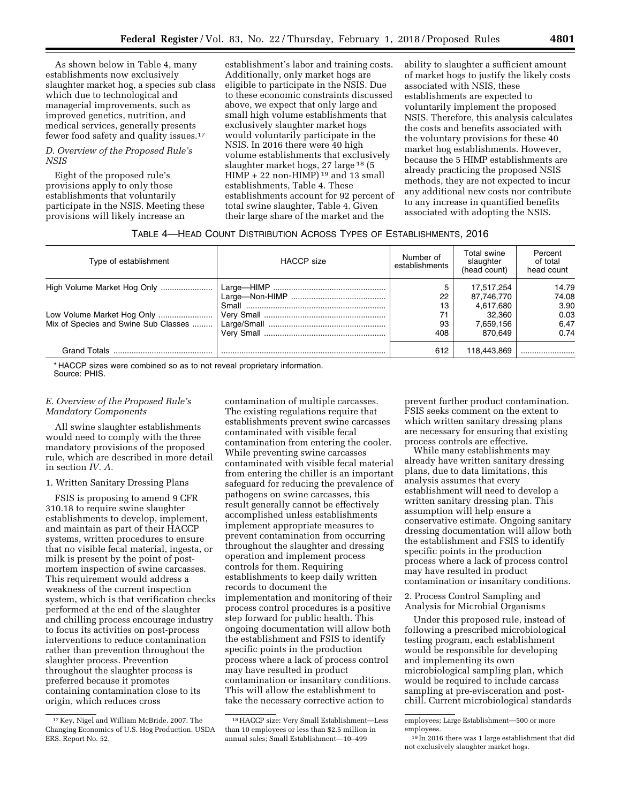As shown below in Table 4, many establishments now exclusively slaughter market hog, a species sub class which due to technological and managerial improvements, such as improved genetics, nutrition, and medical services, generally presents fewer food safety and quality issues.17

### *D. Overview of the Proposed Rule's NSIS*

Eight of the proposed rule's provisions apply to only those establishments that voluntarily participate in the NSIS. Meeting these provisions will likely increase an

establishment's labor and training costs. Additionally, only market hogs are eligible to participate in the NSIS. Due to these economic constraints discussed above, we expect that only large and small high volume establishments that exclusively slaughter market hogs would voluntarily participate in the NSIS. In 2016 there were 40 high volume establishments that exclusively slaughter market hogs, 27 large 18 (5  $HIMP + 22$  non- $HIMP$ )<sup>19</sup> and 13 small establishments, Table 4. These establishments account for 92 percent of total swine slaughter, Table 4. Given their large share of the market and the

ability to slaughter a sufficient amount of market hogs to justify the likely costs associated with NSIS, these establishments are expected to voluntarily implement the proposed NSIS. Therefore, this analysis calculates the costs and benefits associated with the voluntary provisions for these 40 market hog establishments. However, because the 5 HIMP establishments are already practicing the proposed NSIS methods, they are not expected to incur any additional new costs nor contribute to any increase in quantified benefits associated with adopting the NSIS.

### TABLE 4—HEAD COUNT DISTRIBUTION ACROSS TYPES OF ESTABLISHMENTS, 2016

| Type of establishment                | <b>HACCP</b> size | Number of<br>establishments | Total swine<br>slaughter<br>(head count) | Percent<br>of total<br>head count |
|--------------------------------------|-------------------|-----------------------------|------------------------------------------|-----------------------------------|
|                                      |                   | 5                           | 17.517.254                               | 14.79                             |
|                                      |                   | 22                          | 87,746,770                               | 74.08                             |
|                                      |                   | 13                          | 4,617,680                                | 3.90                              |
| Low Volume Market Hog Only           |                   | 71                          | 32.360                                   | 0.03                              |
| Mix of Species and Swine Sub Classes |                   | 93                          | 7.659.156                                | 6.47                              |
|                                      |                   | 408                         | 870.649                                  | 0.74                              |
|                                      |                   | 612                         | 118.443.869                              |                                   |

\* HACCP sizes were combined so as to not reveal proprietary information.

Source: PHIS.

### *E. Overview of the Proposed Rule's Mandatory Components*

All swine slaughter establishments would need to comply with the three mandatory provisions of the proposed rule, which are described in more detail in section *IV. A.* 

### 1. Written Sanitary Dressing Plans

FSIS is proposing to amend 9 CFR 310.18 to require swine slaughter establishments to develop, implement, and maintain as part of their HACCP systems, written procedures to ensure that no visible fecal material, ingesta, or milk is present by the point of postmortem inspection of swine carcasses. This requirement would address a weakness of the current inspection system, which is that verification checks performed at the end of the slaughter and chilling process encourage industry to focus its activities on post-process interventions to reduce contamination rather than prevention throughout the slaughter process. Prevention throughout the slaughter process is preferred because it promotes containing contamination close to its origin, which reduces cross

contamination of multiple carcasses. The existing regulations require that establishments prevent swine carcasses contaminated with visible fecal contamination from entering the cooler. While preventing swine carcasses contaminated with visible fecal material from entering the chiller is an important safeguard for reducing the prevalence of pathogens on swine carcasses, this result generally cannot be effectively accomplished unless establishments implement appropriate measures to prevent contamination from occurring throughout the slaughter and dressing operation and implement process controls for them. Requiring establishments to keep daily written records to document the implementation and monitoring of their process control procedures is a positive step forward for public health. This ongoing documentation will allow both the establishment and FSIS to identify specific points in the production process where a lack of process control may have resulted in product contamination or insanitary conditions. This will allow the establishment to take the necessary corrective action to

prevent further product contamination. FSIS seeks comment on the extent to which written sanitary dressing plans are necessary for ensuring that existing process controls are effective.

While many establishments may already have written sanitary dressing plans, due to data limitations, this analysis assumes that every establishment will need to develop a written sanitary dressing plan. This assumption will help ensure a conservative estimate. Ongoing sanitary dressing documentation will allow both the establishment and FSIS to identify specific points in the production process where a lack of process control may have resulted in product contamination or insanitary conditions.

2. Process Control Sampling and Analysis for Microbial Organisms

Under this proposed rule, instead of following a prescribed microbiological testing program, each establishment would be responsible for developing and implementing its own microbiological sampling plan, which would be required to include carcass sampling at pre-evisceration and postchill. Current microbiological standards

<sup>17</sup> Key, Nigel and William McBride. 2007. The Changing Economics of U.S. Hog Production. USDA ERS. Report No. 52.

<sup>18</sup>HACCP size: Very Small Establishment—Less than 10 employees or less than \$2.5 million in annual sales; Small Establishment—10–499

employees; Large Establishment—500 or more employees.

<sup>19</sup> In 2016 there was 1 large establishment that did not exclusively slaughter market hogs.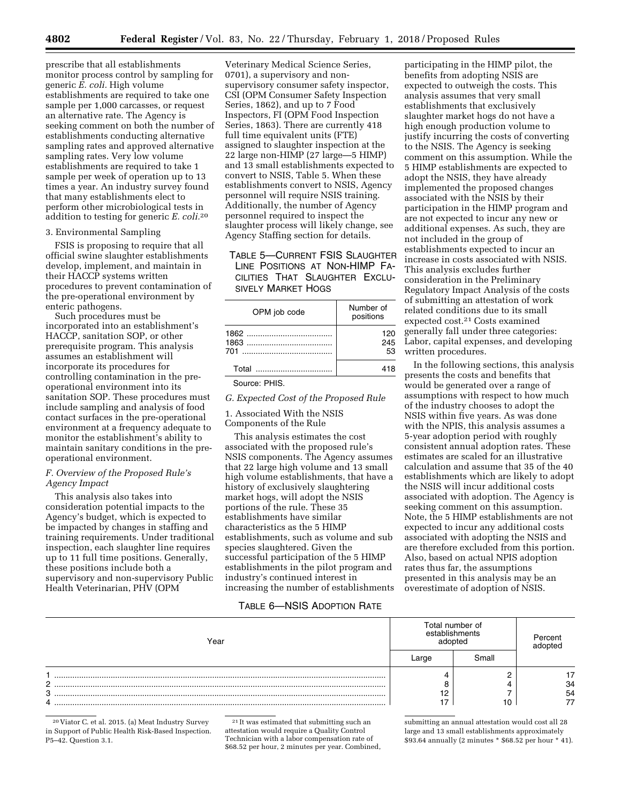prescribe that all establishments monitor process control by sampling for generic *E. coli.* High volume establishments are required to take one sample per 1,000 carcasses, or request an alternative rate. The Agency is seeking comment on both the number of establishments conducting alternative sampling rates and approved alternative sampling rates. Very low volume establishments are required to take 1 sample per week of operation up to 13 times a year. An industry survey found that many establishments elect to perform other microbiological tests in addition to testing for generic *E. coli.*20

### 3. Environmental Sampling

FSIS is proposing to require that all official swine slaughter establishments develop, implement, and maintain in their HACCP systems written procedures to prevent contamination of the pre-operational environment by enteric pathogens.

Such procedures must be incorporated into an establishment's HACCP, sanitation SOP, or other prerequisite program. This analysis assumes an establishment will incorporate its procedures for controlling contamination in the preoperational environment into its sanitation SOP. These procedures must include sampling and analysis of food contact surfaces in the pre-operational environment at a frequency adequate to monitor the establishment's ability to maintain sanitary conditions in the preoperational environment.

### *F. Overview of the Proposed Rule's Agency Impact*

This analysis also takes into consideration potential impacts to the Agency's budget, which is expected to be impacted by changes in staffing and training requirements. Under traditional inspection, each slaughter line requires up to 11 full time positions. Generally, these positions include both a supervisory and non-supervisory Public Health Veterinarian, PHV (OPM

Veterinary Medical Science Series, 0701), a supervisory and nonsupervisory consumer safety inspector, CSI (OPM Consumer Safety Inspection Series, 1862), and up to 7 Food Inspectors, FI (OPM Food Inspection Series, 1863). There are currently 418 full time equivalent units (FTE) assigned to slaughter inspection at the 22 large non-HIMP (27 large—5 HIMP) and 13 small establishments expected to convert to NSIS, Table 5. When these establishments convert to NSIS, Agency personnel will require NSIS training. Additionally, the number of Agency personnel required to inspect the slaughter process will likely change, see Agency Staffing section for details.

TABLE 5—CURRENT FSIS SLAUGHTER LINE POSITIONS AT NON-HIMP FA-CILITIES THAT SLAUGHTER EXCLU-SIVELY MARKET HOGS

| OPM job code | Number of<br>positions |
|--------------|------------------------|
| 701          | 120<br>245<br>53       |
| Total        |                        |

Source: PHIS.

*G. Expected Cost of the Proposed Rule* 

1. Associated With the NSIS Components of the Rule

This analysis estimates the cost associated with the proposed rule's NSIS components. The Agency assumes that 22 large high volume and 13 small high volume establishments, that have a history of exclusively slaughtering market hogs, will adopt the NSIS portions of the rule. These 35 establishments have similar characteristics as the 5 HIMP establishments, such as volume and sub species slaughtered. Given the successful participation of the 5 HIMP establishments in the pilot program and industry's continued interest in increasing the number of establishments

participating in the HIMP pilot, the benefits from adopting NSIS are expected to outweigh the costs. This analysis assumes that very small establishments that exclusively slaughter market hogs do not have a high enough production volume to justify incurring the costs of converting to the NSIS. The Agency is seeking comment on this assumption. While the 5 HIMP establishments are expected to adopt the NSIS, they have already implemented the proposed changes associated with the NSIS by their participation in the HIMP program and are not expected to incur any new or additional expenses. As such, they are not included in the group of establishments expected to incur an increase in costs associated with NSIS. This analysis excludes further consideration in the Preliminary Regulatory Impact Analysis of the costs of submitting an attestation of work related conditions due to its small expected cost.21 Costs examined generally fall under three categories: Labor, capital expenses, and developing written procedures.

In the following sections, this analysis presents the costs and benefits that would be generated over a range of assumptions with respect to how much of the industry chooses to adopt the NSIS within five years. As was done with the NPIS, this analysis assumes a 5-year adoption period with roughly consistent annual adoption rates. These estimates are scaled for an illustrative calculation and assume that 35 of the 40 establishments which are likely to adopt the NSIS will incur additional costs associated with adoption. The Agency is seeking comment on this assumption. Note, the 5 HIMP establishments are not expected to incur any additional costs associated with adopting the NSIS and are therefore excluded from this portion. Also, based on actual NPIS adoption rates thus far, the assumptions presented in this analysis may be an overestimate of adoption of NSIS.

### TABLE 6—NSIS ADOPTION RATE

| Year                    | Total number of<br>establishments |       |          |
|-------------------------|-----------------------------------|-------|----------|
|                         |                                   | Small |          |
| c<br><u>.</u><br>3<br>4 | 12<br>、                           |       | 34<br>54 |

20 Viator C. et al. 2015. (a) Meat Industry Survey in Support of Public Health Risk-Based Inspection. P5–42. Question 3.1.

21 It was estimated that submitting such an attestation would require a Quality Control Technician with a labor compensation rate of \$68.52 per hour, 2 minutes per year. Combined,

submitting an annual attestation would cost all 28 large and 13 small establishments approximately \$93.64 annually (2 minutes \* \$68.52 per hour \* 41).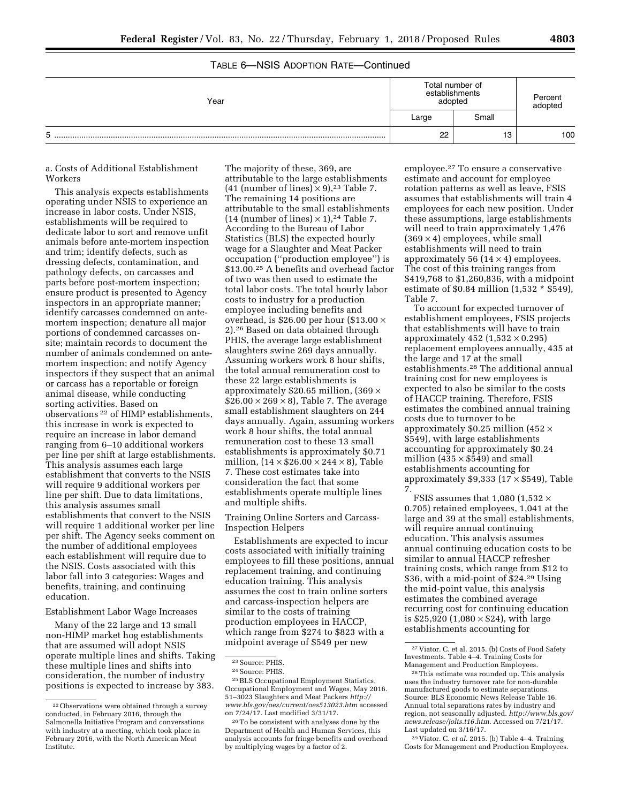### TABLE 6—NSIS ADOPTION RATE—Continued

| Year | Total number of<br>establishments<br>adopted | Percent<br>adopted |     |
|------|----------------------------------------------|--------------------|-----|
|      | Large                                        | Small              |     |
| 5    | 22                                           | 13                 | 100 |

#### a. Costs of Additional Establishment Workers

This analysis expects establishments operating under NSIS to experience an increase in labor costs. Under NSIS, establishments will be required to dedicate labor to sort and remove unfit animals before ante-mortem inspection and trim; identify defects, such as dressing defects, contamination, and pathology defects, on carcasses and parts before post-mortem inspection; ensure product is presented to Agency inspectors in an appropriate manner; identify carcasses condemned on antemortem inspection; denature all major portions of condemned carcasses onsite; maintain records to document the number of animals condemned on antemortem inspection; and notify Agency inspectors if they suspect that an animal or carcass has a reportable or foreign animal disease, while conducting sorting activities. Based on observations 22 of HIMP establishments, this increase in work is expected to require an increase in labor demand ranging from 6–10 additional workers per line per shift at large establishments. This analysis assumes each large establishment that converts to the NSIS will require 9 additional workers per line per shift. Due to data limitations, this analysis assumes small establishments that convert to the NSIS will require 1 additional worker per line per shift. The Agency seeks comment on the number of additional employees each establishment will require due to the NSIS. Costs associated with this labor fall into 3 categories: Wages and benefits, training, and continuing education.

### Establishment Labor Wage Increases

Many of the 22 large and 13 small non-HIMP market hog establishments that are assumed will adopt NSIS operate multiple lines and shifts. Taking these multiple lines and shifts into consideration, the number of industry positions is expected to increase by 383.

The majority of these, 369, are attributable to the large establishments (41 (number of lines)  $\times$  9),<sup>23</sup> Table 7. The remaining 14 positions are attributable to the small establishments (14 (number of lines)  $\times$  1),<sup>24</sup> Table 7. According to the Bureau of Labor Statistics (BLS) the expected hourly wage for a Slaughter and Meat Packer occupation (''production employee'') is \$13.00.25 A benefits and overhead factor of two was then used to estimate the total labor costs. The total hourly labor costs to industry for a production employee including benefits and overhead, is \$26.00 per hour (\$13.00  $\times$ 2).26 Based on data obtained through PHIS, the average large establishment slaughters swine 269 days annually. Assuming workers work 8 hour shifts, the total annual remuneration cost to these 22 large establishments is approximately \$20.65 million,  $(369 \times$  $$26.00 \times 269 \times 8$$ , Table 7. The average small establishment slaughters on 244 days annually. Again, assuming workers work 8 hour shifts, the total annual remuneration cost to these 13 small establishments is approximately \$0.71 million,  $(14 \times $26.00 \times 244 \times 8)$ , Table 7. These cost estimates take into consideration the fact that some establishments operate multiple lines and multiple shifts.

Training Online Sorters and Carcass-Inspection Helpers

Establishments are expected to incur costs associated with initially training employees to fill these positions, annual replacement training, and continuing education training. This analysis assumes the cost to train online sorters and carcass-inspection helpers are similar to the costs of training production employees in HACCP, which range from \$274 to \$823 with a midpoint average of \$549 per new

employee.27 To ensure a conservative estimate and account for employee rotation patterns as well as leave, FSIS assumes that establishments will train 4 employees for each new position. Under these assumptions, large establishments will need to train approximately 1,476  $(369 \times 4)$  employees, while small establishments will need to train approximately 56 ( $14 \times 4$ ) employees. The cost of this training ranges from \$419,768 to \$1,260,836, with a midpoint estimate of \$0.84 million (1,532 \* \$549), Table 7.

To account for expected turnover of establishment employees, FSIS projects that establishments will have to train approximately 452  $(1,532 \times 0.295)$ replacement employees annually, 435 at the large and 17 at the small establishments.28 The additional annual training cost for new employees is expected to also be similar to the costs of HACCP training. Therefore, FSIS estimates the combined annual training costs due to turnover to be approximately \$0.25 million (452 × \$549), with large establishments accounting for approximately \$0.24 million  $(435 \times $549)$  and small establishments accounting for approximately  $$9,333$  ( $17 \times $549$ ), Table 7.

FSIS assumes that 1,080 (1,532  $\times$ 0.705) retained employees, 1,041 at the large and 39 at the small establishments, will require annual continuing education. This analysis assumes annual continuing education costs to be similar to annual HACCP refresher training costs, which range from \$12 to \$36, with a mid-point of \$24.29 Using the mid-point value, this analysis estimates the combined average recurring cost for continuing education is \$25,920 (1,080  $\times$  \$24), with large establishments accounting for

29 Viator. C. *et al.* 2015. (b) Table 4–4. Training Costs for Management and Production Employees.

<sup>22</sup>Observations were obtained through a survey conducted, in February 2016, through the Salmonella Initiative Program and conversations with industry at a meeting, which took place in February 2016, with the North American Meat Institute.

<sup>23</sup>Source: PHIS.

<sup>&</sup>lt;sup>24</sup> Source: PHIS.

<sup>25</sup>BLS Occupational Employment Statistics, Occupational Employment and Wages, May 2016. 51–3023 Slaughters and Meat Packers *[http://](http://www.bls.gov/oes/current/oes513023.htm) [www.bls.gov/oes/current/oes513023.htm](http://www.bls.gov/oes/current/oes513023.htm)* accessed on 7/24/17. Last modified 3/31/17.

<sup>26</sup>To be consistent with analyses done by the Department of Health and Human Services, this analysis accounts for fringe benefits and overhead by multiplying wages by a factor of 2.

<sup>27</sup> Viator. C. et al. 2015. (b) Costs of Food Safety Investments. Table 4–4. Training Costs for Management and Production Employees. 28This estimate was rounded up. This analysis

uses the industry turnover rate for non-durable manufactured goods to estimate separations. Source: BLS Economic News Release Table 16. Annual total separations rates by industry and region, not seasonally adjusted. *[http://www.bls.gov/](http://www.bls.gov/news.release/jolts.t16.htm) [news.release/jolts.t16.htm.](http://www.bls.gov/news.release/jolts.t16.htm)* Accessed on 7/21/17. Last updated on 3/16/17.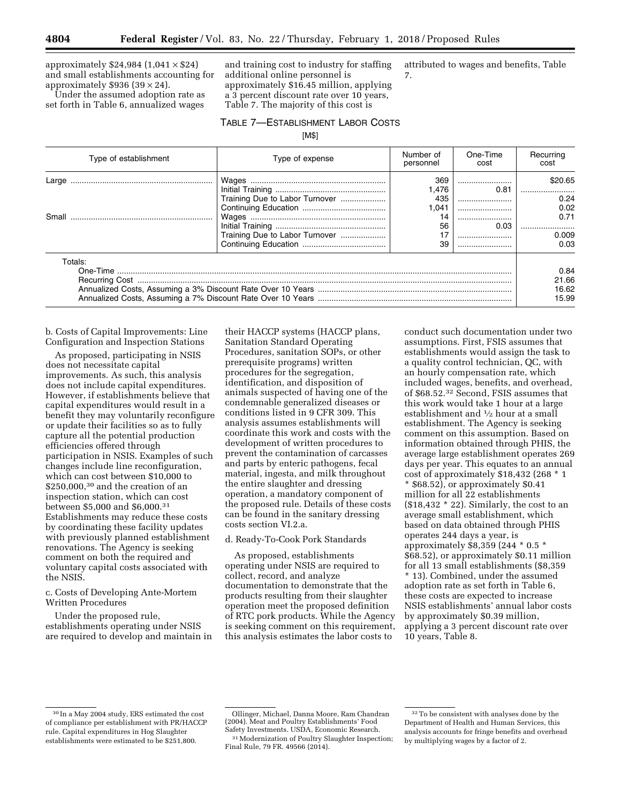approximately  $$24,984$   $(1,041 \times $24)$ and small establishments accounting for approximately \$936 (39  $\times$  24).

Under the assumed adoption rate as set forth in Table 6, annualized wages

and training cost to industry for staffing additional online personnel is approximately \$16.45 million, applying a 3 percent discount rate over 10 years, Table 7. The majority of this cost is

attributed to wages and benefits, Table 7.

#### TABLE 7—ESTABLISHMENT LABOR COSTS

[M\$]

| Type of establishment | Type of expense                                                  | Number of<br>personnel                               | One-Time<br>cost         | Recurring<br>cost                                |
|-----------------------|------------------------------------------------------------------|------------------------------------------------------|--------------------------|--------------------------------------------------|
| Large<br>Small        | Training Due to Labor Turnover<br>Training Due to Labor Turnover | 369<br>1.476<br>435<br>1.041<br>14<br>56<br>17<br>39 | 0.81<br><br><br>0.03<br> | \$20.65<br>0.24<br>0.02<br>0.71<br>0.009<br>0.03 |
| Totals:               |                                                                  |                                                      |                          | 0.84<br>21.66<br>16.62<br>15.99                  |

b. Costs of Capital Improvements: Line Configuration and Inspection Stations

As proposed, participating in NSIS does not necessitate capital improvements. As such, this analysis does not include capital expenditures. However, if establishments believe that capital expenditures would result in a benefit they may voluntarily reconfigure or update their facilities so as to fully capture all the potential production efficiencies offered through participation in NSIS. Examples of such changes include line reconfiguration, which can cost between \$10,000 to \$250,000,<sup>30</sup> and the creation of an inspection station, which can cost between \$5,000 and \$6,000.31 Establishments may reduce these costs by coordinating these facility updates with previously planned establishment renovations. The Agency is seeking comment on both the required and voluntary capital costs associated with the NSIS.

c. Costs of Developing Ante-Mortem Written Procedures

Under the proposed rule, establishments operating under NSIS are required to develop and maintain in

their HACCP systems (HACCP plans, Sanitation Standard Operating Procedures, sanitation SOPs, or other prerequisite programs) written procedures for the segregation, identification, and disposition of animals suspected of having one of the condemnable generalized diseases or conditions listed in 9 CFR 309. This analysis assumes establishments will coordinate this work and costs with the development of written procedures to prevent the contamination of carcasses and parts by enteric pathogens, fecal material, ingesta, and milk throughout the entire slaughter and dressing operation, a mandatory component of the proposed rule. Details of these costs can be found in the sanitary dressing costs section VI.2.a.

#### d. Ready-To-Cook Pork Standards

As proposed, establishments operating under NSIS are required to collect, record, and analyze documentation to demonstrate that the products resulting from their slaughter operation meet the proposed definition of RTC pork products. While the Agency is seeking comment on this requirement, this analysis estimates the labor costs to

conduct such documentation under two assumptions. First, FSIS assumes that establishments would assign the task to a quality control technician, QC, with an hourly compensation rate, which included wages, benefits, and overhead, of \$68.52.32 Second, FSIS assumes that this work would take 1 hour at a large establishment and 1⁄2 hour at a small establishment. The Agency is seeking comment on this assumption. Based on information obtained through PHIS, the average large establishment operates 269 days per year. This equates to an annual cost of approximately \$18,432 (268 \* 1 \* \$68.52), or approximately \$0.41 million for all 22 establishments (\$18,432 \* 22). Similarly, the cost to an average small establishment, which based on data obtained through PHIS operates 244 days a year, is approximately \$8,359 (244 \* 0.5 \* \$68.52), or approximately \$0.11 million for all 13 small establishments (\$8,359 \* 13). Combined, under the assumed adoption rate as set forth in Table 6, these costs are expected to increase NSIS establishments' annual labor costs by approximately \$0.39 million, applying a 3 percent discount rate over 10 years, Table 8.

<sup>30</sup> In a May 2004 study, ERS estimated the cost of compliance per establishment with PR/HACCP rule. Capital expenditures in Hog Slaughter establishments were estimated to be \$251,800.

Ollinger, Michael, Danna Moore, Ram Chandran (2004). Meat and Poultry Establishments' Food Safety Investments. USDA, Economic Research. 31Modernization of Poultry Slaughter Inspection;

Final Rule, 79 FR. 49566 (2014).

<sup>32</sup>To be consistent with analyses done by the Department of Health and Human Services, this analysis accounts for fringe benefits and overhead by multiplying wages by a factor of 2.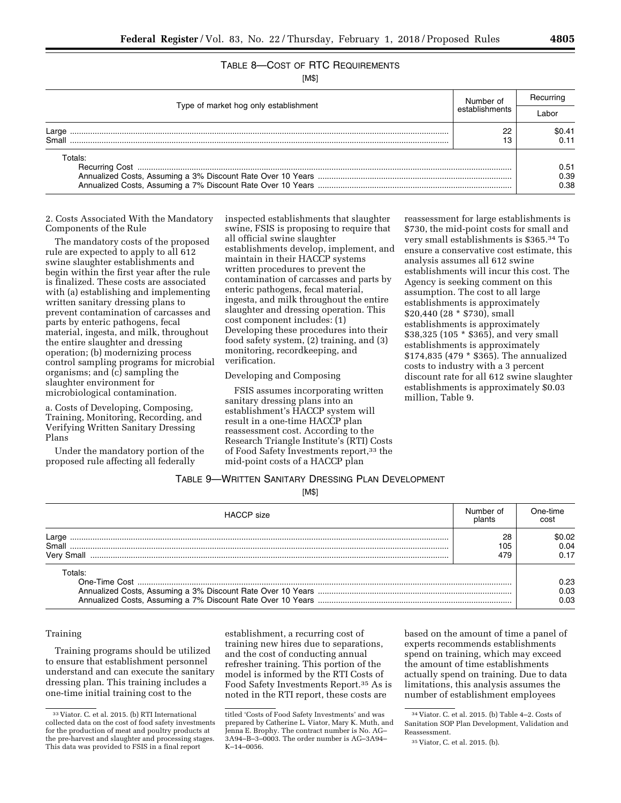# TABLE 8—COST OF RTC REQUIREMENTS

[M\$]

| Type of market hog only establishment | Number of<br>establishments | Recurring |
|---------------------------------------|-----------------------------|-----------|
|                                       |                             | ah∩i      |
| Large                                 | n                           | SO 41     |
| Small                                 |                             |           |
| Totals:                               |                             |           |
|                                       |                             | 0.51      |
|                                       |                             | 0.39      |
|                                       |                             | 0.38      |

2. Costs Associated With the Mandatory Components of the Rule

The mandatory costs of the proposed rule are expected to apply to all 612 swine slaughter establishments and begin within the first year after the rule is finalized. These costs are associated with (a) establishing and implementing written sanitary dressing plans to prevent contamination of carcasses and parts by enteric pathogens, fecal material, ingesta, and milk, throughout the entire slaughter and dressing operation; (b) modernizing process control sampling programs for microbial organisms; and (c) sampling the slaughter environment for microbiological contamination.

a. Costs of Developing, Composing, Training, Monitoring, Recording, and Verifying Written Sanitary Dressing Plans

Under the mandatory portion of the proposed rule affecting all federally

inspected establishments that slaughter swine, FSIS is proposing to require that all official swine slaughter establishments develop, implement, and maintain in their HACCP systems written procedures to prevent the contamination of carcasses and parts by enteric pathogens, fecal material, ingesta, and milk throughout the entire slaughter and dressing operation. This cost component includes: (1) Developing these procedures into their food safety system, (2) training, and (3) monitoring, recordkeeping, and verification.

#### Developing and Composing

FSIS assumes incorporating written sanitary dressing plans into an establishment's HACCP system will result in a one-time HACCP plan reassessment cost. According to the Research Triangle Institute's (RTI) Costs of Food Safety Investments report,<sup>33</sup> the mid-point costs of a HACCP plan

reassessment for large establishments is \$730, the mid-point costs for small and very small establishments is \$365.34 To ensure a conservative cost estimate, this analysis assumes all 612 swine establishments will incur this cost. The Agency is seeking comment on this assumption. The cost to all large establishments is approximately \$20,440 (28 \* \$730), small establishments is approximately \$38,325 (105 \* \$365), and very small establishments is approximately \$174,835 (479 \* \$365). The annualized costs to industry with a 3 percent discount rate for all 612 swine slaughter establishments is approximately \$0.03 million, Table 9.

### TABLE 9—WRITTEN SANITARY DRESSING PLAN DEVELOPMENT

[M\$]

| <b>HACCP</b> size            | Number of<br>plants | One-time<br>cost      |
|------------------------------|---------------------|-----------------------|
| Large<br>Small<br>Very Small | 28<br>105<br>479    | \$0.02.<br>0.04       |
| Totals:                      |                     | 0.23.<br>0.03<br>0.03 |

### Training

Training programs should be utilized to ensure that establishment personnel understand and can execute the sanitary dressing plan. This training includes a one-time initial training cost to the

establishment, a recurring cost of training new hires due to separations, and the cost of conducting annual refresher training. This portion of the model is informed by the RTI Costs of Food Safety Investments Report.35 As is noted in the RTI report, these costs are

based on the amount of time a panel of experts recommends establishments spend on training, which may exceed the amount of time establishments actually spend on training. Due to data limitations, this analysis assumes the number of establishment employees

<sup>33</sup> Viator. C. et al. 2015. (b) RTI International collected data on the cost of food safety investments for the production of meat and poultry products at the pre-harvest and slaughter and processing stages. This data was provided to FSIS in a final report

titled 'Costs of Food Safety Investments' and was prepared by Catherine L. Viator, Mary K. Muth, and Jenna E. Brophy. The contract number is No. AG– 3A94–B–3–0003. The order number is AG–3A94– K–14–0056.

<sup>34</sup> Viator. C. et al. 2015. (b) Table 4–2. Costs of Sanitation SOP Plan Development, Validation and Reassessment.

<sup>35</sup> Viator, C. et al. 2015. (b).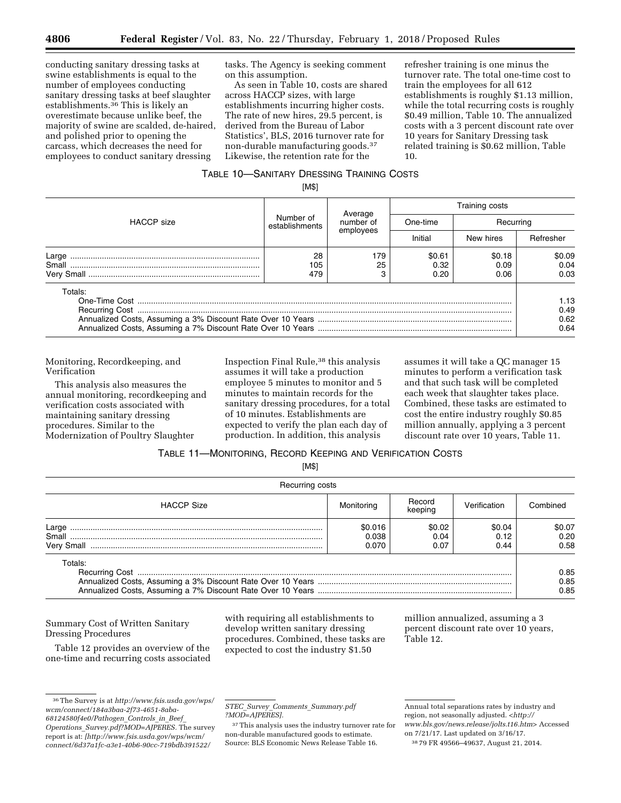conducting sanitary dressing tasks at swine establishments is equal to the number of employees conducting sanitary dressing tasks at beef slaughter establishments.36 This is likely an overestimate because unlike beef, the majority of swine are scalded, de-haired, and polished prior to opening the carcass, which decreases the need for employees to conduct sanitary dressing

tasks. The Agency is seeking comment on this assumption.

As seen in Table 10, costs are shared across HACCP sizes, with large establishments incurring higher costs. The rate of new hires, 29.5 percent, is derived from the Bureau of Labor Statistics', BLS, 2016 turnover rate for non-durable manufacturing goods.37 Likewise, the retention rate for the

refresher training is one minus the turnover rate. The total one-time cost to train the employees for all 612 establishments is roughly \$1.13 million, while the total recurring costs is roughly \$0.49 million, Table 10. The annualized costs with a 3 percent discount rate over 10 years for Sanitary Dressing task related training is \$0.62 million, Table 10.

# TABLE 10—SANITARY DRESSING TRAINING COSTS

[M\$]

|                   | Number of<br>establishments | Average<br>number of | Training costs         |                        |                              |  |
|-------------------|-----------------------------|----------------------|------------------------|------------------------|------------------------------|--|
| <b>HACCP</b> size |                             |                      | One-time               | Recurring              |                              |  |
|                   |                             | employees            | Initial                | New hires              | Refresher                    |  |
| Large<br>Small    | 28<br>105<br>479            | 179<br>25            | \$0.61<br>0.32<br>0.20 | \$0.18<br>0.09<br>0.06 | \$0.09<br>0.04<br>0.03       |  |
| Totals:           |                             |                      |                        |                        | 1.13<br>0.49<br>0.62<br>0.64 |  |

Monitoring, Recordkeeping, and Verification

This analysis also measures the annual monitoring, recordkeeping and verification costs associated with maintaining sanitary dressing procedures. Similar to the Modernization of Poultry Slaughter

Inspection Final Rule,38 this analysis assumes it will take a production employee 5 minutes to monitor and 5 minutes to maintain records for the sanitary dressing procedures, for a total of 10 minutes. Establishments are expected to verify the plan each day of production. In addition, this analysis

assumes it will take a QC manager 15 minutes to perform a verification task and that such task will be completed each week that slaughter takes place. Combined, these tasks are estimated to cost the entire industry roughly \$0.85 million annually, applying a 3 percent discount rate over 10 years, Table 11.

TABLE 11—MONITORING, RECORD KEEPING AND VERIFICATION COSTS

[M\$]

| Recurring costs   |                           |                        |                        |                        |
|-------------------|---------------------------|------------------------|------------------------|------------------------|
| <b>HACCP Size</b> | Monitorina                | Record<br>keeping      | Verification           | Combined               |
| Large             | \$0.016<br>0.038<br>0.070 | \$0.02<br>0.04<br>0.07 | \$0.04<br>0.12<br>0.44 | \$0.07<br>0.20<br>0.58 |
| Totals:           |                           |                        |                        | 0.85<br>0.85<br>0.85   |

### Summary Cost of Written Sanitary Dressing Procedures

Table 12 provides an overview of the one-time and recurring costs associated with requiring all establishments to develop written sanitary dressing procedures. Combined, these tasks are expected to cost the industry \$1.50

million annualized, assuming a 3 percent discount rate over 10 years, Table 12.

*STEC*\_*Survey*\_*Comments*\_*[Summary.pdf](http://www.fsis.usda.gov/wps/wcm/connect/6d37a1fc-a3e1-40b6-90cc-719bdb391522/STEC_Survey_Comments_Summary.pdf?MOD=AJPERES) [?MOD=AJPERES\].](http://www.fsis.usda.gov/wps/wcm/connect/6d37a1fc-a3e1-40b6-90cc-719bdb391522/STEC_Survey_Comments_Summary.pdf?MOD=AJPERES)* 

<sup>36</sup>The Survey is at *[http://www.fsis.usda.gov/wps/](http://www.fsis.usda.gov/wps/wcm/connect/184a3baa-2f73-4651-8aba-68124580f4e0/Pathogen_Controls_in_Beef_Operations_Survey.pdf?MOD=AJPERES) [wcm/connect/184a3baa-2f73-4651-8aba-](http://www.fsis.usda.gov/wps/wcm/connect/184a3baa-2f73-4651-8aba-68124580f4e0/Pathogen_Controls_in_Beef_Operations_Survey.pdf?MOD=AJPERES)[68124580f4e0/Pathogen](http://www.fsis.usda.gov/wps/wcm/connect/184a3baa-2f73-4651-8aba-68124580f4e0/Pathogen_Controls_in_Beef_Operations_Survey.pdf?MOD=AJPERES)*\_*Controls*\_*in*\_*Beef*\_ *Operations*\_*[Survey.pdf?MOD=AJPERES.](http://www.fsis.usda.gov/wps/wcm/connect/184a3baa-2f73-4651-8aba-68124580f4e0/Pathogen_Controls_in_Beef_Operations_Survey.pdf?MOD=AJPERES)* The survey report is at: *[[http://www.fsis.usda.gov/wps/wcm/](http://www.fsis.usda.gov/wps/wcm/connect/6d37a1fc-a3e1-40b6-90cc-719bdb391522/STEC_Survey_Comments_Summary.pdf?MOD=AJPERES) [connect/6d37a1fc-a3e1-40b6-90cc-719bdb391522/](http://www.fsis.usda.gov/wps/wcm/connect/6d37a1fc-a3e1-40b6-90cc-719bdb391522/STEC_Survey_Comments_Summary.pdf?MOD=AJPERES)* 

 $^{\rm 37}$  This analysis uses the industry turnover rate for non-durable manufactured goods to estimate. Source: BLS Economic News Release Table 16.

Annual total separations rates by industry and region, not seasonally adjusted. *[<http://](http://www.bls.gov/news.release/jolts.t16.htm) [www.bls.gov/news.release/jolts.t16.htm>](http://www.bls.gov/news.release/jolts.t16.htm)* Accessed on 7/21/17. Last updated on 3/16/17.

<sup>38</sup> 79 FR 49566–49637, August 21, 2014.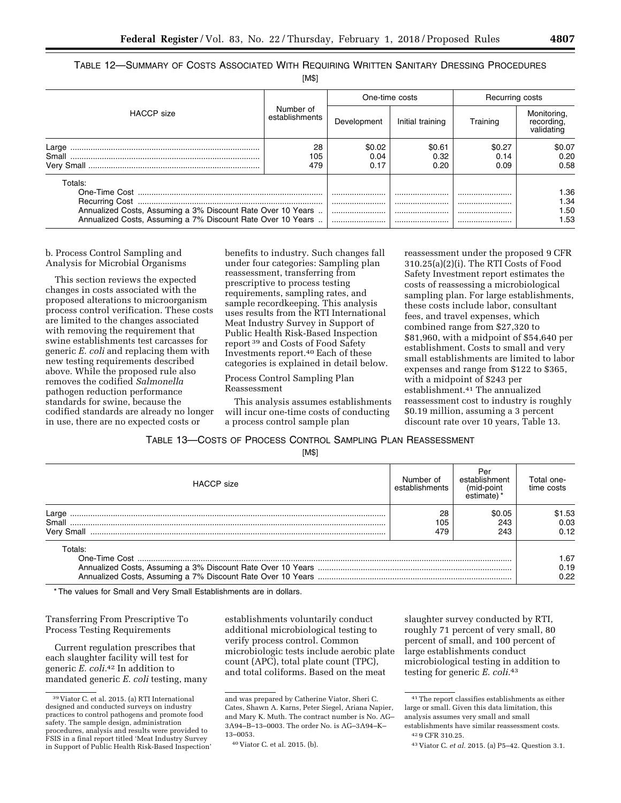TABLE 12—SUMMARY OF COSTS ASSOCIATED WITH REQUIRING WRITTEN SANITARY DRESSING PROCEDURES

[M\$]

|                                                                                                                                       |                             | One-time costs         |                        | Recurring costs        |                                         |
|---------------------------------------------------------------------------------------------------------------------------------------|-----------------------------|------------------------|------------------------|------------------------|-----------------------------------------|
| <b>HACCP</b> size                                                                                                                     | Number of<br>establishments | Development            | Initial training       | Training               | Monitoring,<br>recording,<br>validating |
| Large<br>Small                                                                                                                        | 28<br>105<br>479            | \$0.02<br>0.04<br>0.17 | \$0.61<br>0.32<br>0.20 | \$0.27<br>0.14<br>0.09 | \$0.07<br>0.20<br>0.58                  |
| Totals:<br>Annualized Costs, Assuming a 3% Discount Rate Over 10 Years<br>Annualized Costs, Assuming a 7% Discount Rate Over 10 Years |                             | <br><br>               | <br><br><br>           | <br><br><br>           | 1.36<br>1.34<br>1.50<br>1.53            |

b. Process Control Sampling and Analysis for Microbial Organisms

This section reviews the expected changes in costs associated with the proposed alterations to microorganism process control verification. These costs are limited to the changes associated with removing the requirement that swine establishments test carcasses for generic *E. coli* and replacing them with new testing requirements described above. While the proposed rule also removes the codified *Salmonella*  pathogen reduction performance standards for swine, because the codified standards are already no longer in use, there are no expected costs or

benefits to industry. Such changes fall under four categories: Sampling plan reassessment, transferring from prescriptive to process testing requirements, sampling rates, and sample recordkeeping. This analysis uses results from the RTI International Meat Industry Survey in Support of Public Health Risk-Based Inspection report 39 and Costs of Food Safety Investments report.40 Each of these categories is explained in detail below.

Process Control Sampling Plan Reassessment

This analysis assumes establishments will incur one-time costs of conducting a process control sample plan

reassessment under the proposed 9 CFR 310.25(a)(2)(i). The RTI Costs of Food Safety Investment report estimates the costs of reassessing a microbiological sampling plan. For large establishments, these costs include labor, consultant fees, and travel expenses, which combined range from \$27,320 to \$81,960, with a midpoint of \$54,640 per establishment. Costs to small and very small establishments are limited to labor expenses and range from \$122 to \$365, with a midpoint of \$243 per establishment.41 The annualized reassessment cost to industry is roughly \$0.19 million, assuming a 3 percent discount rate over 10 years, Table 13.

### TABLE 13—COSTS OF PROCESS CONTROL SAMPLING PLAN REASSESSMENT

[M\$]

| <b>HACCP</b> size            | Number of<br>establishments | Per<br>establishment<br>(mid-point<br>estimate) | Total one-<br>time costs |
|------------------------------|-----------------------------|-------------------------------------------------|--------------------------|
| Large<br>Small<br>Very Small | 28<br>105<br>479            | \$0.05<br>243<br>243                            | \$1.53<br>0.03<br>0.12   |
| Totals:<br>$One-Time Cost$   |                             |                                                 |                          |

\* The values for Small and Very Small Establishments are in dollars.

### Transferring From Prescriptive To Process Testing Requirements

Current regulation prescribes that each slaughter facility will test for generic *E. coli.*42 In addition to mandated generic *E. coli* testing, many

establishments voluntarily conduct additional microbiological testing to verify process control. Common microbiologic tests include aerobic plate count (APC), total plate count (TPC), and total coliforms. Based on the meat

slaughter survey conducted by RTI, roughly 71 percent of very small, 80 percent of small, and 100 percent of large establishments conduct microbiological testing in addition to testing for generic *E. coli.*43

<sup>39</sup> Viator C. et al. 2015. (a) RTI International designed and conducted surveys on industry practices to control pathogens and promote food safety. The sample design, administration procedures, analysis and results were provided to FSIS in a final report titled 'Meat Industry Survey in Support of Public Health Risk-Based Inspection'

and was prepared by Catherine Viator, Sheri C. Cates, Shawn A. Karns, Peter Siegel, Ariana Napier, and Mary K. Muth. The contract number is No. AG– 3A94–B–13–0003. The order No. is AG–3A94–K– 13–0053.

<sup>40</sup> Viator C. et al. 2015. (b).

<sup>41</sup>The report classifies establishments as either large or small. Given this data limitation, this analysis assumes very small and small establishments have similar reassessment costs.

<sup>42</sup> 9 CFR 310.25.

<sup>43</sup> Viator C. *et al.* 2015. (a) P5–42. Question 3.1.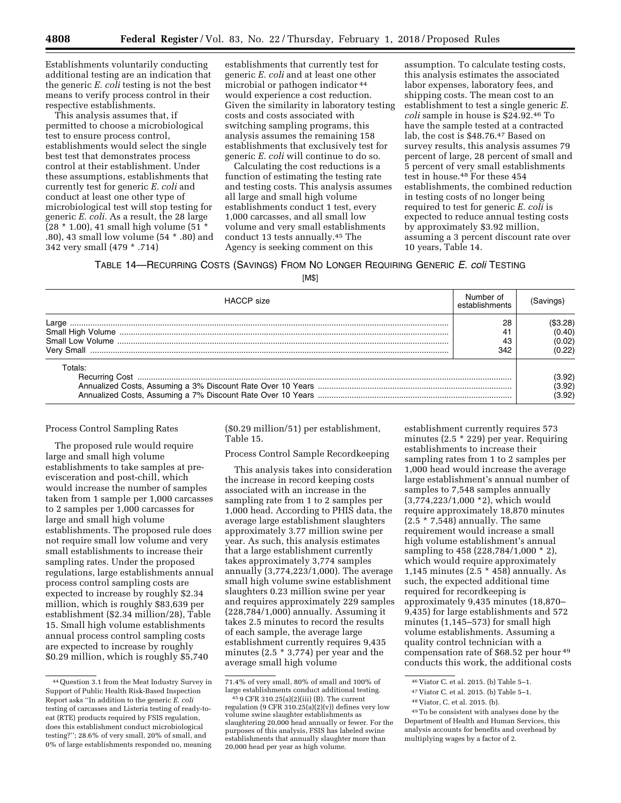Establishments voluntarily conducting additional testing are an indication that the generic *E. coli* testing is not the best means to verify process control in their respective establishments.

This analysis assumes that, if permitted to choose a microbiological test to ensure process control, establishments would select the single best test that demonstrates process control at their establishment. Under these assumptions, establishments that currently test for generic *E. coli* and conduct at least one other type of microbiological test will stop testing for generic *E. coli.* As a result, the 28 large  $(28 * 1.00), 41$  small high volume  $(51 *$ .80), 43 small low volume (54 \* .80) and 342 very small (479 \* .714)

establishments that currently test for generic *E. coli* and at least one other microbial or pathogen indicator 44 would experience a cost reduction. Given the similarity in laboratory testing costs and costs associated with switching sampling programs, this analysis assumes the remaining 158 establishments that exclusively test for generic *E. coli* will continue to do so.

Calculating the cost reductions is a function of estimating the testing rate and testing costs. This analysis assumes all large and small high volume establishments conduct 1 test, every 1,000 carcasses, and all small low volume and very small establishments conduct 13 tests annually.45 The Agency is seeking comment on this

assumption. To calculate testing costs, this analysis estimates the associated labor expenses, laboratory fees, and shipping costs. The mean cost to an establishment to test a single generic *E. coli* sample in house is \$24.92.46 To have the sample tested at a contracted lab, the cost is \$48.76.47 Based on survey results, this analysis assumes 79 percent of large, 28 percent of small and 5 percent of very small establishments test in house.48 For these 454 establishments, the combined reduction in testing costs of no longer being required to test for generic *E. coli* is expected to reduce annual testing costs by approximately \$3.92 million, assuming a 3 percent discount rate over 10 years, Table 14.

TABLE 14—RECURRING COSTS (SAVINGS) FROM NO LONGER REQUIRING GENERIC *E. coli* TESTING

[M\$]

| <b>HACCP</b> size   | Number of<br>establishments | (Savinɑs)                              |
|---------------------|-----------------------------|----------------------------------------|
| Large<br>Very Small | 28<br>342                   | (\$3.28)<br>(0.40)<br>(0.02)<br>(0.22) |
| Totals:             |                             | (3.92)<br>(3.92)<br>(3.92)             |

### Process Control Sampling Rates

The proposed rule would require large and small high volume establishments to take samples at preevisceration and post-chill, which would increase the number of samples taken from 1 sample per 1,000 carcasses to 2 samples per 1,000 carcasses for large and small high volume establishments. The proposed rule does not require small low volume and very small establishments to increase their sampling rates. Under the proposed regulations, large establishments annual process control sampling costs are expected to increase by roughly \$2.34 million, which is roughly \$83,639 per establishment (\$2.34 million/28), Table 15. Small high volume establishments annual process control sampling costs are expected to increase by roughly \$0.29 million, which is roughly \$5,740

(\$0.29 million/51) per establishment, Table 15.

#### Process Control Sample Recordkeeping

This analysis takes into consideration the increase in record keeping costs associated with an increase in the sampling rate from 1 to 2 samples per 1,000 head. According to PHIS data, the average large establishment slaughters approximately 3.77 million swine per year. As such, this analysis estimates that a large establishment currently takes approximately 3,774 samples annually (3,774,223/1,000). The average small high volume swine establishment slaughters 0.23 million swine per year and requires approximately 229 samples (228,784/1,000) annually. Assuming it takes 2.5 minutes to record the results of each sample, the average large establishment currently requires 9,435 minutes (2.5 \* 3,774) per year and the average small high volume

establishment currently requires 573 minutes (2.5 \* 229) per year. Requiring establishments to increase their sampling rates from 1 to 2 samples per 1,000 head would increase the average large establishment's annual number of samples to 7,548 samples annually (3,774,223/1,000 \*2), which would require approximately 18,870 minutes  $(2.5 * 7,548)$  annually. The same requirement would increase a small high volume establishment's annual sampling to 458 (228,784/1,000 \* 2), which would require approximately 1,145 minutes (2.5 \* 458) annually. As such, the expected additional time required for recordkeeping is approximately 9,435 minutes (18,870– 9,435) for large establishments and 572 minutes (1,145–573) for small high volume establishments. Assuming a quality control technician with a compensation rate of \$68.52 per hour 49 conducts this work, the additional costs

<sup>44</sup>Question 3.1 from the Meat Industry Survey in Support of Public Health Risk-Based Inspection Report asks ''In addition to the generic *E. coli*  testing of carcasses and Listeria testing of ready-toeat (RTE) products required by FSIS regulation, does this establishment conduct microbiological testing?''; 28.6% of very small, 20% of small, and 0% of large establishments responded no, meaning

<sup>71.4%</sup> of very small, 80% of small and 100% of

 $459$  CFR 310.25(a)(2)(iii) (B). The current regulation (9 CFR  $310.25(a)(2)(v)$ ) defines very low volume swine slaughter establishments as slaughtering 20,000 head annually or fewer. For the purposes of this analysis, FSIS has labeled swine establishments that annually slaughter more than 20,000 head per year as high volume.

<sup>46</sup> Viator C. et al. 2015. (b) Table 5–1.

<sup>47</sup> Viator C. et al. 2015. (b) Table 5–1.

<sup>48</sup> Viator, C. et al. 2015. (b).

<sup>49</sup>To be consistent with analyses done by the Department of Health and Human Services, this analysis accounts for benefits and overhead by multiplying wages by a factor of 2.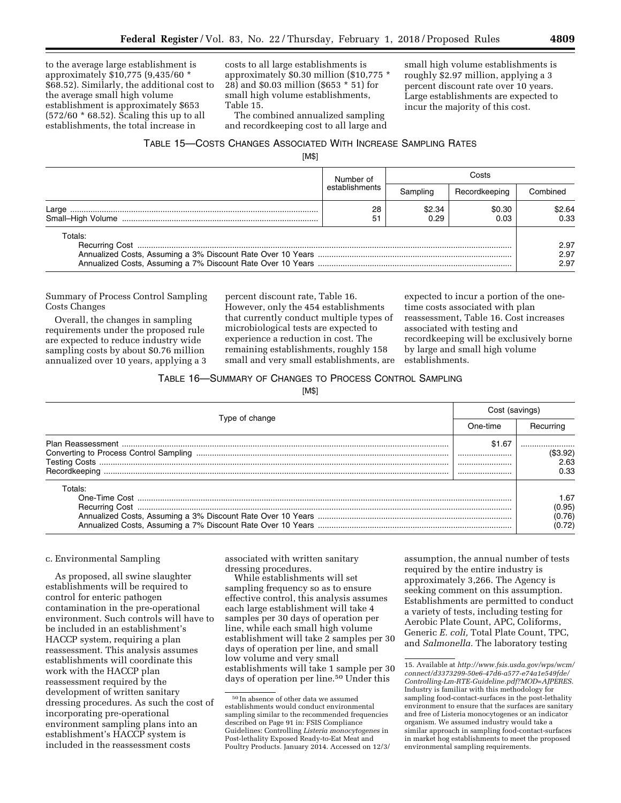to the average large establishment is approximately \$10,775 (9,435/60 \* \$68.52). Similarly, the additional cost to the average small high volume establishment is approximately \$653 (572/60 \* 68.52). Scaling this up to all establishments, the total increase in

costs to all large establishments is approximately \$0.30 million (\$10,775 \* 28) and \$0.03 million (\$653 \* 51) for small high volume establishments, Table 15.

The combined annualized sampling and recordkeeping cost to all large and small high volume establishments is roughly \$2.97 million, applying a 3 percent discount rate over 10 years. Large establishments are expected to incur the majority of this cost.

### TABLE 15—COSTS CHANGES ASSOCIATED WITH INCREASE SAMPLING RATES

[M\$]

|         | Number of      |                | Costs          |                      |  |
|---------|----------------|----------------|----------------|----------------------|--|
|         | establishments | Samnling       | Recordkeeping  | Combined             |  |
| Large   | 28<br>51       | \$2.34<br>0.29 | \$0.30<br>0.03 | \$2.64<br>0.33       |  |
| Totals: |                |                |                | 2.97<br>2.97<br>2.97 |  |

Summary of Process Control Sampling Costs Changes

Overall, the changes in sampling requirements under the proposed rule are expected to reduce industry wide sampling costs by about \$0.76 million annualized over 10 years, applying a 3 percent discount rate, Table 16. However, only the 454 establishments that currently conduct multiple types of microbiological tests are expected to experience a reduction in cost. The remaining establishments, roughly 158 small and very small establishments, are

expected to incur a portion of the onetime costs associated with plan reassessment, Table 16. Cost increases associated with testing and recordkeeping will be exclusively borne by large and small high volume establishments.

### TABLE 16—SUMMARY OF CHANGES TO PROCESS CONTROL SAMPLING

[M\$]

|                | Cost (savings) |                                    |
|----------------|----------------|------------------------------------|
| Type of change | One-time       | Recurring                          |
|                | \$1.67         | (\$3.92)<br>2.63<br>0.33           |
| Totals:        |                | 1.67<br>(0.95)<br>(0.76)<br>(0.72) |

#### c. Environmental Sampling

As proposed, all swine slaughter establishments will be required to control for enteric pathogen contamination in the pre-operational environment. Such controls will have to be included in an establishment's HACCP system, requiring a plan reassessment. This analysis assumes establishments will coordinate this work with the HACCP plan reassessment required by the development of written sanitary dressing procedures. As such the cost of incorporating pre-operational environment sampling plans into an establishment's HACCP system is included in the reassessment costs

associated with written sanitary dressing procedures.

While establishments will set sampling frequency so as to ensure effective control, this analysis assumes each large establishment will take 4 samples per 30 days of operation per line, while each small high volume establishment will take 2 samples per 30 days of operation per line, and small low volume and very small establishments will take 1 sample per 30 days of operation per line.50 Under this

assumption, the annual number of tests required by the entire industry is approximately 3,266. The Agency is seeking comment on this assumption. Establishments are permitted to conduct a variety of tests, including testing for Aerobic Plate Count, APC, Coliforms, Generic *E. coli,* Total Plate Count, TPC, and *Salmonella.* The laboratory testing

<sup>50</sup> In absence of other data we assumed establishments would conduct environmental sampling similar to the recommended frequencies described on Page 91 in: FSIS Compliance Guidelines: Controlling *Listeria monocytogenes* in Post-lethality Exposed Ready-to-Eat Meat and Poultry Products. January 2014. Accessed on 12/3/

<sup>15.</sup> Available at *[http://www.fsis.usda.gov/wps/wcm/](http://www.fsis.usda.gov/wps/wcm/connect/d3373299-50e6-47d6-a577-e74a1e549fde/Controlling-Lm-RTE-Guideline.pdf?MOD=AJPERES)  [connect/d3373299-50e6-47d6-a577-e74a1e549fde/](http://www.fsis.usda.gov/wps/wcm/connect/d3373299-50e6-47d6-a577-e74a1e549fde/Controlling-Lm-RTE-Guideline.pdf?MOD=AJPERES)  [Controlling-Lm-RTE-Guideline.pdf?MOD=AJPERES.](http://www.fsis.usda.gov/wps/wcm/connect/d3373299-50e6-47d6-a577-e74a1e549fde/Controlling-Lm-RTE-Guideline.pdf?MOD=AJPERES)*  Industry is familiar with this methodology for sampling food-contact-surfaces in the post-lethality environment to ensure that the surfaces are sanitary and free of Listeria monocytogenes or an indicator organism. We assumed industry would take a similar approach in sampling food-contact-surfaces in market hog establishments to meet the proposed environmental sampling requirements.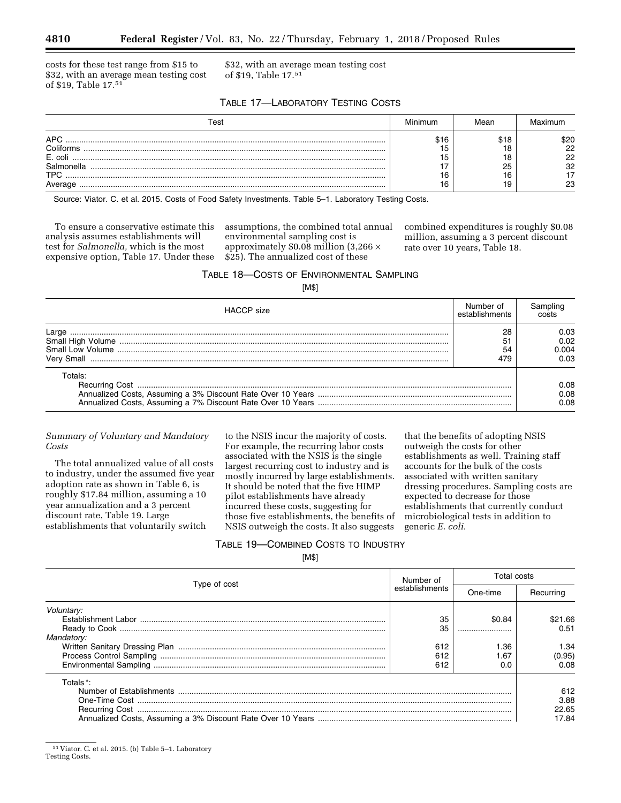costs for these test range from \$15 to \$32, with an average mean testing cost of \$19, Table 17.51

\$32, with an average mean testing cost of \$19, Table 17.51

### TABLE 17—LABORATORY TESTING COSTS

| Геst       | Minimum | <i>l</i> lean |      |
|------------|---------|---------------|------|
| <b>APC</b> | \$16    |               | \$20 |
| Coliforms  |         |               | 22   |
| E. coli    |         |               | 22   |
| Salmonella |         | ۷E            | 32   |
| <b>TPC</b> | 16      |               |      |
|            | 16      |               |      |

Source: Viator. C. et al. 2015. Costs of Food Safety Investments. Table 5–1. Laboratory Testing Costs.

To ensure a conservative estimate this analysis assumes establishments will test for *Salmonella,* which is the most expensive option, Table 17. Under these

assumptions, the combined total annual environmental sampling cost is approximately  $$0.08$  million (3,266  $\times$ \$25). The annualized cost of these

combined expenditures is roughly \$0.08 million, assuming a 3 percent discount rate over 10 years, Table 18.

TABLE 18—COSTS OF ENVIRONMENTAL SAMPLING

[M\$]

| <b>HACCP</b> size | Number of<br>establishments | Sampling                      |
|-------------------|-----------------------------|-------------------------------|
|                   | 28<br>54<br>479             | 0.03<br>0.02<br>0.004<br>0.03 |
| Totals:           |                             | 0.08<br>0.08<br>0.08          |

### *Summary of Voluntary and Mandatory Costs*

The total annualized value of all costs to industry, under the assumed five year adoption rate as shown in Table 6, is roughly \$17.84 million, assuming a 10 year annualization and a 3 percent discount rate, Table 19. Large establishments that voluntarily switch

to the NSIS incur the majority of costs. For example, the recurring labor costs associated with the NSIS is the single largest recurring cost to industry and is mostly incurred by large establishments. It should be noted that the five HIMP pilot establishments have already incurred these costs, suggesting for those five establishments, the benefits of NSIS outweigh the costs. It also suggests

that the benefits of adopting NSIS outweigh the costs for other establishments as well. Training staff accounts for the bulk of the costs associated with written sanitary dressing procedures. Sampling costs are expected to decrease for those establishments that currently conduct microbiological tests in addition to generic *E. coli.* 

### TABLE 19—COMBINED COSTS TO INDUSTRY

[M\$]

| Type of cost | Number of      | Total costs |           |
|--------------|----------------|-------------|-----------|
|              | establishments | One-time    | Recurring |
| Voluntary:   |                |             |           |
|              | 35             | \$0.84      | \$21.66   |
|              | 35             |             | 0.51      |
| Mandatory:   |                |             |           |
|              | 612            | 36. ا       | 1.34      |
|              | 612            | .67         | (0.95)    |
|              | 612            | 0.0         | 0.08      |
| Totals *:    |                |             |           |
|              |                |             | 612       |
|              |                |             | 3.88      |
|              |                |             | 22.65     |
|              |                |             | 17.84     |

<sup>51</sup> Viator. C. et al. 2015. (b) Table 5–1. Laboratory Testing Costs.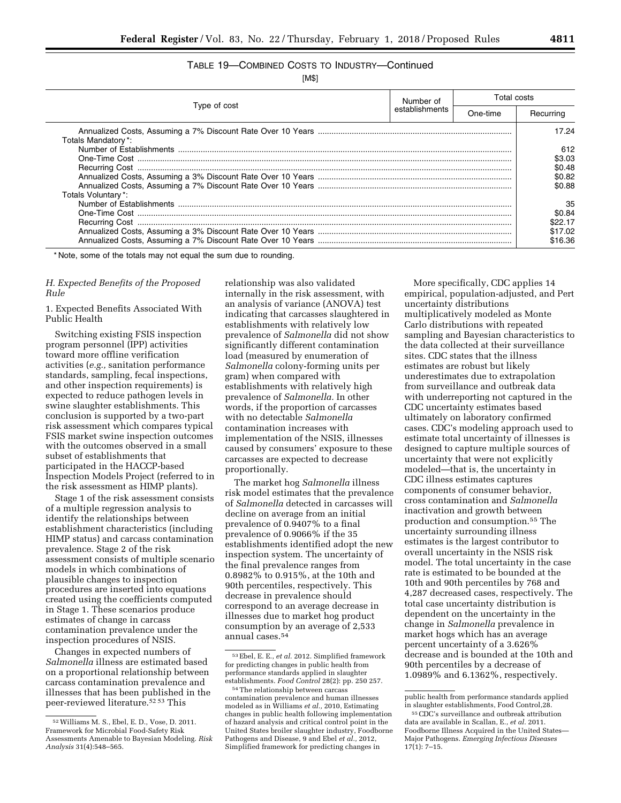# TABLE 19—COMBINED COSTS TO INDUSTRY—Continued

[M\$]

| Type of cost                             | Number of      | Total costs |                                                      |
|------------------------------------------|----------------|-------------|------------------------------------------------------|
|                                          | establishments | One-time    | Recurring                                            |
| Totals Mandatory*:<br>Totals Voluntary*: |                |             | 17.24<br>612<br>\$3.03<br>\$0.48<br>\$0.82<br>\$0.88 |
|                                          |                |             | 35<br>\$0.84<br>\$22.17<br>\$17.02<br>\$16.36        |

\* Note, some of the totals may not equal the sum due to rounding.

### *H. Expected Benefits of the Proposed Rule*

1. Expected Benefits Associated With Public Health

Switching existing FSIS inspection program personnel (IPP) activities toward more offline verification activities (*e.g.,* sanitation performance standards, sampling, fecal inspections, and other inspection requirements) is expected to reduce pathogen levels in swine slaughter establishments. This conclusion is supported by a two-part risk assessment which compares typical FSIS market swine inspection outcomes with the outcomes observed in a small subset of establishments that participated in the HACCP-based Inspection Models Project (referred to in the risk assessment as HIMP plants).

Stage 1 of the risk assessment consists of a multiple regression analysis to identify the relationships between establishment characteristics (including HIMP status) and carcass contamination prevalence. Stage 2 of the risk assessment consists of multiple scenario models in which combinations of plausible changes to inspection procedures are inserted into equations created using the coefficients computed in Stage 1. These scenarios produce estimates of change in carcass contamination prevalence under the inspection procedures of NSIS.

Changes in expected numbers of *Salmonella* illness are estimated based on a proportional relationship between carcass contamination prevalence and illnesses that has been published in the peer-reviewed literature.52 53 This

relationship was also validated internally in the risk assessment, with an analysis of variance (ANOVA) test indicating that carcasses slaughtered in establishments with relatively low prevalence of *Salmonella* did not show significantly different contamination load (measured by enumeration of *Salmonella* colony-forming units per gram) when compared with establishments with relatively high prevalence of *Salmonella.* In other words, if the proportion of carcasses with no detectable *Salmonella*  contamination increases with implementation of the NSIS, illnesses caused by consumers' exposure to these carcasses are expected to decrease proportionally.

The market hog *Salmonella* illness risk model estimates that the prevalence of *Salmonella* detected in carcasses will decline on average from an initial prevalence of 0.9407% to a final prevalence of 0.9066% if the 35 establishments identified adopt the new inspection system. The uncertainty of the final prevalence ranges from 0.8982% to 0.915%, at the 10th and 90th percentiles, respectively. This decrease in prevalence should correspond to an average decrease in illnesses due to market hog product consumption by an average of 2,533 annual cases.54

More specifically, CDC applies 14 empirical, population-adjusted, and Pert uncertainty distributions multiplicatively modeled as Monte Carlo distributions with repeated sampling and Bayesian characteristics to the data collected at their surveillance sites. CDC states that the illness estimates are robust but likely underestimates due to extrapolation from surveillance and outbreak data with underreporting not captured in the CDC uncertainty estimates based ultimately on laboratory confirmed cases. CDC's modeling approach used to estimate total uncertainty of illnesses is designed to capture multiple sources of uncertainty that were not explicitly modeled—that is, the uncertainty in CDC illness estimates captures components of consumer behavior, cross contamination and *Salmonella*  inactivation and growth between production and consumption.55 The uncertainty surrounding illness estimates is the largest contributor to overall uncertainty in the NSIS risk model. The total uncertainty in the case rate is estimated to be bounded at the 10th and 90th percentiles by 768 and 4,287 decreased cases, respectively. The total case uncertainty distribution is dependent on the uncertainty in the change in *Salmonella* prevalence in market hogs which has an average percent uncertainty of a 3.626% decrease and is bounded at the 10th and 90th percentiles by a decrease of 1.0989% and 6.1362%, respectively.

<sup>52</sup>Williams M. S., Ebel, E. D., Vose, D. 2011. Framework for Microbial Food-Safety Risk Assessments Amenable to Bayesian Modeling. *Risk Analysis* 31(4):548–565.

<sup>53</sup>Ebel, E. E., *et al.* 2012. Simplified framework for predicting changes in public health from performance standards applied in slaughter establishments. *Food Control* 28(2): pp. 250 257.

<sup>54</sup>The relationship between carcass contamination prevalence and human illnesses modeled as in Williams *et al.,* 2010, Estimating changes in public health following implementation of hazard analysis and critical control point in the United States broiler slaughter industry, Foodborne Pathogens and Disease, 9 and Ebel *et al.,* 2012, Simplified framework for predicting changes in

public health from performance standards applied in slaughter establishments, Food Control,28.

<sup>55</sup>CDC's surveillance and outbreak attribution data are available in Scallan, E., *et al.* 2011. Foodborne Illness Acquired in the United States— Major Pathogens. *Emerging Infectious Diseases*   $17(1): 7-15.$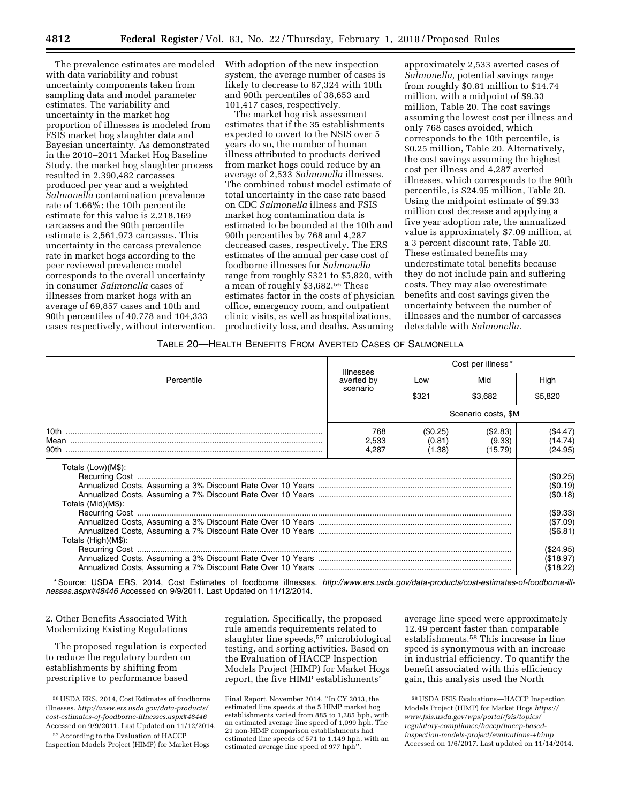The prevalence estimates are modeled with data variability and robust uncertainty components taken from sampling data and model parameter estimates. The variability and uncertainty in the market hog proportion of illnesses is modeled from FSIS market hog slaughter data and Bayesian uncertainty. As demonstrated in the 2010–2011 Market Hog Baseline Study, the market hog slaughter process resulted in 2,390,482 carcasses produced per year and a weighted *Salmonella* contamination prevalence rate of 1.66%; the 10th percentile estimate for this value is 2,218,169 carcasses and the 90th percentile estimate is 2,561,973 carcasses. This uncertainty in the carcass prevalence rate in market hogs according to the peer reviewed prevalence model corresponds to the overall uncertainty in consumer *Salmonella* cases of illnesses from market hogs with an average of 69,857 cases and 10th and 90th percentiles of 40,778 and 104,333 cases respectively, without intervention. With adoption of the new inspection system, the average number of cases is likely to decrease to 67,324 with 10th and 90th percentiles of 38,653 and 101,417 cases, respectively.

The market hog risk assessment estimates that if the 35 establishments expected to covert to the NSIS over 5 years do so, the number of human illness attributed to products derived from market hogs could reduce by an average of 2,533 *Salmonella* illnesses. The combined robust model estimate of total uncertainty in the case rate based on CDC *Salmonella* illness and FSIS market hog contamination data is estimated to be bounded at the 10th and 90th percentiles by 768 and 4,287 decreased cases, respectively. The ERS estimates of the annual per case cost of foodborne illnesses for *Salmonella*  range from roughly \$321 to \$5,820, with a mean of roughly \$3,682.56 These estimates factor in the costs of physician office, emergency room, and outpatient clinic visits, as well as hospitalizations, productivity loss, and deaths. Assuming

approximately 2,533 averted cases of *Salmonella,* potential savings range from roughly \$0.81 million to \$14.74 million, with a midpoint of \$9.33 million, Table 20. The cost savings assuming the lowest cost per illness and only 768 cases avoided, which corresponds to the 10th percentile, is \$0.25 million, Table 20. Alternatively, the cost savings assuming the highest cost per illness and 4,287 averted illnesses, which corresponds to the 90th percentile, is \$24.95 million, Table 20. Using the midpoint estimate of \$9.33 million cost decrease and applying a five year adoption rate, the annualized value is approximately \$7.09 million, at a 3 percent discount rate, Table 20. These estimated benefits may underestimate total benefits because they do not include pain and suffering costs. They may also overestimate benefits and cost savings given the uncertainty between the number of illnesses and the number of carcasses detectable with *Salmonella.* 

#### TABLE 20—HEALTH BENEFITS FROM AVERTED CASES OF SALMONELLA

|                                          | <b>Illnesses</b><br>averted by<br>scenario | Cost per illness*            |                               |                                              |  |
|------------------------------------------|--------------------------------------------|------------------------------|-------------------------------|----------------------------------------------|--|
| Percentile                               |                                            | Low                          | Mid                           | High                                         |  |
|                                          |                                            | \$321                        | \$3,682                       | \$5,820                                      |  |
|                                          |                                            |                              | Scenario costs, \$M           |                                              |  |
|                                          | 768<br>2,533<br>4.287                      | (\$0.25)<br>(0.81)<br>(1.38) | (\$2.83)<br>(9.33)<br>(15.79) | (\$4.47)<br>(14.74)<br>(24.95)               |  |
| Totals (Low)(M\$):<br>Totals (Mid)(M\$): |                                            |                              |                               | (\$0.25)<br>(\$0.19)<br>(\$0.18)<br>(\$9.33) |  |
| Totals (High)(M\$):                      |                                            |                              |                               | (\$7.09)<br>(\$6.81)                         |  |
|                                          |                                            |                              |                               | (\$24.95)<br>(\$18.97)<br>(\$18.22)          |  |

\* Source: USDA ERS, 2014, Cost Estimates of foodborne illnesses. *[http://www.ers.usda.gov/data-products/cost-estimates-of-foodborne-ill](http://www.ers.usda.gov/data-products/cost-estimates-of-foodborne-ill-nesses.aspx#48446)[nesses.aspx#48446](http://www.ers.usda.gov/data-products/cost-estimates-of-foodborne-ill-nesses.aspx#48446)* Accessed on 9/9/2011. Last Updated on 11/12/2014.

2. Other Benefits Associated With Modernizing Existing Regulations

The proposed regulation is expected to reduce the regulatory burden on establishments by shifting from prescriptive to performance based

regulation. Specifically, the proposed rule amends requirements related to slaughter line speeds,57 microbiological testing, and sorting activities. Based on the Evaluation of HACCP Inspection Models Project (HIMP) for Market Hogs report, the five HIMP establishments'

average line speed were approximately 12.49 percent faster than comparable establishments.58 This increase in line speed is synonymous with an increase in industrial efficiency. To quantify the benefit associated with this efficiency gain, this analysis used the North

<sup>56</sup>USDA ERS, 2014, Cost Estimates of foodborne illnesses. *[http://www.ers.usda.gov/data-products/](http://www.ers.usda.gov/data-products/cost-estimates-of-foodborne-illnesses.aspx#48446) [cost-estimates-of-foodborne-illnesses.aspx#48446](http://www.ers.usda.gov/data-products/cost-estimates-of-foodborne-illnesses.aspx#48446)*  Accessed on 9/9/2011. Last Updated on 11/12/2014.

<sup>57</sup>According to the Evaluation of HACCP Inspection Models Project (HIMP) for Market Hogs

Final Report, November 2014, ''In CY 2013, the estimated line speeds at the 5 HIMP market hog establishments varied from 885 to 1,285 hph, with an estimated average line speed of 1,099 hph. The 21 non-HIMP comparison establishments had estimated line speeds of 571 to 1,149 hph, with an estimated average line speed of 977 hph''.

<sup>58</sup>USDA FSIS Evaluations—HACCP Inspection Models Project (HIMP) for Market Hogs *[https://](https://www.fsis.usda.gov/wps/portal/fsis/topics/regulatory-compliance/haccp/haccp-based-inspection-models-project/evaluations-+himp) [www.fsis.usda.gov/wps/portal/fsis/topics/](https://www.fsis.usda.gov/wps/portal/fsis/topics/regulatory-compliance/haccp/haccp-based-inspection-models-project/evaluations-+himp)  [regulatory-compliance/haccp/haccp-based](https://www.fsis.usda.gov/wps/portal/fsis/topics/regulatory-compliance/haccp/haccp-based-inspection-models-project/evaluations-+himp)[inspection-models-project/evaluations-+himp](https://www.fsis.usda.gov/wps/portal/fsis/topics/regulatory-compliance/haccp/haccp-based-inspection-models-project/evaluations-+himp)*  Accessed on 1/6/2017. Last updated on 11/14/2014.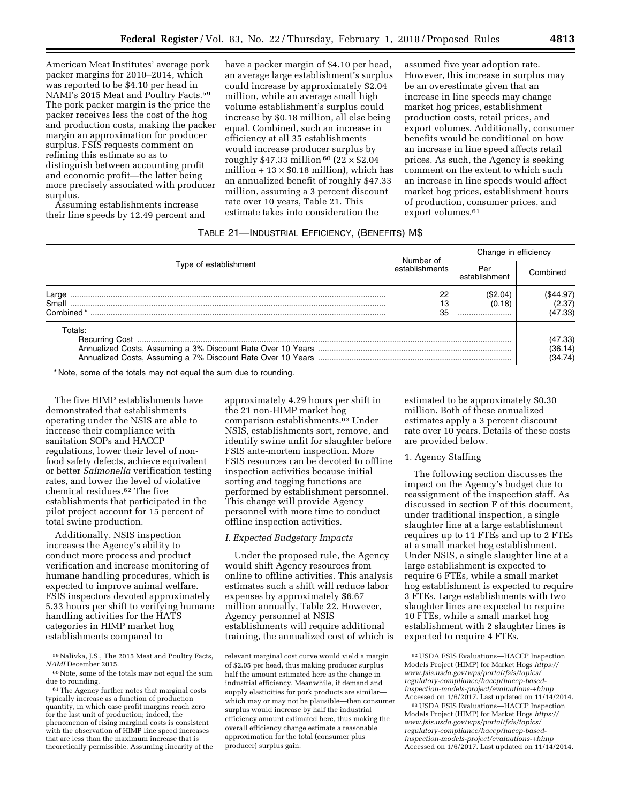American Meat Institutes' average pork packer margins for 2010–2014, which was reported to be \$4.10 per head in NAMI's 2015 Meat and Poultry Facts.59 The pork packer margin is the price the packer receives less the cost of the hog and production costs, making the packer margin an approximation for producer surplus. FSIS requests comment on refining this estimate so as to distinguish between accounting profit and economic profit—the latter being more precisely associated with producer surplus.

Assuming establishments increase their line speeds by 12.49 percent and

have a packer margin of \$4.10 per head, an average large establishment's surplus could increase by approximately \$2.04 million, while an average small high volume establishment's surplus could increase by \$0.18 million, all else being equal. Combined, such an increase in efficiency at all 35 establishments would increase producer surplus by roughly \$47.33 million  $60$  (22  $\times$  \$2.04 million  $+13 \times $0.18$  million), which has an annualized benefit of roughly \$47.33 million, assuming a 3 percent discount rate over 10 years, Table 21. This estimate takes into consideration the

assumed five year adoption rate. However, this increase in surplus may be an overestimate given that an increase in line speeds may change market hog prices, establishment production costs, retail prices, and export volumes. Additionally, consumer benefits would be conditional on how an increase in line speed affects retail prices. As such, the Agency is seeking comment on the extent to which such an increase in line speeds would affect market hog prices, establishment hours of production, consumer prices, and export volumes.<sup>61</sup>

### TABLE 21—INDUSTRIAL EFFICIENCY, (BENEFITS) M\$

|                             |                             | Change in efficiency  |                                |  |
|-----------------------------|-----------------------------|-----------------------|--------------------------------|--|
| Type of establishment       | Number of<br>establishments | Per<br>establishment  | Combined                       |  |
| Large<br>Small<br>Combined* | 22<br>13<br>35              | (S2.04)<br>(0.18)<br> | (\$44.97)<br>(2.37)<br>(47.33) |  |
| Totals:                     |                             |                       | (47.33)<br>(36.14)<br>(34.74)  |  |

\* Note, some of the totals may not equal the sum due to rounding.

The five HIMP establishments have demonstrated that establishments operating under the NSIS are able to increase their compliance with sanitation SOPs and HACCP regulations, lower their level of nonfood safety defects, achieve equivalent or better *Salmonella* verification testing rates, and lower the level of violative chemical residues.62 The five establishments that participated in the pilot project account for 15 percent of total swine production.

Additionally, NSIS inspection increases the Agency's ability to conduct more process and product verification and increase monitoring of humane handling procedures, which is expected to improve animal welfare. FSIS inspectors devoted approximately 5.33 hours per shift to verifying humane handling activities for the HATS categories in HIMP market hog establishments compared to

approximately 4.29 hours per shift in the 21 non-HIMP market hog comparison establishments.<sup>63</sup> Under NSIS, establishments sort, remove, and identify swine unfit for slaughter before FSIS ante-mortem inspection. More FSIS resources can be devoted to offline inspection activities because initial sorting and tagging functions are performed by establishment personnel. This change will provide Agency personnel with more time to conduct offline inspection activities.

#### *I. Expected Budgetary Impacts*

Under the proposed rule, the Agency would shift Agency resources from online to offline activities. This analysis estimates such a shift will reduce labor expenses by approximately \$6.67 million annually, Table 22. However, Agency personnel at NSIS establishments will require additional training, the annualized cost of which is

estimated to be approximately \$0.30 million. Both of these annualized estimates apply a 3 percent discount rate over 10 years. Details of these costs are provided below.

#### 1. Agency Staffing

The following section discusses the impact on the Agency's budget due to reassignment of the inspection staff. As discussed in section F of this document, under traditional inspection, a single slaughter line at a large establishment requires up to 11 FTEs and up to 2 FTEs at a small market hog establishment. Under NSIS, a single slaughter line at a large establishment is expected to require 6 FTEs, while a small market hog establishment is expected to require 3 FTEs. Large establishments with two slaughter lines are expected to require 10 FTEs, while a small market hog establishment with 2 slaughter lines is expected to require 4 FTEs.

<sup>59</sup>Nalivka, J.S., The 2015 Meat and Poultry Facts, *NAMI* December 2015.

<sup>60</sup>Note, some of the totals may not equal the sum due to rounding.

<sup>61</sup>The Agency further notes that marginal costs typically increase as a function of production quantity, in which case profit margins reach zero for the last unit of production; indeed, the phenomenon of rising marginal costs is consistent with the observation of HIMP line speed increases that are less than the maximum increase that is theoretically permissible. Assuming linearity of the

relevant marginal cost curve would yield a margin of \$2.05 per head, thus making producer surplus half the amount estimated here as the change in industrial efficiency. Meanwhile, if demand and supply elasticities for pork products are similar which may or may not be plausible—then consumer surplus would increase by half the industrial efficiency amount estimated here, thus making the overall efficiency change estimate a reasonable approximation for the total (consumer plus producer) surplus gain.

<sup>62</sup>USDA FSIS Evaluations—HACCP Inspection Models Project (HIMP) for Market Hogs *[https://](https://www.fsis.usda.gov/wps/portal/fsis/topics/regulatory-compliance/haccp/haccp-based-inspection-models-project/evaluations-+himp) [www.fsis.usda.gov/wps/portal/fsis/topics/](https://www.fsis.usda.gov/wps/portal/fsis/topics/regulatory-compliance/haccp/haccp-based-inspection-models-project/evaluations-+himp)  [regulatory-compliance/haccp/haccp-based](https://www.fsis.usda.gov/wps/portal/fsis/topics/regulatory-compliance/haccp/haccp-based-inspection-models-project/evaluations-+himp)[inspection-models-project/evaluations-+himp](https://www.fsis.usda.gov/wps/portal/fsis/topics/regulatory-compliance/haccp/haccp-based-inspection-models-project/evaluations-+himp)*  Accessed on 1/6/2017. Last updated on 11/14/2014.

<sup>63</sup>USDA FSIS Evaluations—HACCP Inspection Models Project (HIMP) for Market Hogs *[https://](https://www.fsis.usda.gov/wps/portal/fsis/topics/regulatory-compliance/haccp/haccp-based-inspection-models-project/evaluations-+himp) [www.fsis.usda.gov/wps/portal/fsis/topics/](https://www.fsis.usda.gov/wps/portal/fsis/topics/regulatory-compliance/haccp/haccp-based-inspection-models-project/evaluations-+himp)  [regulatory-compliance/haccp/haccp-based](https://www.fsis.usda.gov/wps/portal/fsis/topics/regulatory-compliance/haccp/haccp-based-inspection-models-project/evaluations-+himp)[inspection-models-project/evaluations-+himp](https://www.fsis.usda.gov/wps/portal/fsis/topics/regulatory-compliance/haccp/haccp-based-inspection-models-project/evaluations-+himp)*  Accessed on 1/6/2017. Last updated on 11/14/2014.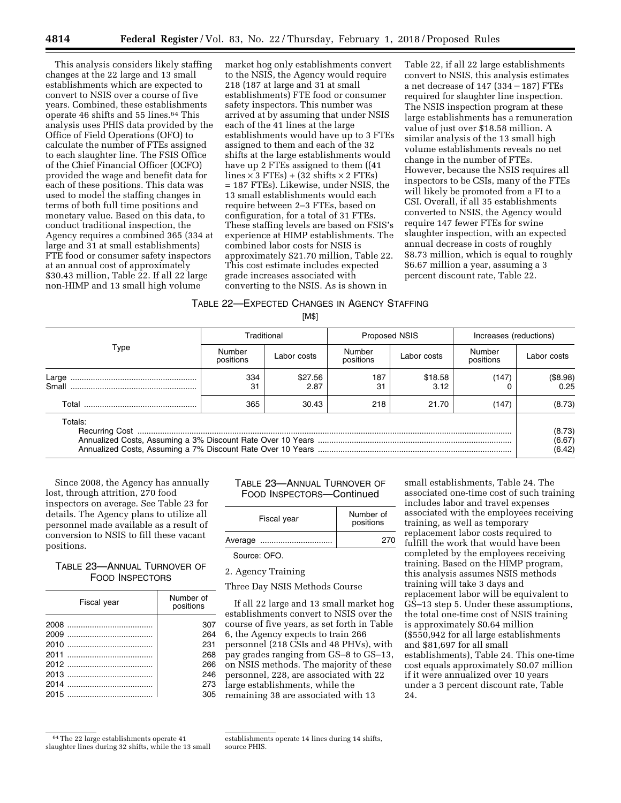This analysis considers likely staffing changes at the 22 large and 13 small establishments which are expected to convert to NSIS over a course of five years. Combined, these establishments operate 46 shifts and 55 lines.64 This analysis uses PHIS data provided by the Office of Field Operations (OFO) to calculate the number of FTEs assigned to each slaughter line. The FSIS Office of the Chief Financial Officer (OCFO) provided the wage and benefit data for each of these positions. This data was used to model the staffing changes in terms of both full time positions and monetary value. Based on this data, to conduct traditional inspection, the Agency requires a combined 365 (334 at large and 31 at small establishments) FTE food or consumer safety inspectors at an annual cost of approximately \$30.43 million, Table 22. If all 22 large non-HIMP and 13 small high volume

market hog only establishments convert to the NSIS, the Agency would require 218 (187 at large and 31 at small establishments) FTE food or consumer safety inspectors. This number was arrived at by assuming that under NSIS each of the 41 lines at the large establishments would have up to 3 FTEs assigned to them and each of the 32 shifts at the large establishments would have up 2 FTEs assigned to them ((41  $lines \times 3$  FTEs) + (32 shifts  $\times$  2 FTEs) = 187 FTEs). Likewise, under NSIS, the 13 small establishments would each require between 2–3 FTEs, based on configuration, for a total of 31 FTEs. These staffing levels are based on FSIS's experience at HIMP establishments. The combined labor costs for NSIS is approximately \$21.70 million, Table 22. This cost estimate includes expected grade increases associated with converting to the NSIS. As is shown in

Table 22, if all 22 large establishments convert to NSIS, this analysis estimates a net decrease of  $147$  (334 – 187) FTEs required for slaughter line inspection. The NSIS inspection program at these large establishments has a remuneration value of just over \$18.58 million. A similar analysis of the 13 small high volume establishments reveals no net change in the number of FTEs. However, because the NSIS requires all inspectors to be CSIs, many of the FTEs will likely be promoted from a FI to a CSI. Overall, if all 35 establishments converted to NSIS, the Agency would require 147 fewer FTEs for swine slaughter inspection, with an expected annual decrease in costs of roughly \$8.73 million, which is equal to roughly \$6.67 million a year, assuming a 3 percent discount rate, Table 22.

### TABLE 22—EXPECTED CHANGES IN AGENCY STAFFING

[M\$]

|                | Traditional         |                 | <b>Proposed NSIS</b> |                 | Increases (reductions) |                            |
|----------------|---------------------|-----------------|----------------------|-----------------|------------------------|----------------------------|
| Type           | Number<br>positions | Labor costs     | Number<br>positions  | Labor costs     | Number<br>positions    | Labor costs                |
| Large<br>Small | 334<br>31           | \$27.56<br>2.87 | 187<br>31            | \$18.58<br>3.12 | (147                   | (\$8.98)<br>0.25           |
|                | 365                 | 30.43           | 218                  | 21.70           | (147)                  | (8.73)                     |
| Totals:        |                     |                 |                      |                 |                        | (8.73)<br>(6.67)<br>(6.42) |

Since 2008, the Agency has annually lost, through attrition, 270 food inspectors on average. See Table 23 for details. The Agency plans to utilize all personnel made available as a result of conversion to NSIS to fill these vacant positions.

### TABLE 23—ANNUAL TURNOVER OF FOOD INSPECTORS

| Fiscal year | Number of<br>positions |
|-------------|------------------------|
|             | 307                    |
|             | 264                    |
|             | 231                    |
|             | 268                    |
|             | 266                    |
|             | 246                    |
|             | 273                    |
|             | 305                    |

TABLE 23—ANNUAL TURNOVER OF FOOD INSPECTORS—Continued

| Fiscal year | Number of<br>positions |
|-------------|------------------------|
| Average     | 270                    |

Source: OFO.

### 2. Agency Training

Three Day NSIS Methods Course

If all 22 large and 13 small market hog establishments convert to NSIS over the course of five years, as set forth in Table 6, the Agency expects to train 266 personnel (218 CSIs and 48 PHVs), with pay grades ranging from GS–8 to GS–13, on NSIS methods. The majority of these personnel, 228, are associated with 22 large establishments, while the remaining 38 are associated with 13

small establishments, Table 24. The associated one-time cost of such training includes labor and travel expenses associated with the employees receiving training, as well as temporary replacement labor costs required to fulfill the work that would have been completed by the employees receiving training. Based on the HIMP program, this analysis assumes NSIS methods training will take 3 days and replacement labor will be equivalent to GS–13 step 5. Under these assumptions, the total one-time cost of NSIS training is approximately \$0.64 million (\$550,942 for all large establishments and \$81,697 for all small establishments), Table 24. This one-time cost equals approximately \$0.07 million if it were annualized over 10 years under a 3 percent discount rate, Table 24.

<sup>64</sup>The 22 large establishments operate 41 slaughter lines during 32 shifts, while the 13 small

establishments operate 14 lines during 14 shifts, source PHIS.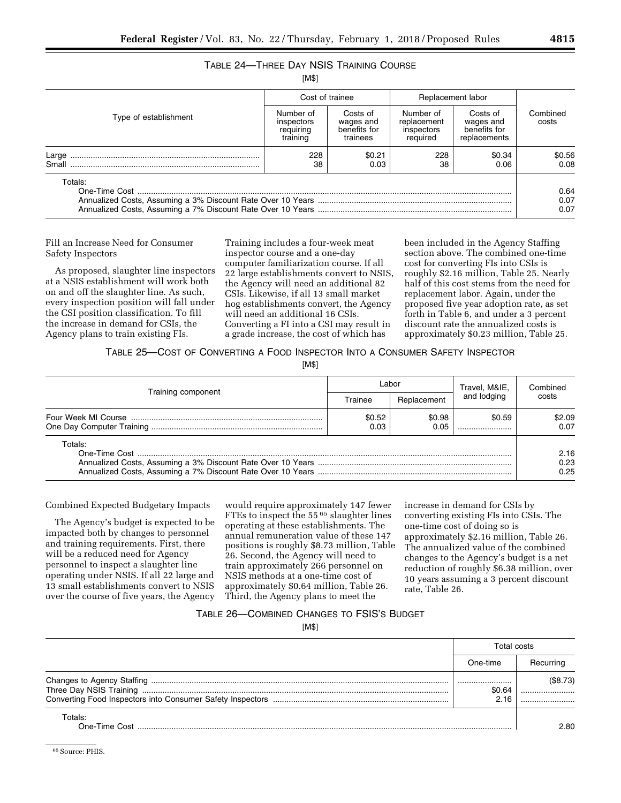# TABLE 24—THREE DAY NSIS TRAINING COURSE

[M\$]

|                       | Cost of trainee                                  |                                                   | Replacement labor                                  |                                                       |                      |
|-----------------------|--------------------------------------------------|---------------------------------------------------|----------------------------------------------------|-------------------------------------------------------|----------------------|
| Type of establishment | Number of<br>inspectors<br>requiring<br>training | Costs of<br>wages and<br>benefits for<br>trainees | Number of<br>replacement<br>inspectors<br>required | Costs of<br>wages and<br>benefits for<br>replacements | Combined<br>costs    |
| Large<br>Small        | 228<br>38                                        | \$0.21<br>0.03                                    | 228<br>38                                          | \$0.34<br>0.06                                        | \$0.56<br>0.08       |
| Totals:               |                                                  |                                                   |                                                    |                                                       | 0.64<br>0.07<br>0.07 |

Fill an Increase Need for Consumer Safety Inspectors

As proposed, slaughter line inspectors at a NSIS establishment will work both on and off the slaughter line. As such, every inspection position will fall under the CSI position classification. To fill the increase in demand for CSIs, the Agency plans to train existing FIs.

Training includes a four-week meat inspector course and a one-day computer familiarization course. If all 22 large establishments convert to NSIS, the Agency will need an additional 82 CSIs. Likewise, if all 13 small market hog establishments convert, the Agency will need an additional 16 CSIs. Converting a FI into a CSI may result in a grade increase, the cost of which has

been included in the Agency Staffing section above. The combined one-time cost for converting FIs into CSIs is roughly \$2.16 million, Table 25. Nearly half of this cost stems from the need for replacement labor. Again, under the proposed five year adoption rate, as set forth in Table 6, and under a 3 percent discount rate the annualized costs is approximately \$0.23 million, Table 25.

TABLE 25—COST OF CONVERTING A FOOD INSPECTOR INTO A CONSUMER SAFETY INSPECTOR

[M\$]

|                    |                | Labor          | Travel, M&IE,<br>and lodging | Combined             |
|--------------------|----------------|----------------|------------------------------|----------------------|
| Training component | Trainee        | Replacement    |                              | costs                |
|                    | \$0.52<br>0.03 | \$0.98<br>0.05 | \$0.59                       | \$2.09<br>0.07       |
| Totals:            |                |                |                              | 2.16<br>0.23<br>0.25 |

Combined Expected Budgetary Impacts

The Agency's budget is expected to be impacted both by changes to personnel and training requirements. First, there will be a reduced need for Agency personnel to inspect a slaughter line operating under NSIS. If all 22 large and 13 small establishments convert to NSIS over the course of five years, the Agency

would require approximately 147 fewer FTEs to inspect the 55 65 slaughter lines operating at these establishments. The annual remuneration value of these 147 positions is roughly \$8.73 million, Table 26. Second, the Agency will need to train approximately 266 personnel on NSIS methods at a one-time cost of approximately \$0.64 million, Table 26. Third, the Agency plans to meet the

increase in demand for CSIs by converting existing FIs into CSIs. The one-time cost of doing so is approximately \$2.16 million, Table 26. The annualized value of the combined changes to the Agency's budget is a net reduction of roughly \$6.38 million, over 10 years assuming a 3 percent discount rate, Table 26.

### TABLE 26—COMBINED CHANGES TO FSIS'S BUDGET

[M\$]

|                          | Total costs |           |
|--------------------------|-------------|-----------|
|                          | One-time    | Recurring |
|                          | <br>\$0.64  | (\$8.73)  |
|                          | 2.16        |           |
| Totals:<br>One-Time Cost |             | 2 80.     |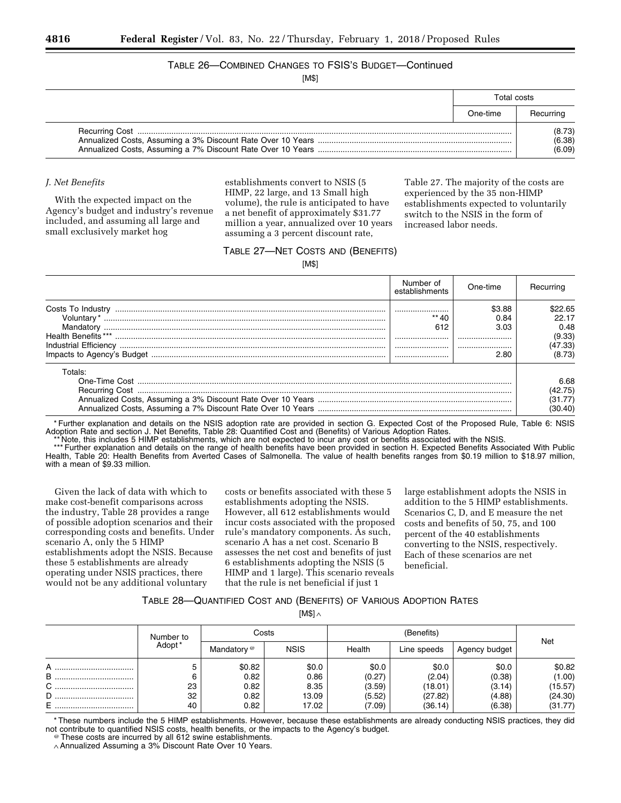## TABLE 26—COMBINED CHANGES TO FSIS'S BUDGET—Continued

[M\$]

| Total costs |                            |
|-------------|----------------------------|
| One-time    | Recurring                  |
|             | (8.73)<br>(6.38)<br>(6.09) |

### *J. Net Benefits*

With the expected impact on the Agency's budget and industry's revenue included, and assuming all large and small exclusively market hog

establishments convert to NSIS (5 HIMP, 22 large, and 13 Small high volume), the rule is anticipated to have a net benefit of approximately \$31.77 million a year, annualized over 10 years assuming a 3 percent discount rate,

Table 27. The majority of the costs are experienced by the 35 non-HIMP establishments expected to voluntarily switch to the NSIS in the form of increased labor needs.

### TABLE 27—NET COSTS AND (BENEFITS)

[M\$]

|                            | Number of<br>establishments | One-time                           | Recurring                                               |
|----------------------------|-----------------------------|------------------------------------|---------------------------------------------------------|
| <b>Health Benefits</b> *** | <br>612<br><br>             | \$3.88<br>0.84<br>3.03<br><br>2.80 | \$22.65<br>22.17<br>0.48<br>(9.33)<br>(47.33)<br>(8.73) |
| Totals:                    |                             |                                    | 6.68<br>(42.75)<br>(31.77)<br>(30.40)                   |

\* Further explanation and details on the NSIS adoption rate are provided in section G. Expected Cost of the Proposed Rule, Table 6: NSIS Adoption Rate and section J. Net Benefits, Table 28: Quantified Cost and (Benefits) of Various Adoption Rates.

\*\* Note, this includes 5 HIMP establishments, which are not expected to incur any cost or benefits associated with the NSIS.

\*\*\* Further explanation and details on the range of health benefits have been provided in section H. Expected Benefits Associated With Public Health, Table 20: Health Benefits from Averted Cases of Salmonella. The value of health benefits ranges from \$0.19 million to \$18.97 million, with a mean of \$9.33 million.

Given the lack of data with which to make cost-benefit comparisons across the industry, Table 28 provides a range of possible adoption scenarios and their corresponding costs and benefits. Under scenario A, only the 5 HIMP establishments adopt the NSIS. Because these 5 establishments are already operating under NSIS practices, there would not be any additional voluntary

costs or benefits associated with these 5 establishments adopting the NSIS. However, all 612 establishments would incur costs associated with the proposed rule's mandatory components. As such, scenario A has a net cost. Scenario B assesses the net cost and benefits of just 6 establishments adopting the NSIS (5 HIMP and 1 large). This scenario reveals that the rule is net beneficial if just 1

large establishment adopts the NSIS in addition to the 5 HIMP establishments. Scenarios C, D, and E measure the net costs and benefits of 50, 75, and 100 percent of the 40 establishments converting to the NSIS, respectively. Each of these scenarios are net beneficial.

### TABLE 28—QUANTIFIED COST AND (BENEFITS) OF VARIOUS ADOPTION RATES

[M\$] ∧

|       | Number to |             | Costs       |        | (Benefits)  |               |         |
|-------|-----------|-------------|-------------|--------|-------------|---------------|---------|
|       | Adopt *   | Mandatory @ | <b>NSIS</b> | Health | Line speeds | Agency budget | Net     |
| А<br> |           | \$0.82      | \$0.0       | \$0.0  | \$0.0       | \$0.0         | \$0.82  |
| В     |           | 0.82        | 0.86        | (0.27) | (2.04)      | (0.38)        | (1.00)  |
|       | 23        | 0.82        | 8.35        | (3.59) | (18.01)     | (3.14)        | (15.57) |
| D     | 32        | 0.82        | 13.09       | (5.52) | (27.82)     | (4.88)        | (24.30) |
| Е<br> | 40        | 0.82        | 17.02       | (7.09) | (36.14)     | (6.38)        | (31.77) |

\* These numbers include the 5 HIMP establishments. However, because these establishments are already conducting NSIS practices, they did not contribute to quantified NSIS costs, health benefits, or the impacts to the Agency's budget. @ These costs are incurred by all 612 swine establishments.

∧Annualized Assuming a 3% Discount Rate Over 10 Years.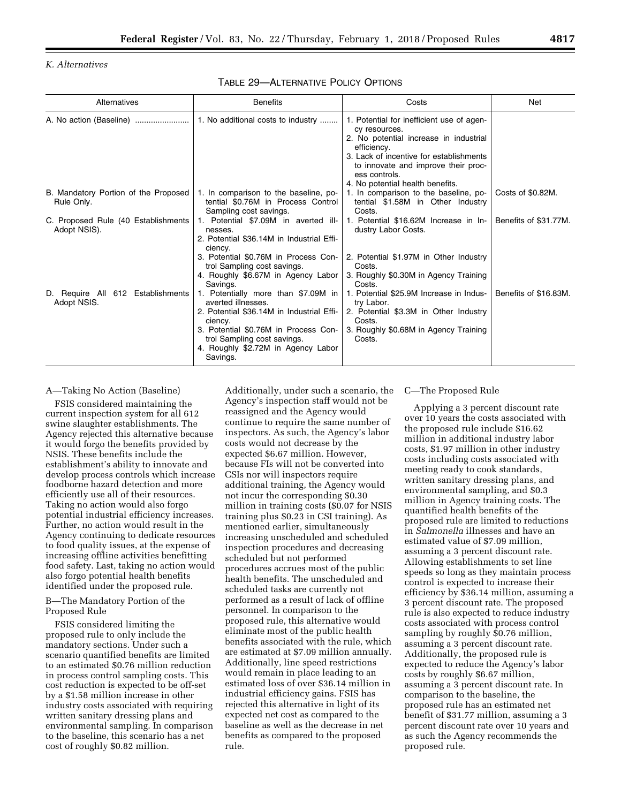### *K. Alternatives*

TABLE 29—ALTERNATIVE POLICY OPTIONS

| Alternatives                                        | <b>Benefits</b>                                                                                                                                                                                                                            | Costs                                                                                                                                                                                                                                                      | Net                   |
|-----------------------------------------------------|--------------------------------------------------------------------------------------------------------------------------------------------------------------------------------------------------------------------------------------------|------------------------------------------------------------------------------------------------------------------------------------------------------------------------------------------------------------------------------------------------------------|-----------------------|
|                                                     | 1. No additional costs to industry                                                                                                                                                                                                         | 1. Potential for inefficient use of agen-<br>cy resources.<br>2. No potential increase in industrial<br>efficiency.<br>3. Lack of incentive for establishments<br>to innovate and improve their proc-<br>ess controls.<br>4. No potential health benefits. |                       |
| B. Mandatory Portion of the Proposed<br>Rule Only.  | 1. In comparison to the baseline, po-<br>tential \$0.76M in Process Control<br>Sampling cost savings.                                                                                                                                      | 1. In comparison to the baseline, po-<br>tential \$1.58M in Other Industry<br>Costs.                                                                                                                                                                       | Costs of \$0.82M.     |
| C. Proposed Rule (40 Establishments<br>Adopt NSIS). | 1. Potential \$7.09M in averted ill-<br>nesses.<br>2. Potential \$36.14M in Industrial Effi-<br>ciency.                                                                                                                                    | 1. Potential \$16.62M Increase in In-<br>dustry Labor Costs.                                                                                                                                                                                               | Benefits of \$31.77M. |
|                                                     | 3. Potential \$0.76M in Process Con-<br>trol Sampling cost savings.<br>4. Roughly \$6.67M in Agency Labor<br>Savings.                                                                                                                      | 2. Potential \$1.97M in Other Industry<br>Costs.<br>3. Roughly \$0.30M in Agency Training<br>Costs.                                                                                                                                                        |                       |
| 612 Establishments<br>D. Require All<br>Adopt NSIS. | 1. Potentially more than \$7.09M in<br>averted illnesses.<br>2. Potential \$36.14M in Industrial Effi-<br>ciency.<br>3. Potential \$0.76M in Process Con-<br>trol Sampling cost savings.<br>4. Roughly \$2.72M in Agency Labor<br>Savings. | 1. Potential \$25.9M Increase in Indus-<br>try Labor.<br>2. Potential \$3.3M in Other Industry<br>Costs.<br>3. Roughly \$0.68M in Agency Training<br>Costs.                                                                                                | Benefits of \$16.83M. |

#### A—Taking No Action (Baseline)

FSIS considered maintaining the current inspection system for all 612 swine slaughter establishments. The Agency rejected this alternative because it would forgo the benefits provided by NSIS. These benefits include the establishment's ability to innovate and develop process controls which increase foodborne hazard detection and more efficiently use all of their resources. Taking no action would also forgo potential industrial efficiency increases. Further, no action would result in the Agency continuing to dedicate resources to food quality issues, at the expense of increasing offline activities benefitting food safety. Last, taking no action would also forgo potential health benefits identified under the proposed rule.

B—The Mandatory Portion of the Proposed Rule

FSIS considered limiting the proposed rule to only include the mandatory sections. Under such a scenario quantified benefits are limited to an estimated \$0.76 million reduction in process control sampling costs. This cost reduction is expected to be off-set by a \$1.58 million increase in other industry costs associated with requiring written sanitary dressing plans and environmental sampling. In comparison to the baseline, this scenario has a net cost of roughly \$0.82 million.

Additionally, under such a scenario, the Agency's inspection staff would not be reassigned and the Agency would continue to require the same number of inspectors. As such, the Agency's labor costs would not decrease by the expected \$6.67 million. However, because FIs will not be converted into CSIs nor will inspectors require additional training, the Agency would not incur the corresponding \$0.30 million in training costs (\$0.07 for NSIS training plus \$0.23 in CSI training). As mentioned earlier, simultaneously increasing unscheduled and scheduled inspection procedures and decreasing scheduled but not performed procedures accrues most of the public health benefits. The unscheduled and scheduled tasks are currently not performed as a result of lack of offline personnel. In comparison to the proposed rule, this alternative would eliminate most of the public health benefits associated with the rule, which are estimated at \$7.09 million annually. Additionally, line speed restrictions would remain in place leading to an estimated loss of over \$36.14 million in industrial efficiency gains. FSIS has rejected this alternative in light of its expected net cost as compared to the baseline as well as the decrease in net benefits as compared to the proposed rule.

C—The Proposed Rule

Applying a 3 percent discount rate over 10 years the costs associated with the proposed rule include \$16.62 million in additional industry labor costs, \$1.97 million in other industry costs including costs associated with meeting ready to cook standards, written sanitary dressing plans, and environmental sampling, and \$0.3 million in Agency training costs. The quantified health benefits of the proposed rule are limited to reductions in *Salmonella* illnesses and have an estimated value of \$7.09 million, assuming a 3 percent discount rate. Allowing establishments to set line speeds so long as they maintain process control is expected to increase their efficiency by \$36.14 million, assuming a 3 percent discount rate. The proposed rule is also expected to reduce industry costs associated with process control sampling by roughly \$0.76 million, assuming a 3 percent discount rate. Additionally, the proposed rule is expected to reduce the Agency's labor costs by roughly \$6.67 million, assuming a 3 percent discount rate. In comparison to the baseline, the proposed rule has an estimated net benefit of \$31.77 million, assuming a 3 percent discount rate over 10 years and as such the Agency recommends the proposed rule.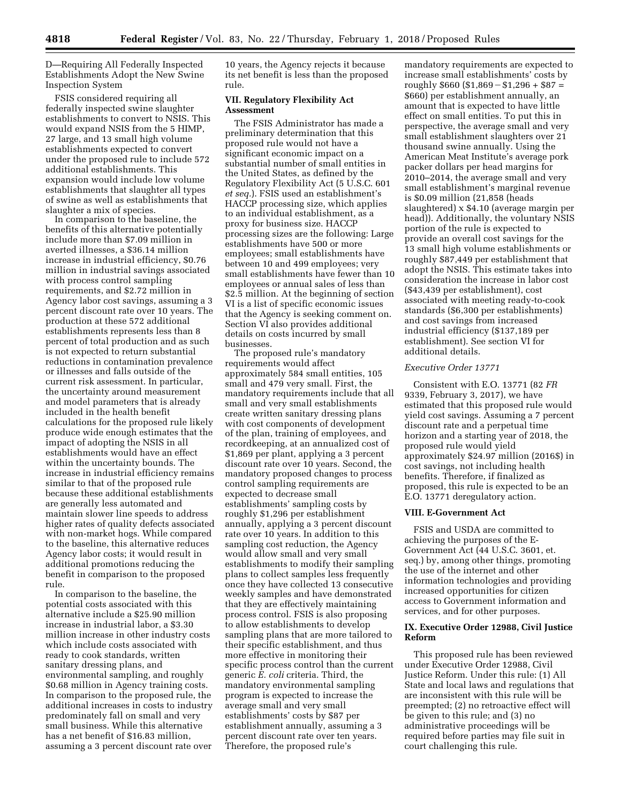D—Requiring All Federally Inspected Establishments Adopt the New Swine Inspection System

FSIS considered requiring all federally inspected swine slaughter establishments to convert to NSIS. This would expand NSIS from the 5 HIMP, 27 large, and 13 small high volume establishments expected to convert under the proposed rule to include 572 additional establishments. This expansion would include low volume establishments that slaughter all types of swine as well as establishments that slaughter a mix of species.

In comparison to the baseline, the benefits of this alternative potentially include more than \$7.09 million in averted illnesses, a \$36.14 million increase in industrial efficiency, \$0.76 million in industrial savings associated with process control sampling requirements, and \$2.72 million in Agency labor cost savings, assuming a 3 percent discount rate over 10 years. The production at these 572 additional establishments represents less than 8 percent of total production and as such is not expected to return substantial reductions in contamination prevalence or illnesses and falls outside of the current risk assessment. In particular, the uncertainty around measurement and model parameters that is already included in the health benefit calculations for the proposed rule likely produce wide enough estimates that the impact of adopting the NSIS in all establishments would have an effect within the uncertainty bounds. The increase in industrial efficiency remains similar to that of the proposed rule because these additional establishments are generally less automated and maintain slower line speeds to address higher rates of quality defects associated with non-market hogs. While compared to the baseline, this alternative reduces Agency labor costs; it would result in additional promotions reducing the benefit in comparison to the proposed rule.

In comparison to the baseline, the potential costs associated with this alternative include a \$25.90 million increase in industrial labor, a \$3.30 million increase in other industry costs which include costs associated with ready to cook standards, written sanitary dressing plans, and environmental sampling, and roughly \$0.68 million in Agency training costs. In comparison to the proposed rule, the additional increases in costs to industry predominately fall on small and very small business. While this alternative has a net benefit of \$16.83 million, assuming a 3 percent discount rate over 10 years, the Agency rejects it because its net benefit is less than the proposed rule.

#### **VII. Regulatory Flexibility Act Assessment**

The FSIS Administrator has made a preliminary determination that this proposed rule would not have a significant economic impact on a substantial number of small entities in the United States, as defined by the Regulatory Flexibility Act (5 U.S.C. 601 *et seq.*). FSIS used an establishment's HACCP processing size, which applies to an individual establishment, as a proxy for business size. HACCP processing sizes are the following: Large establishments have 500 or more employees; small establishments have between 10 and 499 employees; very small establishments have fewer than 10 employees or annual sales of less than \$2.5 million. At the beginning of section VI is a list of specific economic issues that the Agency is seeking comment on. Section VI also provides additional details on costs incurred by small businesses.

The proposed rule's mandatory requirements would affect approximately 584 small entities, 105 small and 479 very small. First, the mandatory requirements include that all small and very small establishments create written sanitary dressing plans with cost components of development of the plan, training of employees, and recordkeeping, at an annualized cost of \$1,869 per plant, applying a 3 percent discount rate over 10 years. Second, the mandatory proposed changes to process control sampling requirements are expected to decrease small establishments' sampling costs by roughly \$1,296 per establishment annually, applying a 3 percent discount rate over 10 years. In addition to this sampling cost reduction, the Agency would allow small and very small establishments to modify their sampling plans to collect samples less frequently once they have collected 13 consecutive weekly samples and have demonstrated that they are effectively maintaining process control. FSIS is also proposing to allow establishments to develop sampling plans that are more tailored to their specific establishment, and thus more effective in monitoring their specific process control than the current generic *E. coli* criteria. Third, the mandatory environmental sampling program is expected to increase the average small and very small establishments' costs by \$87 per establishment annually, assuming a 3 percent discount rate over ten years. Therefore, the proposed rule's

mandatory requirements are expected to increase small establishments' costs by roughly  $$660 ($1,869 - $1,296 + $87 =$ \$660) per establishment annually, an amount that is expected to have little effect on small entities. To put this in perspective, the average small and very small establishment slaughters over 21 thousand swine annually. Using the American Meat Institute's average pork packer dollars per head margins for 2010–2014, the average small and very small establishment's marginal revenue is \$0.09 million (21,858 (heads slaughtered) x \$4.10 (average margin per head)). Additionally, the voluntary NSIS portion of the rule is expected to provide an overall cost savings for the 13 small high volume establishments or roughly \$87,449 per establishment that adopt the NSIS. This estimate takes into consideration the increase in labor cost (\$43,439 per establishment), cost associated with meeting ready-to-cook standards (\$6,300 per establishments) and cost savings from increased industrial efficiency (\$137,189 per establishment). See section VI for additional details.

### *Executive Order 13771*

Consistent with E.O. 13771 (82 *FR*  9339, February 3, 2017), we have estimated that this proposed rule would yield cost savings. Assuming a 7 percent discount rate and a perpetual time horizon and a starting year of 2018, the proposed rule would yield approximately \$24.97 million (2016\$) in cost savings, not including health benefits. Therefore, if finalized as proposed, this rule is expected to be an E.O. 13771 deregulatory action.

#### **VIII. E-Government Act**

FSIS and USDA are committed to achieving the purposes of the E-Government Act (44 U.S.C. 3601, et. seq.) by, among other things, promoting the use of the internet and other information technologies and providing increased opportunities for citizen access to Government information and services, and for other purposes.

### **IX. Executive Order 12988, Civil Justice Reform**

This proposed rule has been reviewed under Executive Order 12988, Civil Justice Reform. Under this rule: (1) All State and local laws and regulations that are inconsistent with this rule will be preempted; (2) no retroactive effect will be given to this rule; and (3) no administrative proceedings will be required before parties may file suit in court challenging this rule.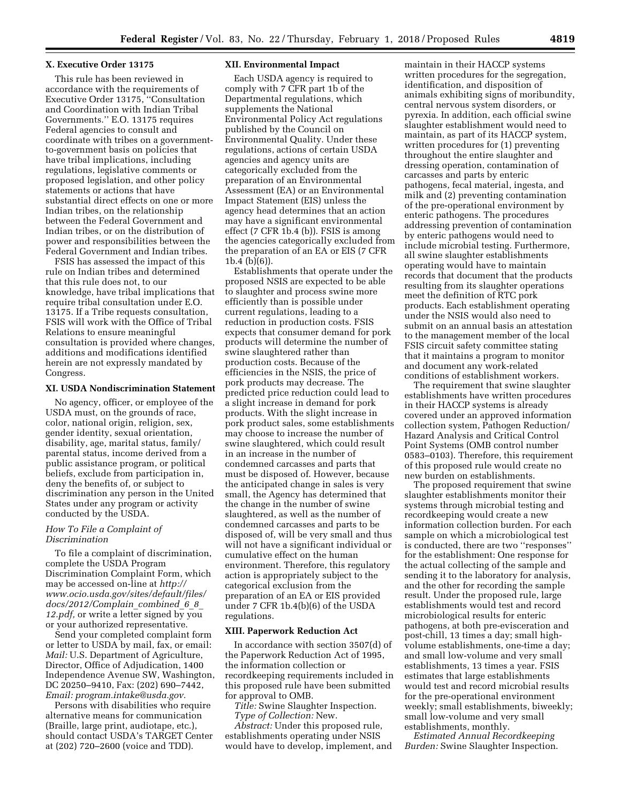#### **X. Executive Order 13175**

This rule has been reviewed in accordance with the requirements of Executive Order 13175, ''Consultation and Coordination with Indian Tribal Governments.'' E.O. 13175 requires Federal agencies to consult and coordinate with tribes on a governmentto-government basis on policies that have tribal implications, including regulations, legislative comments or proposed legislation, and other policy statements or actions that have substantial direct effects on one or more Indian tribes, on the relationship between the Federal Government and Indian tribes, or on the distribution of power and responsibilities between the Federal Government and Indian tribes.

FSIS has assessed the impact of this rule on Indian tribes and determined that this rule does not, to our knowledge, have tribal implications that require tribal consultation under E.O. 13175. If a Tribe requests consultation, FSIS will work with the Office of Tribal Relations to ensure meaningful consultation is provided where changes, additions and modifications identified herein are not expressly mandated by Congress.

### **XI. USDA Nondiscrimination Statement**

No agency, officer, or employee of the USDA must, on the grounds of race, color, national origin, religion, sex, gender identity, sexual orientation, disability, age, marital status, family/ parental status, income derived from a public assistance program, or political beliefs, exclude from participation in, deny the benefits of, or subject to discrimination any person in the United States under any program or activity conducted by the USDA.

#### *How To File a Complaint of Discrimination*

To file a complaint of discrimination, complete the USDA Program Discrimination Complaint Form, which may be accessed on-line at *[http://](http://www.ocio.usda.gov/sites/default/files/docs/2012/Complain_combined_6_8_12.pdf) [www.ocio.usda.gov/sites/default/files/](http://www.ocio.usda.gov/sites/default/files/docs/2012/Complain_combined_6_8_12.pdf) [docs/2012/Complain](http://www.ocio.usda.gov/sites/default/files/docs/2012/Complain_combined_6_8_12.pdf)*\_*combined*\_*6*\_*8*\_ *[12.pdf,](http://www.ocio.usda.gov/sites/default/files/docs/2012/Complain_combined_6_8_12.pdf)* or write a letter signed by you or your authorized representative.

Send your completed complaint form or letter to USDA by mail, fax, or email: *Mail:* U.S. Department of Agriculture, Director, Office of Adjudication, 1400 Independence Avenue SW, Washington, DC 20250–9410, Fax: (202) 690–7442, *Email: [program.intake@usda.gov.](mailto:program.intake@usda.gov)* 

Persons with disabilities who require alternative means for communication (Braille, large print, audiotape, etc.), should contact USDA's TARGET Center at (202) 720–2600 (voice and TDD).

#### **XII. Environmental Impact**

Each USDA agency is required to comply with 7 CFR part 1b of the Departmental regulations, which supplements the National Environmental Policy Act regulations published by the Council on Environmental Quality. Under these regulations, actions of certain USDA agencies and agency units are categorically excluded from the preparation of an Environmental Assessment (EA) or an Environmental Impact Statement (EIS) unless the agency head determines that an action may have a significant environmental effect (7 CFR 1b.4 (b)). FSIS is among the agencies categorically excluded from the preparation of an EA or EIS (7 CFR 1b.4 (b)(6)).

Establishments that operate under the proposed NSIS are expected to be able to slaughter and process swine more efficiently than is possible under current regulations, leading to a reduction in production costs. FSIS expects that consumer demand for pork products will determine the number of swine slaughtered rather than production costs. Because of the efficiencies in the NSIS, the price of pork products may decrease. The predicted price reduction could lead to a slight increase in demand for pork products. With the slight increase in pork product sales, some establishments may choose to increase the number of swine slaughtered, which could result in an increase in the number of condemned carcasses and parts that must be disposed of. However, because the anticipated change in sales is very small, the Agency has determined that the change in the number of swine slaughtered, as well as the number of condemned carcasses and parts to be disposed of, will be very small and thus will not have a significant individual or cumulative effect on the human environment. Therefore, this regulatory action is appropriately subject to the categorical exclusion from the preparation of an EA or EIS provided under 7 CFR 1b.4(b)(6) of the USDA regulations.

#### **XIII. Paperwork Reduction Act**

In accordance with section 3507(d) of the Paperwork Reduction Act of 1995, the information collection or recordkeeping requirements included in this proposed rule have been submitted for approval to OMB.

*Title:* Swine Slaughter Inspection. *Type of Collection:* New.

*Abstract:* Under this proposed rule, establishments operating under NSIS would have to develop, implement, and

maintain in their HACCP systems written procedures for the segregation, identification, and disposition of animals exhibiting signs of moribundity, central nervous system disorders, or pyrexia. In addition, each official swine slaughter establishment would need to maintain, as part of its HACCP system, written procedures for (1) preventing throughout the entire slaughter and dressing operation, contamination of carcasses and parts by enteric pathogens, fecal material, ingesta, and milk and (2) preventing contamination of the pre-operational environment by enteric pathogens. The procedures addressing prevention of contamination by enteric pathogens would need to include microbial testing. Furthermore, all swine slaughter establishments operating would have to maintain records that document that the products resulting from its slaughter operations meet the definition of RTC pork products. Each establishment operating under the NSIS would also need to submit on an annual basis an attestation to the management member of the local FSIS circuit safety committee stating that it maintains a program to monitor and document any work-related conditions of establishment workers.

The requirement that swine slaughter establishments have written procedures in their HACCP systems is already covered under an approved information collection system, Pathogen Reduction/ Hazard Analysis and Critical Control Point Systems (OMB control number 0583–0103). Therefore, this requirement of this proposed rule would create no new burden on establishments.

The proposed requirement that swine slaughter establishments monitor their systems through microbial testing and recordkeeping would create a new information collection burden. For each sample on which a microbiological test is conducted, there are two ''responses'' for the establishment: One response for the actual collecting of the sample and sending it to the laboratory for analysis, and the other for recording the sample result. Under the proposed rule, large establishments would test and record microbiological results for enteric pathogens, at both pre-evisceration and post-chill, 13 times a day; small highvolume establishments, one-time a day; and small low-volume and very small establishments, 13 times a year. FSIS estimates that large establishments would test and record microbial results for the pre-operational environment weekly; small establishments, biweekly; small low-volume and very small establishments, monthly.

*Estimated Annual Recordkeeping Burden:* Swine Slaughter Inspection.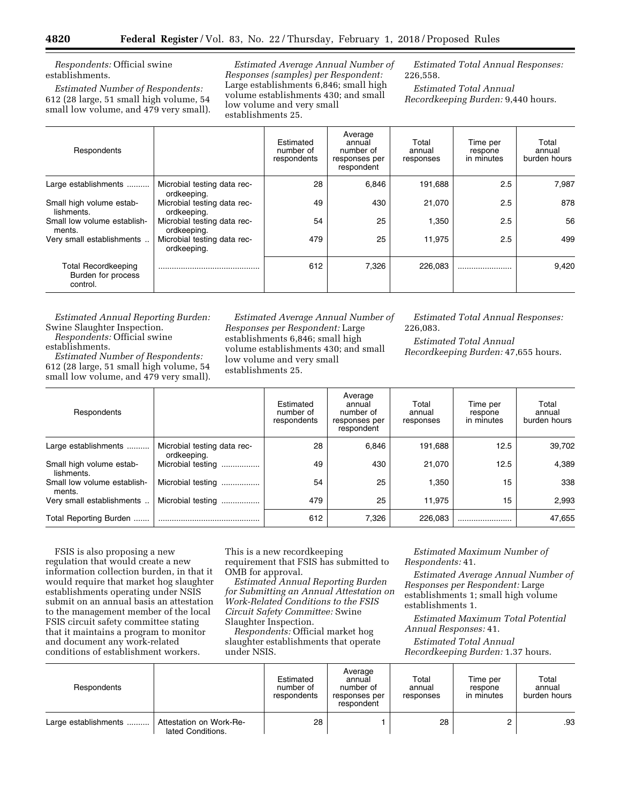*Respondents:* Official swine establishments.

*Estimated Number of Respondents:*  612 (28 large, 51 small high volume, 54 small low volume, and 479 very small).

*Estimated Average Annual Number of Responses (samples) per Respondent:*  Large establishments 6,846; small high volume establishments 430; and small low volume and very small establishments 25.

*Estimated Total Annual Responses:*  226,558.

*Estimated Total Annual Recordkeeping Burden:* 9,440 hours.

| Respondents                                                  |                                            | Estimated<br>number of<br>respondents | Average<br>annual<br>number of<br>responses per<br>respondent | Total<br>annual<br>responses | Time per<br>respone<br>in minutes | Total<br>annual<br>burden hours |
|--------------------------------------------------------------|--------------------------------------------|---------------------------------------|---------------------------------------------------------------|------------------------------|-----------------------------------|---------------------------------|
| Large establishments                                         | Microbial testing data rec-<br>ordkeeping. | 28                                    | 6,846                                                         | 191,688                      | 2.5                               | 7.987                           |
| Small high volume estab-<br>lishments.                       | Microbial testing data rec-<br>ordkeeping. | 49                                    | 430                                                           | 21,070                       | 2.5                               | 878                             |
| Small low volume establish-<br>ments.                        | Microbial testing data rec-<br>ordkeeping. | 54                                    | 25                                                            | 1,350                        | 2.5                               | 56                              |
| Very small establishments                                    | Microbial testing data rec-<br>ordkeeping. | 479                                   | 25                                                            | 11,975                       | 2.5                               | 499                             |
| <b>Total Recordkeeping</b><br>Burden for process<br>control. |                                            | 612                                   | 7,326                                                         | 226,083                      |                                   | 9.420                           |

*Estimated Annual Reporting Burden:*  Swine Slaughter Inspection. *Respondents:* Official swine

establishments.

*Estimated Number of Respondents:*  612 (28 large, 51 small high volume, 54 small low volume, and 479 very small).

*Estimated Average Annual Number of Responses per Respondent:* Large establishments 6,846; small high volume establishments 430; and small low volume and very small establishments 25.

*Estimated Total Annual Responses:*  226,083.

*Estimated Total Annual Recordkeeping Burden:* 47,655 hours.

| Respondents                            |                                            | Estimated<br>number of<br>respondents | Average<br>annual<br>number of<br>responses per<br>respondent | Total<br>annual<br>responses | Time per<br>respone<br>in minutes | Total<br>annual<br>burden hours |
|----------------------------------------|--------------------------------------------|---------------------------------------|---------------------------------------------------------------|------------------------------|-----------------------------------|---------------------------------|
| Large establishments                   | Microbial testing data rec-<br>ordkeeping. | 28                                    | 6.846                                                         | 191.688                      | 12.5                              | 39,702                          |
| Small high volume estab-<br>lishments. | Microbial testing                          | 49                                    | 430                                                           | 21,070                       | 12.5                              | 4.389                           |
| Small low volume establish-<br>ments.  | Microbial testing                          | 54                                    | 25                                                            | 1.350                        | 15                                | 338                             |
| Very small establishments              | Microbial testing                          | 479                                   | 25                                                            | 11.975                       | 15                                | 2,993                           |
| Total Reporting Burden                 |                                            | 612                                   | 7,326                                                         | 226.083                      |                                   | 47,655                          |

FSIS is also proposing a new regulation that would create a new information collection burden, in that it would require that market hog slaughter establishments operating under NSIS submit on an annual basis an attestation to the management member of the local FSIS circuit safety committee stating that it maintains a program to monitor and document any work-related conditions of establishment workers.

This is a new recordkeeping requirement that FSIS has submitted to OMB for approval.

*Estimated Annual Reporting Burden for Submitting an Annual Attestation on Work-Related Conditions to the FSIS Circuit Safety Committee:* Swine Slaughter Inspection.

*Respondents:* Official market hog slaughter establishments that operate under NSIS.

*Estimated Maximum Number of Respondents:* 41.

*Estimated Average Annual Number of Responses per Respondent:* Large establishments 1; small high volume establishments 1.

*Estimated Maximum Total Potential Annual Responses:* 41.

*Estimated Total Annual Recordkeeping Burden:* 1.37 hours.

| Respondents          |                                              | Estimated<br>number of<br>respondents | Average<br>annual<br>number of<br>responses per<br>respondent | Total<br>annual<br>responses | Time per<br>respone<br>in minutes | Total<br>annual<br>burden hours |
|----------------------|----------------------------------------------|---------------------------------------|---------------------------------------------------------------|------------------------------|-----------------------------------|---------------------------------|
| Large establishments | Attestation on Work-Re-<br>lated Conditions. | 28                                    |                                                               | 28                           |                                   | .93                             |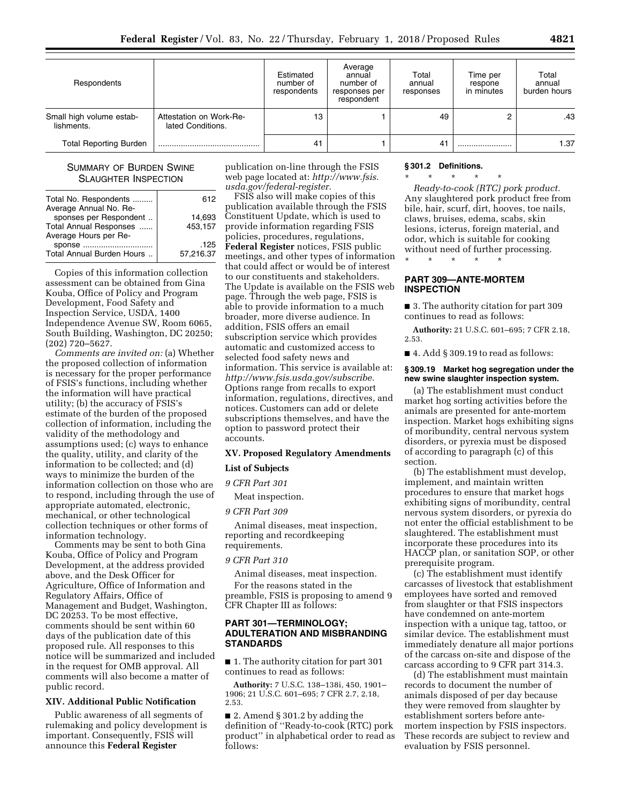| Respondents                            |                                              | Estimated<br>number of<br>respondents | Average<br>annual<br>number of<br>responses per<br>respondent | Total<br>annual<br>responses | Time per<br>respone<br>in minutes | Total<br>annual<br>burden hours |
|----------------------------------------|----------------------------------------------|---------------------------------------|---------------------------------------------------------------|------------------------------|-----------------------------------|---------------------------------|
| Small high volume estab-<br>lishments. | Attestation on Work-Re-<br>lated Conditions. | 13                                    |                                                               | 49                           |                                   | .43                             |
| <b>Total Reporting Burden</b>          |                                              | 41                                    |                                                               | 41                           |                                   | 1.37                            |

### SUMMARY OF BURDEN SWINE SLAUGHTER INSPECTION

| Total No. Respondents     | 612       |
|---------------------------|-----------|
| Average Annual No. Re-    |           |
| sponses per Respondent    | 14,693    |
| Total Annual Responses    | 453,157   |
| Average Hours per Re-     |           |
| sponse                    | .125      |
| Total Annual Burden Hours | 57,216.37 |
|                           |           |

Copies of this information collection assessment can be obtained from Gina Kouba, Office of Policy and Program Development, Food Safety and Inspection Service, USDA, 1400 Independence Avenue SW, Room 6065, South Building, Washington, DC 20250; (202) 720–5627.

*Comments are invited on:* (a) Whether the proposed collection of information is necessary for the proper performance of FSIS's functions, including whether the information will have practical utility; (b) the accuracy of FSIS's estimate of the burden of the proposed collection of information, including the validity of the methodology and assumptions used; (c) ways to enhance the quality, utility, and clarity of the information to be collected; and (d) ways to minimize the burden of the information collection on those who are to respond, including through the use of appropriate automated, electronic, mechanical, or other technological collection techniques or other forms of information technology.

Comments may be sent to both Gina Kouba, Office of Policy and Program Development, at the address provided above, and the Desk Officer for Agriculture, Office of Information and Regulatory Affairs, Office of Management and Budget, Washington, DC 20253. To be most effective, comments should be sent within 60 days of the publication date of this proposed rule. All responses to this notice will be summarized and included in the request for OMB approval. All comments will also become a matter of public record.

### **XIV. Additional Public Notification**

Public awareness of all segments of rulemaking and policy development is important. Consequently, FSIS will announce this **Federal Register** 

publication on-line through the FSIS web page located at: *[http://www.fsis.](http://www.fsis.usda.gov/federal-register) [usda.gov/federal-register.](http://www.fsis.usda.gov/federal-register)* 

### FSIS also will make copies of this publication available through the FSIS Constituent Update, which is used to provide information regarding FSIS policies, procedures, regulations, **Federal Register** notices, FSIS public meetings, and other types of information that could affect or would be of interest to our constituents and stakeholders. The Update is available on the FSIS web page. Through the web page, FSIS is able to provide information to a much broader, more diverse audience. In addition, FSIS offers an email subscription service which provides automatic and customized access to selected food safety news and information. This service is available at: *[http://www.fsis.usda.gov/subscribe.](http://www.fsis.usda.gov/subscribe)*  Options range from recalls to export information, regulations, directives, and notices. Customers can add or delete subscriptions themselves, and have the option to password protect their accounts.

#### **XV. Proposed Regulatory Amendments**

#### **List of Subjects**

### *9 CFR Part 301*

### Meat inspection.

#### *9 CFR Part 309*

Animal diseases, meat inspection, reporting and recordkeeping requirements.

### *9 CFR Part 310*

Animal diseases, meat inspection.

For the reasons stated in the preamble, FSIS is proposing to amend 9 CFR Chapter III as follows:

### **PART 301—TERMINOLOGY; ADULTERATION AND MISBRANDING STANDARDS**

■ 1. The authority citation for part 301 continues to read as follows:

**Authority:** 7 U.S.C. 138–138i, 450, 1901– 1906; 21 U.S.C. 601–695; 7 CFR 2.7, 2.18, 2.53.

 $\blacksquare$  2. Amend § 301.2 by adding the definition of ''Ready-to-cook (RTC) pork product'' in alphabetical order to read as follows:

#### **§ 301.2 Definitions.**

\* \* \* \* \*

*Ready-to-cook (RTC) pork product.*  Any slaughtered pork product free from bile, hair, scurf, dirt, hooves, toe nails, claws, bruises, edema, scabs, skin lesions, icterus, foreign material, and odor, which is suitable for cooking without need of further processing.

#### **PART 309—ANTE-MORTEM INSPECTION**

\* \* \* \* \*

■ 3. The authority citation for part 309 continues to read as follows:

**Authority:** 21 U.S.C. 601–695; 7 CFR 2.18, 2.53.

 $\blacksquare$  4. Add § 309.19 to read as follows:

#### **§ 309.19 Market hog segregation under the new swine slaughter inspection system.**

(a) The establishment must conduct market hog sorting activities before the animals are presented for ante-mortem inspection. Market hogs exhibiting signs of moribundity, central nervous system disorders, or pyrexia must be disposed of according to paragraph (c) of this section.

(b) The establishment must develop, implement, and maintain written procedures to ensure that market hogs exhibiting signs of moribundity, central nervous system disorders, or pyrexia do not enter the official establishment to be slaughtered. The establishment must incorporate these procedures into its HACCP plan, or sanitation SOP, or other prerequisite program.

(c) The establishment must identify carcasses of livestock that establishment employees have sorted and removed from slaughter or that FSIS inspectors have condemned on ante-mortem inspection with a unique tag, tattoo, or similar device. The establishment must immediately denature all major portions of the carcass on-site and dispose of the carcass according to 9 CFR part 314.3.

(d) The establishment must maintain records to document the number of animals disposed of per day because they were removed from slaughter by establishment sorters before antemortem inspection by FSIS inspectors. These records are subject to review and evaluation by FSIS personnel.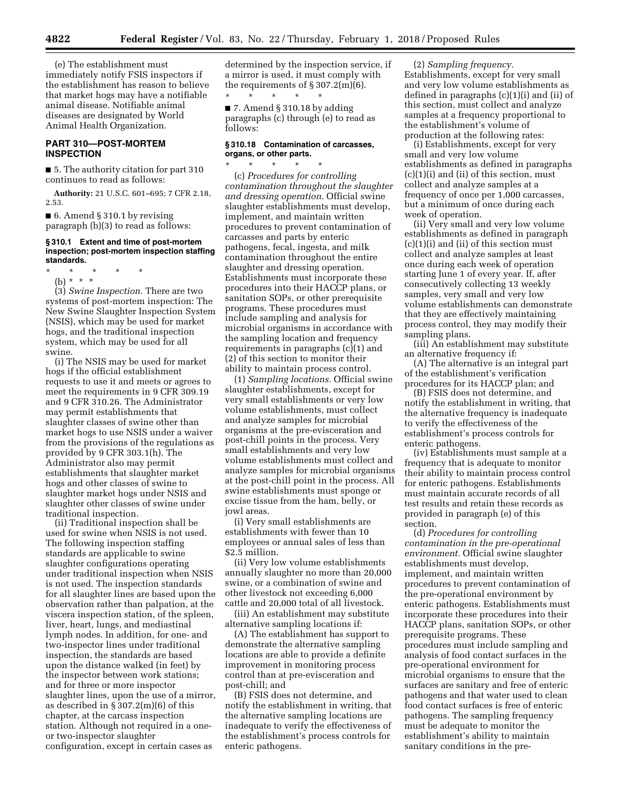(e) The establishment must immediately notify FSIS inspectors if the establishment has reason to believe that market hogs may have a notifiable animal disease. Notifiable animal diseases are designated by World Animal Health Organization.

### **PART 310—POST-MORTEM INSPECTION**

■ 5. The authority citation for part 310 continues to read as follows:

**Authority:** 21 U.S.C. 601–695; 7 CFR 2.18, 2.53.

■ 6. Amend § 310.1 by revising paragraph (b)(3) to read as follows:

#### **§ 310.1 Extent and time of post-mortem inspection; post-mortem inspection staffing standards.**

\* \* \* \* \*

(b) \* \* \* (3) *Swine Inspection.* There are two systems of post-mortem inspection: The New Swine Slaughter Inspection System (NSIS), which may be used for market hogs, and the traditional inspection system, which may be used for all swine.

(i) The NSIS may be used for market hogs if the official establishment requests to use it and meets or agrees to meet the requirements in 9 CFR 309.19 and 9 CFR 310.26. The Administrator may permit establishments that slaughter classes of swine other than market hogs to use NSIS under a waiver from the provisions of the regulations as provided by 9 CFR 303.1(h). The Administrator also may permit establishments that slaughter market hogs and other classes of swine to slaughter market hogs under NSIS and slaughter other classes of swine under traditional inspection.

(ii) Traditional inspection shall be used for swine when NSIS is not used. The following inspection staffing standards are applicable to swine slaughter configurations operating under traditional inspection when NSIS is not used. The inspection standards for all slaughter lines are based upon the observation rather than palpation, at the viscera inspection station, of the spleen, liver, heart, lungs, and mediastinal lymph nodes. In addition, for one- and two-inspector lines under traditional inspection, the standards are based upon the distance walked (in feet) by the inspector between work stations; and for three or more inspector slaughter lines, upon the use of a mirror, as described in § 307.2(m)(6) of this chapter, at the carcass inspection station. Although not required in a oneor two-inspector slaughter configuration, except in certain cases as

determined by the inspection service, if a mirror is used, it must comply with the requirements of  $\S 307.2(m)(6)$ .

\* \* \* \* \* ■ 7. Amend § 310.18 by adding paragraphs (c) through (e) to read as follows:

#### **§ 310.18 Contamination of carcasses, organs, or other parts.**  \* \* \* \* \*

(c) *Procedures for controlling contamination throughout the slaughter and dressing operation.* Official swine slaughter establishments must develop, implement, and maintain written procedures to prevent contamination of carcasses and parts by enteric pathogens, fecal, ingesta, and milk contamination throughout the entire slaughter and dressing operation. Establishments must incorporate these procedures into their HACCP plans, or sanitation SOPs, or other prerequisite programs. These procedures must include sampling and analysis for microbial organisms in accordance with the sampling location and frequency requirements in paragraphs (c)(1) and (2) of this section to monitor their ability to maintain process control.

(1) *Sampling locations.* Official swine slaughter establishments, except for very small establishments or very low volume establishments, must collect and analyze samples for microbial organisms at the pre-evisceration and post-chill points in the process. Very small establishments and very low volume establishments must collect and analyze samples for microbial organisms at the post-chill point in the process. All swine establishments must sponge or excise tissue from the ham, belly, or jowl areas.

(i) Very small establishments are establishments with fewer than 10 employees or annual sales of less than \$2.5 million.

(ii) Very low volume establishments annually slaughter no more than 20,000 swine, or a combination of swine and other livestock not exceeding 6,000 cattle and 20,000 total of all livestock.

(iii) An establishment may substitute alternative sampling locations if:

(A) The establishment has support to demonstrate the alternative sampling locations are able to provide a definite improvement in monitoring process control than at pre-evisceration and post-chill; and

(B) FSIS does not determine, and notify the establishment in writing, that the alternative sampling locations are inadequate to verify the effectiveness of the establishment's process controls for enteric pathogens.

(2) *Sampling frequency.*  Establishments, except for very small and very low volume establishments as defined in paragraphs (c)(1)(i) and (ii) of this section, must collect and analyze samples at a frequency proportional to the establishment's volume of production at the following rates:

(i) Establishments, except for very small and very low volume establishments as defined in paragraphs (c)(1)(i) and (ii) of this section, must collect and analyze samples at a frequency of once per 1,000 carcasses, but a minimum of once during each week of operation.

(ii) Very small and very low volume establishments as defined in paragraph  $(c)(1)(i)$  and  $(ii)$  of this section must collect and analyze samples at least once during each week of operation starting June 1 of every year. If, after consecutively collecting 13 weekly samples, very small and very low volume establishments can demonstrate that they are effectively maintaining process control, they may modify their sampling plans.

(iii) An establishment may substitute an alternative frequency if:

(A) The alternative is an integral part of the establishment's verification procedures for its HACCP plan; and

(B) FSIS does not determine, and notify the establishment in writing, that the alternative frequency is inadequate to verify the effectiveness of the establishment's process controls for enteric pathogens.

(iv) Establishments must sample at a frequency that is adequate to monitor their ability to maintain process control for enteric pathogens. Establishments must maintain accurate records of all test results and retain these records as provided in paragraph (e) of this section.

(d) *Procedures for controlling contamination in the pre-operational environment.* Official swine slaughter establishments must develop, implement, and maintain written procedures to prevent contamination of the pre-operational environment by enteric pathogens. Establishments must incorporate these procedures into their HACCP plans, sanitation SOPs, or other prerequisite programs. These procedures must include sampling and analysis of food contact surfaces in the pre-operational environment for microbial organisms to ensure that the surfaces are sanitary and free of enteric pathogens and that water used to clean food contact surfaces is free of enteric pathogens. The sampling frequency must be adequate to monitor the establishment's ability to maintain sanitary conditions in the pre